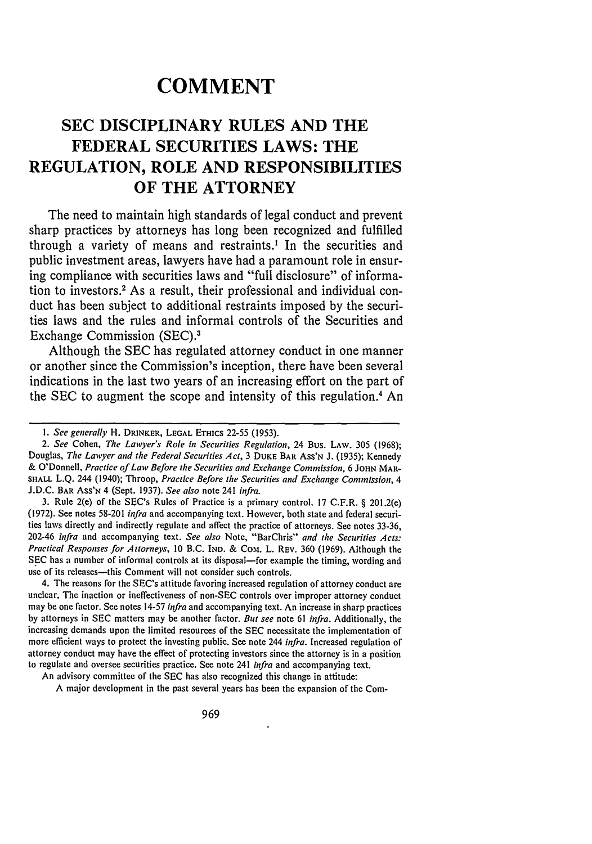# **COMMENT**

## **SEC DISCIPLINARY RULES AND THE FEDERAL SECURITIES LAWS: THE REGULATION, ROLE AND RESPONSIBILITIES OF THE ATTORNEY**

The need to maintain high standards of legal conduct and prevent sharp practices **by** attorneys has long been recognized and fulfilled through a variety of means and restraints.' In the securities and public investment areas, lawyers have had a paramount role in ensuring compliance with securities laws and "full disclosure" of information to investors.2 As a result, their professional and individual conduct has been subject to additional restraints imposed **by** the securities laws and the rules and informal controls of the Securities and Exchange Commission **(SEC).'**

Although the **SEC** has regulated attorney conduct in one manner or another since the Commission's inception, there have been several indications in the last two years of an increasing effort on the part of the **SEC** to augment the scope and intensity of this regulation.4 An

3. Rule 2(e) of the SEC's Rules of Practice is a primary control. 17 C.F.R. § 201.2(e) (1972). See notes 58-201 *infra* and accompanying text. However, both state and federal securities laws directly and indirectly regulate and affect the practice of attorneys. See notes 33-36, 202-46 *infra* and accompanying text. *See also* Note, "BarChris" *and the Securities Acts: Practical Responses for Attorneys,* 10 B.C. **IND.** & CoM. L. **REV.** 360 (1969). Although the SEC has a number of informal controls at its disposal—for example the timing, wording and use of its releases—this Comment will not consider such controls.

4. The reasons for the SEC's attitude favoring increased regulation of attorney conduct are unclear. The inaction or ineffectiveness of non-SEC controls over improper attorney conduct may be one factor. See notes 14-57 *infra* and accompanying text. An increase in sharp practices by attorneys in SEC matters may be another factor. *But see* note 61 *infra.* Additionally, the increasing demands upon the limited resources of the SEC necessitate the implementation of more efficient ways to protect the investing public. See note 244 *infra.* Increased regulation of attorney conduct may have the effect of protecting investors since the attorney is in a position to regulate and oversee securities practice. See note 241 *infra* and accompanying text.

An advisory committee of the SEC has also recognized this change in attitude:

A major development in the past several years has been the expansion of the Com-

*I. See generally* H. DRINKER, **LEGAL** ETHICS 22-55 (1953).

*<sup>2.</sup> See* Cohen, *The Lawyer's Role in Securities Regulation,* 24 Bus. LAW. 305 (1968); Douglas, *The Lawyer and the Federal Securities Act,* 3 **DUKE** BAR Ass'N J. (1935); Kennedy & O'Donnell, *Practice of Law Before the Securities and Exchange Commission,* 6 **JOHN** MAR-**SHALL** L.Q. 244 (1940); Throop, *Practice Before the Securities and Exchange Commission, 4* J.D.C. BAR **ASS'N** 4 (Sept. 1937). *See also* note 241 *infra.*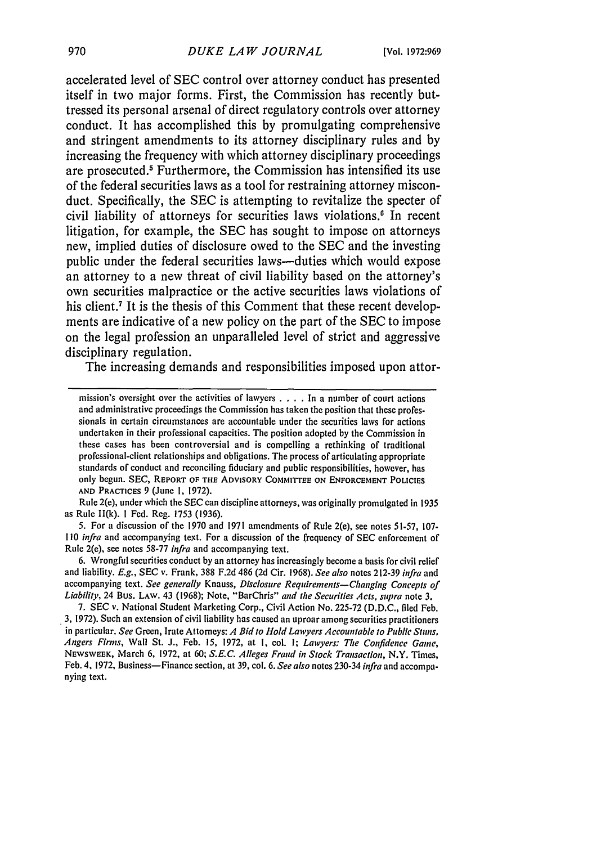accelerated level of SEC control over attorney conduct has presented itself in two major forms. First, the Commission has recently buttressed its personal arsenal of direct regulatory controls over attorney conduct. It has accomplished this **by** promulgating comprehensive and stringent amendments to its attorney disciplinary rules and **by** increasing the frequency with which attorney disciplinary proceedings are prosecuted.<sup>5</sup> Furthermore, the Commission has intensified its use of the federal securities laws as a tool for restraining attorney misconduct. Specifically, the **SEC** is attempting to revitalize the specter of civil liability of attorneys for securities laws violations.' In recent litigation, for example, the **SEC** has sought to impose on attorneys new, implied duties of disclosure owed to the **SEC** and the investing public under the federal securities laws-duties which would expose an attorney to a new threat of civil liability based on the attorney's own securities malpractice or the active securities laws violations of his client.<sup>7</sup> It is the thesis of this Comment that these recent developments are indicative of a new policy on the part of the **SEC** to impose on the legal profession an unparalleled level of strict and aggressive disciplinary regulation.

The increasing demands and responsibilities imposed upon attor-

Rule 2(e), under which the SEC can discipline attorneys, was originally promulgated in 1935 as Rule 11(k). **I** Fed. Reg. 1753 (1936).

5. For a discussion of the 1970 and 1971 amendments of Rule 2(e), see notes **51-57,** 107- 110 *infra* and accompanying text. For a discussion of the frequency of SEC enforcement of Rule 2(e), see notes 58-77 infra and accompanying text.

6. Wrongful securities conduct by an attorney has increasingly become a basis for civil relief and liability. *E.g.,* SEC v. Frank, 388 F.2d 486 (2d Cir. 1968). *See also* notes 212-39 *infra* and accompanying text. *See generally* Knauss, *Disclosure Requirements-Changing Concepts of Liability,* 24 Bus. LAW. 43 (1968); Note, "BarChris" *and the Securities Acts, supra* note 3.

7. SEC v. National Student Marketing Corp., Civil Action No. 225-72 (D.D.C., filed Feb. 3, 1972). Such an extension of civil liability has caused an uproar among securities practitioners in particular. *See* Green, Irate Attorneys: *A Bid to Hold Lawyers Accountable to Public Stuns, Angers Firms,* Wall St. **J.,** Feb. **15, 1972,** at **1,** col. **I;** *Lawyers: The Confidence Game,* NEWSWEEK, March 6, 1972, at 60; *S.E.C. Alleges Fraud in Stock Transaction,* N.Y. Times, Feb. 4, 1972, Business-Finance section, at 39, col. 6. *See also* notes 230-34 *infra* and accompanying text.

mission's oversight over the activities of lawyers . **. .** . In a number of court actions and administrative proceedings the Commission has taken the position that these professionals in certain circumstances are accountable under the securities laws for actions undertaken in their professional capacities. The position adopted by the Commission in these cases has been controversial and is compelling a rethinking of traditional professional-client relationships and obligations. The process of articulating appropriate standards of conduct and reconciling fiduciary and public responsibilities, however, has only begun. SEC, REPORT OF THE ADVISORY COMMITTEE **ON ENFORCEMENT POLICIES AND** PRACTICES 9 (June **I,** 1972).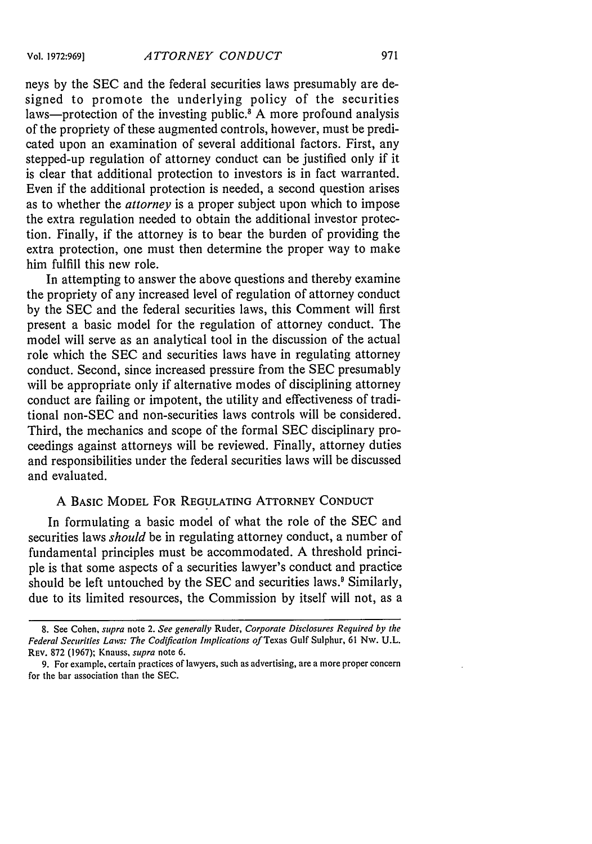neys by the SEC and the federal securities laws presumably are designed to promote the underlying policy of the securities laws—protection of the investing public.<sup> $\hat{s}$ </sup> A more profound analysis of the propriety of these augmented controls, however, must be predicated upon an examination of several additional factors. First, any stepped-up regulation of attorney conduct can be justified only if it is clear that additional protection to investors is in fact warranted. Even if the additional protection is needed, a second question arises as to whether the *attorney* is a proper subject upon which to impose the extra regulation needed to obtain the additional investor protection. Finally, if the attorney is to bear the burden of providing the extra protection, one must then determine the proper way to make him fulfill this new role.

In attempting to answer the above questions and thereby examine the propriety of any increased level of regulation of attorney conduct by the SEC and the federal securities laws, this Comment will first present a basic model for the regulation of attorney conduct. The model will serve as an analytical tool in the discussion of the actual role which the SEC and securities laws have in regulating attorney conduct. Second, since increased pressure from the SEC presumably will be appropriate only if alternative modes of disciplining attorney conduct are failing or impotent, the utility and effectiveness of traditional non-SEC and non-securities laws controls will be considered. Third, the mechanics and scope of the formal SEC disciplinary proceedings against attorneys will be reviewed. Finally, attorney duties and responsibilities under the federal securities laws will be discussed and evaluated.

### A BASIC MODEL FOR REGULATING ATTORNEY **CONDUCT**

In formulating a basic model of what the role of the SEC and securities laws *should* be in regulating attorney conduct, a number of fundamental principles must be accommodated. A threshold principle is that some aspects of a securities lawyer's conduct and practice should be left untouched by the SEC and securities laws.<sup>9</sup> Similarly, due to its limited resources, the Commission by itself will not, as a

**<sup>8.</sup>** See Cohen, **supra** note 2. *See generally* Ruder, *Corporate Disclosures Required by the* Federal Securities Laws: The *Codification Implications* of Texas Gulf Sulphur, 61 Nw. U.L. REv. 872 (1967); Knauss, supra note 6.

<sup>9.</sup> For example, certain practices of lawyers, such as advertising, are a more proper concern **for** the bar association than the SEC.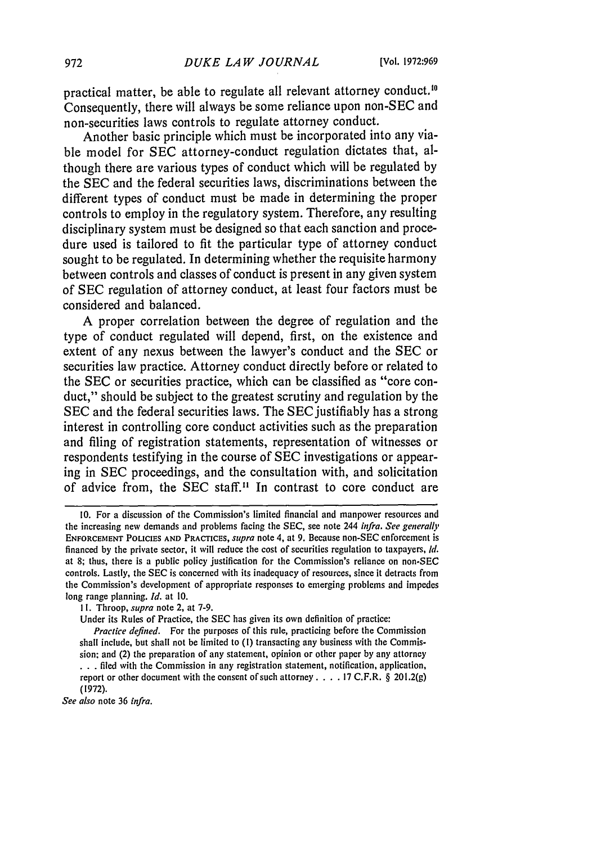practical matter, be able to regulate all relevant attorney conduct.<sup>10</sup> Consequently, there will always be some reliance upon non-SEC and non-securities laws controls to regulate attorney conduct.

Another basic principle which must be incorporated into any viable model for SEC attorney-conduct regulation dictates that, although there are various types of conduct which will be regulated by the SEC and the federal securities laws, discriminations between the different types of conduct must be made in determining the proper controls to employ in the regulatory system. Therefore, any resulting disciplinary system must be designed so that each sanction and procedure used is tailored to fit the particular type of attorney conduct sought to be regulated. In determining whether the requisite harmony between controls and classes of conduct is present in any given system of SEC regulation of attorney conduct, at least four factors must be considered and balanced.

A proper correlation between the degree of regulation and the type of conduct regulated will depend, first, on the existence and extent of any nexus between the lawyer's conduct and the SEC or securities law practice. Attorney conduct directly before or related to the SEC or securities practice, which can be classified as "core conduct," should be subject to the greatest scrutiny and regulation by the SEC and the federal securities laws. The SEC justifiably has a strong interest in controlling core conduct activities such as the preparation and filing of registration statements, representation of witnesses or respondents testifying in the course of SEC investigations or appearing in SEC proceedings, and the consultation with, and solicitation of advice from, the SEC staff." In contrast to core conduct are

See also note 36 infra.

<sup>10.</sup> For a discussion of the Commission's limited financial and manpower resources and the increasing new demands and problems facing the SEC, see note 244 *infra. See generally* **ENFORCEMENT POLICIES AND** PRACTICES, supra note 4, at **9.** Because non-SEC enforcement is financed by the private sector, it will reduce the cost of securities regulation to taxpayers, *Id.* at 8; thus, there is a public policy justification for the Commission's reliance on non-SEC controls. Lastly, the SEC is concerned with its inadequacy of resources, since it detracts from the Commission's development of appropriate responses to emerging problems and impedes long range planning. *Id.* at 10.

II. Throop, supra note 2, at 7-9.

Under its Rules of Practice, the SEC has given its own definition of practice:

Practice defined. For the purposes of this rule, practicing before the Commission shall include, but shall not be limited to **(1)** transacting any business with the Commission; and (2) the preparation of any statement, opinion or other paper by any attorney **.. .** filed with the Commission in any registration statement, notification, application, report or other document with the consent of such attorney. . **.** . 17 C.F.R. § 201.2(g) (1972).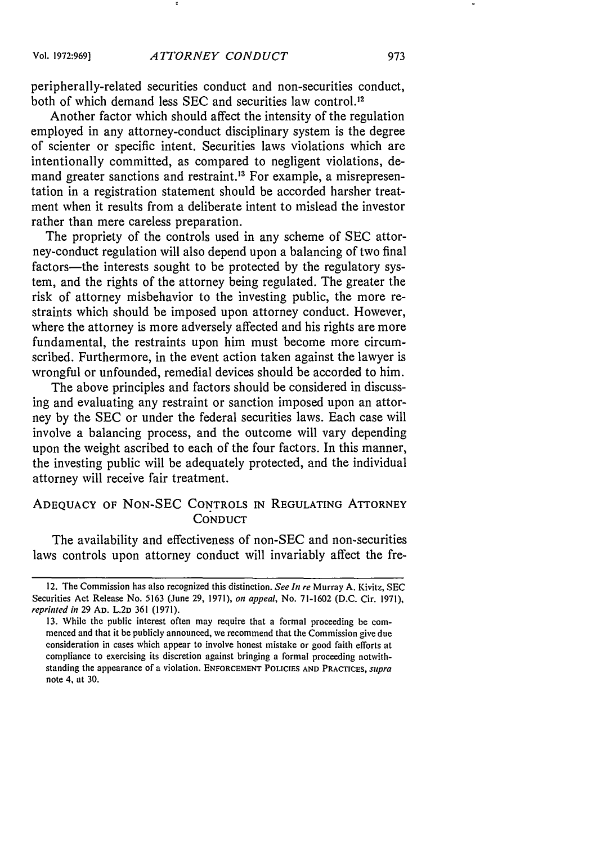peripherally-related securities conduct and non-securities conduct, both of which demand less SEC and securities law control.<sup>12</sup>

Another factor which should affect the intensity of the regulation employed in any attorney-conduct disciplinary system is the degree of scienter or specific intent. Securities laws violations which are intentionally committed, as compared to negligent violations, demand greater sanctions and restraint.<sup>13</sup> For example, a misrepresentation in a registration statement should be accorded harsher treatment when it results from a deliberate intent to mislead the investor rather than mere careless preparation.

The propriety of the controls used in any scheme of SEC attorney-conduct regulation will also depend upon a balancing of two final factors—the interests sought to be protected by the regulatory system, and the rights of the attorney being regulated. The greater the risk of attorney misbehavior to the investing public, the more restraints which should be imposed upon attorney conduct. However, where the attorney is more adversely affected and his rights are more fundamental, the restraints upon him must become more circumscribed. Furthermore, in the event action taken against the lawyer is wrongful or unfounded, remedial devices should be accorded to him.

The above principles and factors should be considered in discussing and evaluating any restraint or sanction imposed upon an attorney by the SEC or under the federal securities laws. Each case will involve a balancing process, and the outcome will vary depending upon the weight ascribed to each of the four factors. In this manner, the investing public will be adequately protected, and the individual attorney will receive fair treatment.

### **ADEQUACY OF NON-SEC CONTROLS IN REGULATING ATTORNEY CONDUCT**

The availability and effectiveness of non-SEC and non-securities laws controls upon attorney conduct will invariably affect the fre-

<sup>12.</sup> The Commission has also recognized this distinction. *See In re* Murray **A.** Kivitz, **SEC** Securities Act Release No. 5163 (June **29,** 1971), *on appeal,* No. 71-1602 **(D.C.** Cir. **1971),** *reprinted in* **29 AD.** L.2D **361 (1971).**

**<sup>13.</sup>** While the public interest often may require that a formal proceeding be commenced and that it be publicly announced, we recommend that the Commission give due consideration in cases which appear to involve honest mistake or good faith efforts at compliance to exercising its discretion against bringing a formal proceeding notwithstanding the appearance of a violation. **ENFORCEMENT** POLICIES **AND** PRACTICES, *supra* note 4. at 30.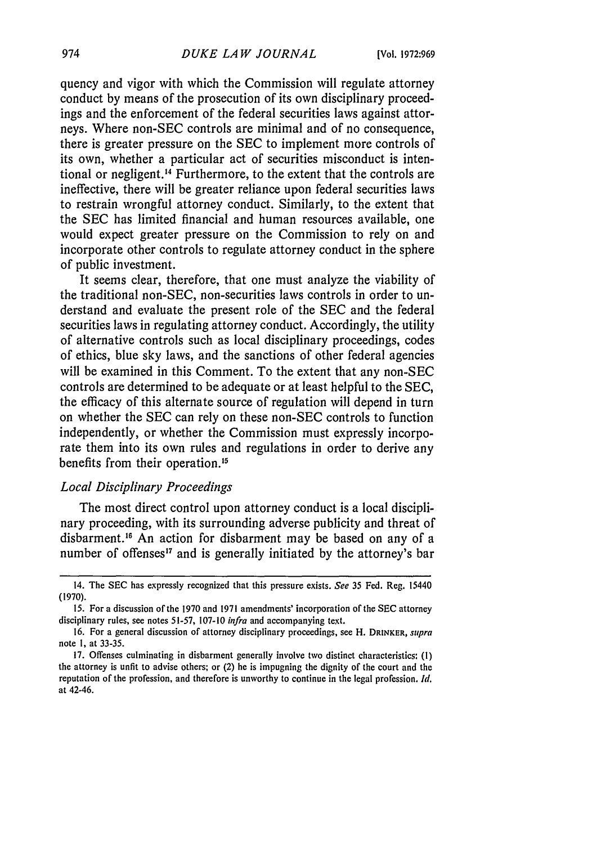quency and vigor with which the Commission will regulate attorney conduct by means of the prosecution of its own disciplinary proceedings and the enforcement of the federal securities laws against attorneys. Where non-SEC controls are minimal and of no consequence, there is greater pressure on the SEC to implement more controls of its own, whether a particular act of securities misconduct is intentional or negligent. 14 Furthermore, to the extent that the controls are ineffective, there will be greater reliance upon federal securities laws to restrain wrongful attorney conduct. Similarly, to the extent that the SEC has limited financial and human resources available, one would expect greater pressure on the Commission to rely on and incorporate other controls to regulate attorney conduct in the sphere of public investment.

It seems clear, therefore, that one must analyze the viability of the traditional non-SEC, non-securities laws controls in order to understand and evaluate the present role of the SEC and the federal securities laws in regulating attorney conduct. Accordingly, the utility of alternative controls such as local disciplinary proceedings, codes of ethics, blue sky laws, and the sanctions of other federal agencies will be examined in this Comment. To the extent that any non-SEC controls are determined to be adequate or at least helpful to the SEC, the efficacy of this alternate source of regulation will depend in turn on whether the SEC can rely on these non-SEC controls to function independently, or whether the Commission must expressly incorporate them into its own rules and regulations in order to derive any benefits from their operation.<sup>15</sup>

### *Local Disciplinary Proceedings*

The most direct control upon attorney conduct is a local disciplinary proceeding, with its surrounding adverse publicity and threat of disbarment.<sup>16</sup> An action for disbarment may be based on any of a number of offenses<sup>17</sup> and is generally initiated by the attorney's bar

<sup>14.</sup> The SEC has expressly recognized that this pressure exists. See 35 Fed. Reg. 15440 (1970).

**<sup>15.</sup>** For a discussion of the **1970** and **1971** amendments' incorporation of the SEC attorney disciplinary rules, see notes **51-57, 107-10** infra and accompanying text.

**<sup>16.</sup>** For a general discussion of attorney disciplinary proceedings, see H. **DRINKER,** supra note **1,** at **33-35.**

**<sup>17.</sup>** Offenses culminating in disbarment generally involve two distinct characteristics: **(I)** the attorney is unfit to advise others; or (2) he is impugning the dignity of the court and the reputation of the profession, and therefore is unworthy to continue in the legal profession. *Id.* at 42-46.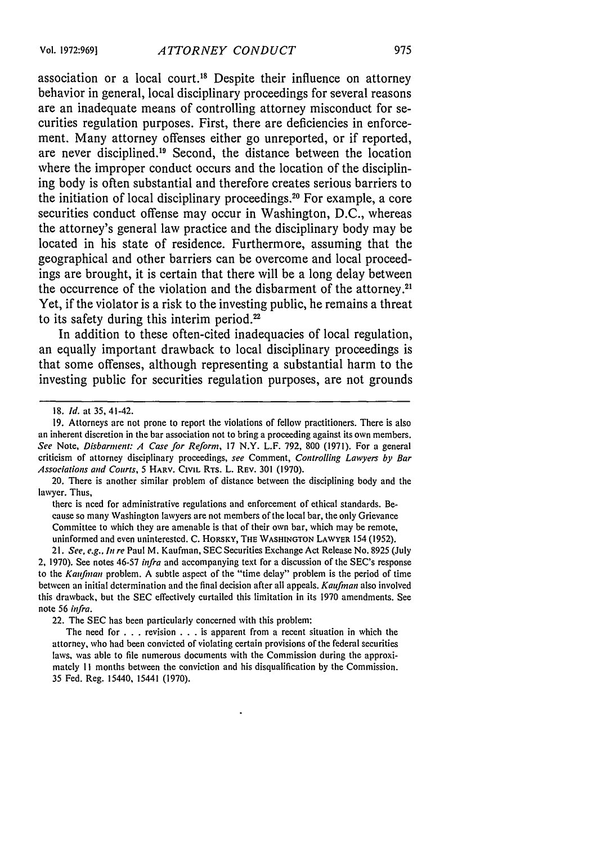association or a local court.<sup>18</sup> Despite their influence on attorney behavior in general, local disciplinary proceedings for several reasons are an inadequate means of controlling attorney misconduct for securities regulation purposes. First, there are deficiencies in enforcement. Many attorney offenses either go unreported, or if reported, are never disciplined.<sup>19</sup> Second, the distance between the location where the improper conduct occurs and the location of the disciplining body is often substantial and therefore creates serious barriers to the initiation of local disciplinary proceedings."0 For example, a core securities conduct offense may occur in Washington, **D.C.,** whereas the attorney's general law practice and the disciplinary body may be located in his state of residence. Furthermore, assuming that the geographical and other barriers can be overcome and local proceedings are brought, it is certain that there will be a long delay between the occurrence of the violation and the disbarment of the attorney. Yet, if the violator is a risk to the investing public, he remains a threat to its safety during this interim period.

In addition to these often-cited inadequacies of local regulation, an equally important drawback to local disciplinary proceedings is that some offenses, although representing a substantial harm to the investing public for securities regulation purposes, are not grounds

20. There is another similar problem of distance between the disciplining body and the lawyer. Thus,

there is need for administrative regulations and enforcement of ethical standards. Because so many Washington lawyers are not members of the local bar, the only Grievance Committee to which they are amenable is that of their own bar, which may be remote, uninformed and even uninterested. C. HORSKY, THE **WASHINGTON** LAWYER 154 (1952).

21. *See, e.g., In re* Paul M. Kaufman, SEC Securities Exchange Act Release No. 8925 (July 2, 1970). See notes 46-57 *infra* and accompanying text for a discussion of the SEC's response to the *Kaufman* problem. A subtle aspect of the "time delay" problem is the period of time between an initial determination and the final decision after all appeals. *Kaufman* also involved this drawback, but the SEC effectively curtailed this limitation in its 1970 amendments. See note 56 *infra.*

22. The SEC has been particularly concerned with this problem:

The need for . . . revision . . . is apparent from a recent situation in which the attorney, who had been convicted of violating certain provisions of the federal securities laws, was able to file numerous documents with the Commission during the approximately 11 months between the conviction and his disqualification by the Commission. 35 Fed. Reg. 15440, 15441 (1970).

*<sup>18.</sup> Id.* at 35, 41-42.

<sup>19.</sup> Attorneys are not prone to report the violations of fellow practitioners. There is also an inherent discretion in the bar association not to bring a proceeding against its own members. *See* Note, Disbarment: **A** *Case for Reform,* 17 N.Y. L.F. 792, 800 (1971). For a general criticism of attorney disciplinary proceedings, *see* Comment, *Controlling Lawyers by Bar Associations and Courts, 5* **HARV.** CIVIL RTs. L. REV. 301 (1970).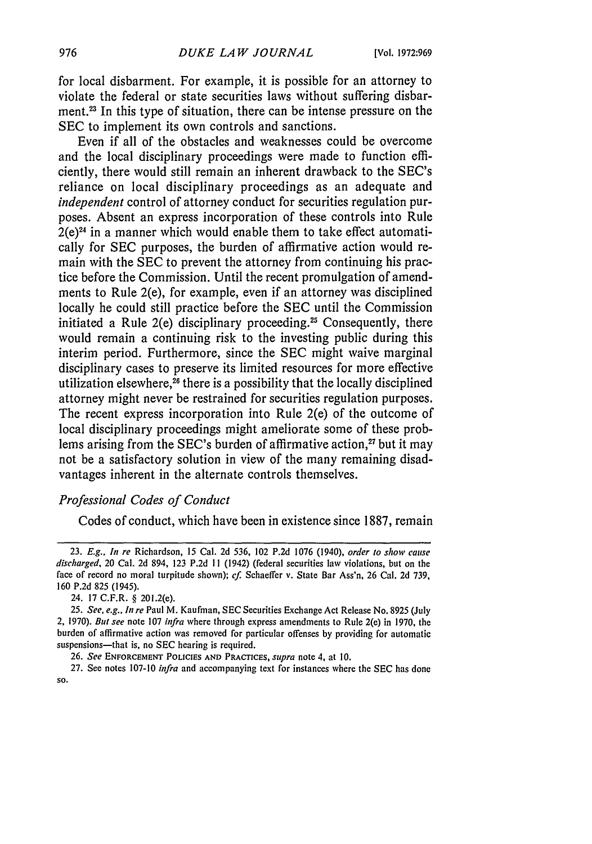for local disbarment. For example, it is possible for an attorney to violate the federal or state securities laws without suffering disbarment.23 In this type of situation, there can be intense pressure on the SEC to implement its own controls and sanctions.

Even if all of the obstacles and weaknesses could be overcome and the local disciplinary proceedings were made to function efficiently, there would still remain an inherent drawback to the SEC's reliance on local disciplinary proceedings as an adequate and *independent* control of attorney conduct for securities regulation purposes. Absent an express incorporation of these controls into Rule  $2(e)^{24}$  in a manner which would enable them to take effect automatically for SEC purposes, the burden of affirmative action would remain with the SEC to prevent the attorney from continuing his practice before the Commission. Until the recent promulgation of amendments to Rule 2(e), for example, even if an attorney was disciplined locally he could still practice before the SEC until the Commission initiated a Rule  $2(e)$  disciplinary proceeding.<sup>25</sup> Consequently, there would remain a continuing risk to the investing public during this interim period. Furthermore, since the SEC might waive marginal disciplinary cases to preserve its limited resources for more effective utilization elsewhere,<sup>26</sup> there is a possibility that the locally disciplined attorney might never be restrained for securities regulation purposes. The recent express incorporation into Rule 2(e) of the outcome of local disciplinary proceedings might ameliorate some of these problems arising from the SEC's burden of affirmative action,<sup>27</sup> but it may not be a satisfactory solution in view of the many remaining disadvantages inherent in the alternate controls themselves.

### *Professional Codes of Conduct*

Codes of conduct, which have been in existence since 1887, remain

<sup>23.</sup> *Eg., In* re Richardson, 15 Cal. 2d 536, 102 P.2d 1076 (1940), order to show cause *discharged,* 20 Cal. 2d 894, 123 P.2d 11 (1942) (federal securities law violations, but on the face of record no moral turpitude shown); *cf.* Schaeffer v. State Bar Ass'n, 26 Cal. 2d 739, 160 P.2d 825 (1945).

<sup>24. 17</sup> C.F.R. § 201.2(e).

<sup>25.</sup> *See, e.g., In re* Paul M. Kaufman, SEC Securities Exchange Act Release No. 8925 (July 2, 1970). *But see* note 107 *infra* where through express amendments to Rule 2(e) in 1970, the burden of affirmative action was removed for particular offenses by providing for automatic suspensions-that is, no SEC hearing is required.

**<sup>26.</sup>** *See* **ENFORCEMENT POLICIES AND** PRACTICES, *supra* note 4, at **10.**

**<sup>27.</sup>** See notes **107-10** *infra* and accompanying text for instances where the SEC has done  $SO<sub>2</sub>$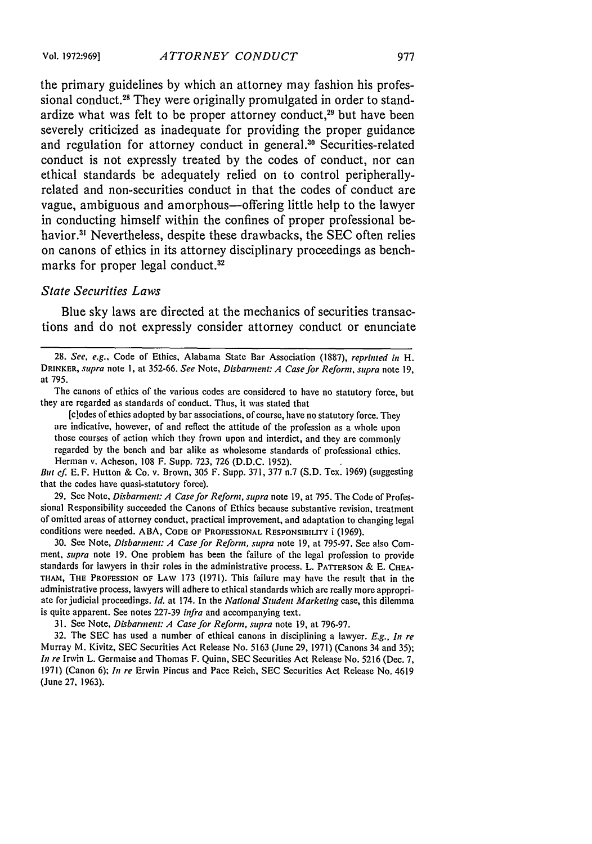the primary guidelines **by** which an attorney may fashion his professional conduct.<sup>28</sup> They were originally promulgated in order to standardize what was felt to be proper attorney conduct, $29$  but have been severely criticized as inadequate for providing the proper guidance and regulation for attorney conduct in general.<sup>30</sup> Securities-related conduct is not expressly treated **by** the codes of conduct, nor can ethical standards be adequately relied on to control peripherallyrelated and non-securities conduct in that the codes of conduct are vague, ambiguous and amorphous-offering little help to the lawyer in conducting himself within the confines of proper professional behavior." Nevertheless, despite these drawbacks, the **SEC** often relies on canons of ethics in its attorney disciplinary proceedings as benchmarks for proper legal conduct.<sup>32</sup>

### *State Securities Laws*

Blue sky laws are directed at the mechanics of securities transactions and do not expressly consider attorney conduct or enunciate

The canons of ethics of the various codes are considered to have no statutory force, but they are regarded as standards of conduct. Thus, it was stated that

[c]odes of ethics adopted by bar associations, of course, have no statutory force. They are indicative, however, of and reflect the attitude of the profession as a whole upon those courses of action which they frown upon and interdict, and they are commonly regarded by the bench and bar alike as wholesome standards of professional ethics. Herman v. Acheson, 108 F. Supp. 723, 726 (D.D.C. 1952).

*But ef* E. F. Hutton & Co. v. Brown, 305 F. Supp. 371, 377 n.7 (S.D. Tex. 1969) (suggesting that the codes have quasi-statutory force).

29. See Note, *Disbarment. A Case for Reform, supra* note 19, at 795. The Code of Professional Responsibility succeeded the Canons of Ethics because substantive revision, treatment of omitted areas of attorney conduct, practical improvement, and adaptation to changing legal conditions were needed. ABA, **CODE** OF PROFESSIONAL RESPONSIBILITY i (1969).

30. See Note, *Disbarment: A Case for Reform, supra* note 19, at 795-97. See also Comment, *supra* note 19. One problem has been the failure of the legal profession to provide standards for lawyers in their roles in the administrative process. L. PATTERSON & E. CHEA-THAM, THE PROFESSION OF LAW 173 (1971). This failure may have the result that in the administrative process, lawyers will adhere to ethical standards which are really more appropriate for judicial proceedings. *Id.* at 174. In the *National Student Marketing* case, this dilemma is quite apparent. See notes 227-39 *infra* and accompanying text.

31. See Note, *Disbarment: A Case for Reform, supra* note 19, at 796-97.

32. The SEC has used a number of ethical canons in disciplining a lawyer. *E.g., In re* Murray M. Kivitz, SEC Securities Act Release No. 5163 (June 29, 1971) (Canons 34 and 35); *In re* Irwin L. Germaise and Thomas F. Quinn, SEC Securities Act Release No. 5216 (Dec. 7, 1971) (Canon 6); *In re* Erwin Pincus and Pace Reich, SEC Securities Act Release No. 4619 (June 27, 1963).

<sup>28.</sup> *See, e.g.,* Code of Ethics, Alabama State Bar Association (1887), *reprinted in H.* DRINKER, *supra* note **I,** at 352-66. *See* Note, *Disbarment: A Case for Reform, supra* note 19, at 795.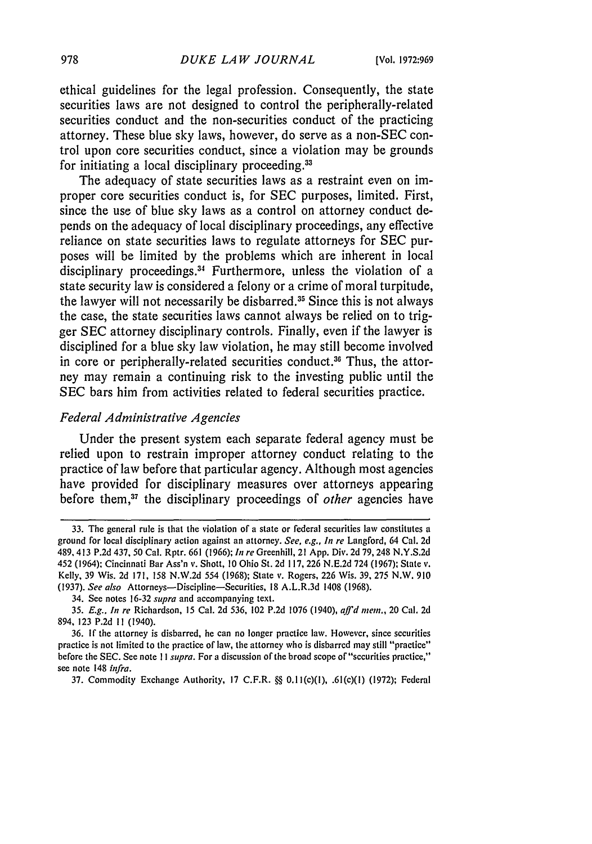ethical guidelines for the legal profession. Consequently, the state securities laws are not designed to control the peripherally-related securities conduct and the non-securities conduct of the practicing attorney. These blue sky laws, however, do serve as a non-SEC control upon core securities conduct, since a violation may be grounds for initiating a local disciplinary proceeding.<sup>33</sup>

The adequacy of state securities laws as a restraint even on improper core securities conduct is, for SEC purposes, limited. First, since the use of blue sky laws as a control on attorney conduct depends on the adequacy of local disciplinary proceedings, any effective reliance on state securities laws to regulate attorneys for SEC purposes will be limited by the problems which are inherent in local disciplinary proceedings.34 Furthermore, unless the violation of a state security law is considered a felony or a crime of moral turpitude, the lawyer will not necessarily be disbarred.35 Since this is not always the case, the state securities laws cannot always be relied on to trigger SEC attorney disciplinary controls. Finally, even if the lawyer is disciplined for a blue sky law violation, he may still become involved in core or peripherally-related securities conduct.<sup>36</sup> Thus, the attorney may remain a continuing risk to the investing public until the SEC bars him from activities related to federal securities practice.

### *Federal Administrative Agencies*

Under the present system each separate federal agency must be relied upon to restrain improper attorney conduct relating to the practice of law before that particular agency. Although most agencies have provided for disciplinary measures over attorneys appearing before them, 37 the disciplinary proceedings of *other* agencies have

<sup>33.</sup> The general rule is that the violation of a state or federal securities law constitutes a ground for local disciplinary action against an attorney. *See, e.g., In re* Langford, 64 Cal. 2d 489, 413 P.2d 437, 50 Cal. Rptr. 661 (1966); *In re* Greenhill, 21 App. Div. 2d 79, 248 N.Y.S.2d 452 (1964). Cincinnati Bar Ass'n v. Shott, 10 Ohio St. 2d 117, 226 N.E.2d 724 (1967); State v. Kelly, 39 Wis. 2d 171, 158 N.W.2d 554 (1968); State v. Rogers, 226 Wis. 39, 275 N.W. 910 (1937). *See also* Attorneys-Discipline-Securities, 18 A.L.R.3d 1408 (1968).

<sup>34.</sup> See notes 16-32 *supra* and accompanying text.

*<sup>35.</sup> E.g., In re* Richardson, 15 Cal. 2d 536, 102 P.2d 1076 (1940), *affd iner.,* 20 Cal. 2d 894, 123 P.2d 11 (1940).

<sup>36.</sup> If the attorney is disbarred, he can no longer practice law. However, since securities practice is not limited to the practice of law, the attorney who is disbarred may still "practice" before the SEC. See note **I** *I supra.* For a discussion of the broad scope of "securities practice," see note 148 *infra.*

<sup>37.</sup> Commodity Exchange Authority, 17 C.F.R. **§§** 0.11(c)(1), .61(c)(1) (1972); Federal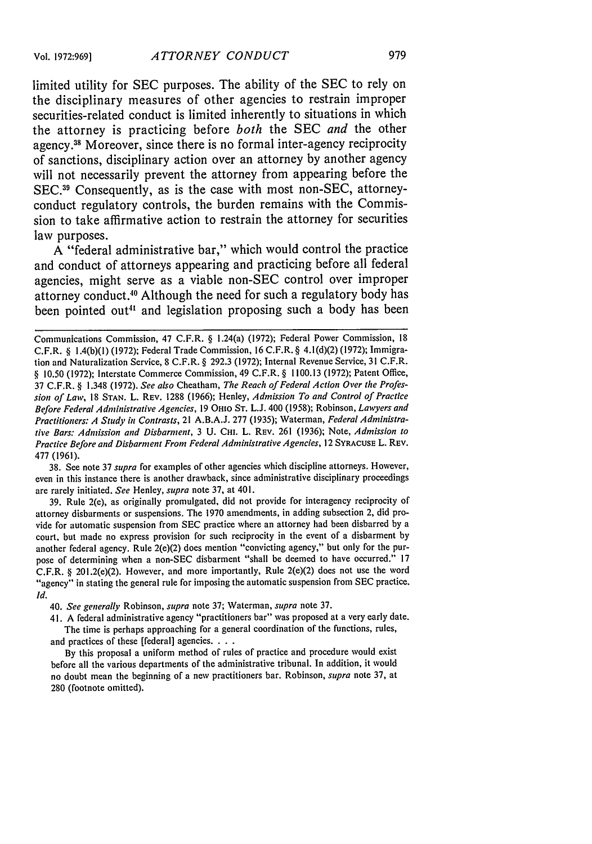limited utility for **SEC** purposes. The ability of the **SEC** to rely on the disciplinary measures of other agencies to restrain improper securities-related conduct is limited inherently to situations in which the attorney is practicing before *both* the **SEC** *and* the other agency.<sup>38</sup> Moreover, since there is no formal inter-agency reciprocity of sanctions, disciplinary action over an attorney **by** another agency will not necessarily prevent the attorney from appearing before the SEC.<sup>39</sup> Consequently, as is the case with most non-SEC, attorneyconduct regulatory controls, the burden remains with the Commission to take affirmative action to restrain the attorney for securities law purposes.

**A** "federal administrative bar," which would control the practice and conduct of attorneys appearing and practicing before all federal agencies, might serve as a viable non-SEC control over improper attorney conduct.<sup>40</sup> Although the need for such a regulatory body has been pointed out<sup>41</sup> and legislation proposing such a body has been

38. See note 37 *supra* for examples of other agencies which discipline attorneys. However, even in this instance there is another drawback, since administrative disciplinary proceedings are rarely initiated. *See* Henley, *supra* note 37, at 401.

39. Rule 2(e), as originally promulgated, did not provide for interagency reciprocity of attorney disbarments or suspensions. The 1970 amendments, in adding subsection 2, did provide for automatic suspension from SEC practice where an attorney had been disbarred by a court, but made no express provision for such reciprocity in the event of a disbarment by another federal agency. Rule 2(e)(2) does mention "convicting agency," but only for the purpose of determining when a non-SEC disbarment "shall be deemed to have occurred." 17 C.F.R. § 201.2(e)(2). However, and more importantly, Rule 2(e)(2) does not use the word "agency" in stating the general rule for imposing the automatic suspension from SEC practice. *Id.*

41. A federal administrative agency "practitioners bar" was proposed at a very early date. The time is perhaps approaching for a general coordination of the functions, rules,

and practices of these [federal] agencies. **...**

By this proposal a uniform method of rules of practice and procedure would exist before all the various departments of the administrative tribunal. In addition, it would no doubt mean the beginning of a new practitioners bar. Robinson, *supra* note 37, at 280 (footnote omitted).

Communications Commission, 47 C.F.R. § 1.24(a) (1972); Federal Power Commission, 18 C.F.R. § 1.4(b)(1) (1972), Federal Trade Commission, 16 C.F.R. § 4.1(d)(2) (1972); Immigration and Naturalization Service, 8 C.F.R. § 292.3 (1972); Internal Revenue Service, 31 C.F.R. § 10.50 (1972); Interstate Commerce Commission, 49 C.F.R. § 1100.13 (1972); Patent Office, 37 C.F.R. § 1.348 (1972). *See also* Cheatham, *The Reach of Federal Action Over the Profession of Law,* 18 STAN. L. REV. 1288 (1966); Henley, *Admission To and Control of Practice Before Federal Administrative Agencies,* 19 OHIo **ST.** L.J. 400 (1958); Robinson, *Lawyers and Practitioners: A Study in Contrasts,* 21 A.B.A.J. 277 (1935); Waterman, *Federal Administrative Bars: Admission and Disbarment,* 3 U. **CHI.** L. REv. 261 (1936); Note, *Admission to Practice Before and Disbarment From Federal Administrative Agencies,* 12 SYRACUSE L. REV. 477 (1961).

<sup>40.</sup> *See generally* Robinson, *supra* note 37; Waterman, *supra* note 37.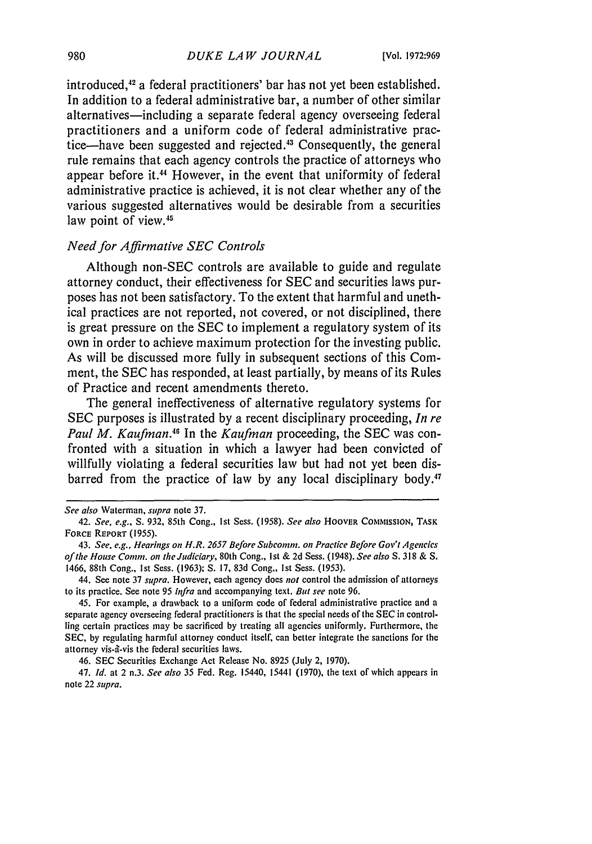introduced,42 a federal practitioners' bar has not yet been established. In addition to a federal administrative bar, a number of other similar alternatives—including a separate federal agency overseeing federal practitioners and a uniform code of federal administrative practice—have been suggested and rejected.<sup>43</sup> Consequently, the general rule remains that each agency controls the practice of attorneys who appear before **it.44** However, in the event that uniformity of federal administrative practice is achieved, it is not clear whether any of the various suggested alternatives would be desirable from a securities law point of view.<sup>45</sup>

### *Need for Affirmative SEC Controls*

Although non-SEC controls are available to guide and regulate attorney conduct, their effectiveness for SEC and securities laws purposes has not been satisfactory. To the extent that harmful and unethical practices are not reported, not covered, or not disciplined, there is great pressure on the SEC to implement a regulatory system of its own in order to achieve maximum protection for the investing public. As will be discussed more fully in subsequent sections of this Comment, the SEC has responded, at least partially, by means of its Rules of Practice and recent amendments thereto.

The general ineffectiveness of alternative regulatory systems for SEC purposes is illustrated by a recent disciplinary proceeding, *In re Paul M. Kaufman.46* In the *Kaufman* proceeding, the SEC was confronted with a situation in which a lawyer had been convicted of willfully violating a federal securities law but had not yet been disbarred from the practice of law by any local disciplinary body.<sup>47</sup>

46. SEC Securities Exchange Act Release No. 8925 (July 2, 1970).

47. *Id.* at 2 n.3. *See also* 35 Fed. Reg. 15440, 15441 (1970), the text of which appears in note 22 *supra.*

*See also* Waterman, *supra* note 37.

<sup>42.</sup> *See, e.g.,* S. 932, 85th Cong., Ist Sess. *(1958). See also* HOOVER **COMMISSION,** TASK FORCE REPORT **(1955).**

<sup>43.</sup> *See. e.g., Hearings on H.R. 2657 Before Subcomm. on Practice Before Gov't Agencies of the House Comm. on the Judiciary,* 80th Cong., **Ist** & 2d Sess. (1948). *See also* S. 318 & **S.** 1466, 88th Cong., Ist Sess. (1963); S. 17, 83d Cong., Ist Sess. **(1953).**

<sup>44.</sup> See note 37 *supra.* However, each agency does *not* control the admission of attorneys to its practice. See note 95 *infra* and accompanying text. *But see* note 96.

<sup>45.</sup> For example, a drawback to a uniform code of federal administrative practice and a separate agency overseeing federal practitioners is that the special needs of the SEC in controlling certain practices may be sacrificed by treating all agencies uniformly, Furthermore, the SEC, by regulating harmful attorney conduct itself, can better integrate the sanctions for the attorney vis-a-vis the federal securities laws.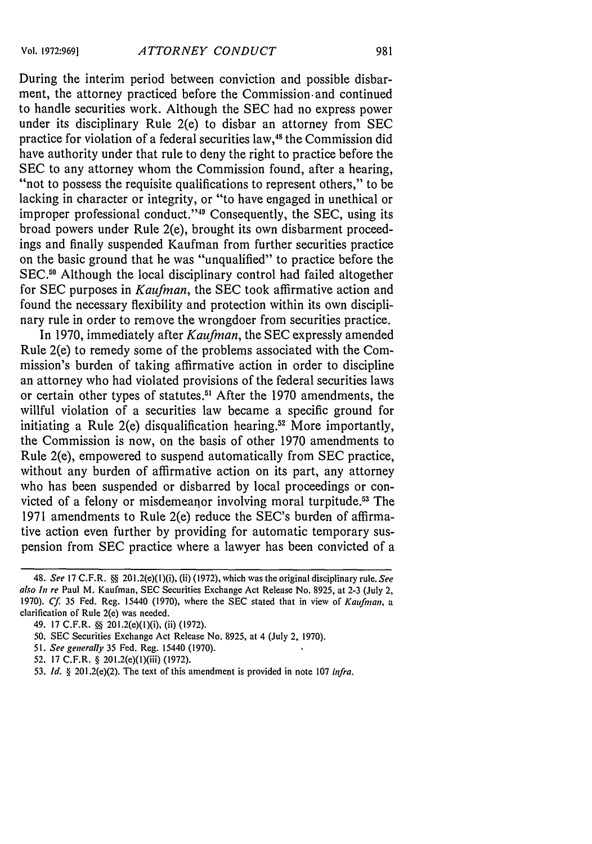During the interim period between conviction and possible disbarment, the attorney practiced before the Commission.and continued to handle securities work. Although the SEC had no express power under its disciplinary Rule 2(e) to disbar an attorney from SEC practice for violation of a federal securities law,<sup>48</sup> the Commission did have authority under that rule to deny the right to practice before the SEC to any attorney whom the Commission found, after a hearing, "not to possess the requisite qualifications to represent others," to be lacking in character or integrity, or "to have engaged in unethical or improper professional conduct."<sup>49</sup> Consequently, the SEC, using its broad powers under Rule 2(e), brought its own disbarment proceedings and finally suspended Kaufman from further securities practice on the basic ground that he was "unqualified" to practice before the **SEC."** Although the local disciplinary control had failed altogether for SEC purposes in *Kaufman,* the SEC took affirmative action and found the necessary flexibility and protection within its own disciplinary rule in order to remove the wrongdoer from securities practice.

In 1970, immediately after *Kaufman,* the SEC expressly amended Rule 2(e) to remedy some of the problems associated with the Commission's burden of taking affirmative action in order to discipline an attorney who had violated provisions of the federal securities laws or certain other types of statutes.<sup>51</sup> After the 1970 amendments, the willful violation of a securities law became a specific ground for initiating a Rule 2(e) disqualification hearing.52 More importantly, the Commission is now, on the basis of other 1970 amendments to Rule 2(e), empowered to suspend automatically from SEC practice, without any burden of affirmative action on its part, any attorney who has been suspended or disbarred by local proceedings or convicted of a felony or misdemeanor involving moral turpitude.<sup>53</sup> The 1971 amendments to Rule 2(e) reduce the SEC's burden of affirmative action even further by providing for automatic temporary suspension from SEC practice where a lawyer has been convicted of a

- **51.** *See generally* 35 Fed. Reg. 15440 (1970).
- 52. 17 C.F.R. § 201.2(e)(I)(iii) (1972).
- 53. *Id. §* 201.2(e)(2). The text of this amendment is provided in note 107 *infra.*

<sup>48.</sup> See 17 C.F.R. **.§** 201.2(e)(l)(i), (ii) (1972), which was the original disciplinary rule. See also *In re* Paul M. Kaufman, SEC Securities Exchange Act Release No. 8925, at 2-3 (July 2, 1970). **Cf.** 35 Fed. Reg. 15440 (1970), where the SEC stated that in view of *Kaufman, a* clarification of Rule 2(e) was needed.

<sup>49. 17</sup> C.F.R. *§§* 201.2(e)(l)(i), (ii) (1972).

<sup>50.</sup> SEC Securities Exchange Act Release No. 8925, at 4 (July 2, 1970).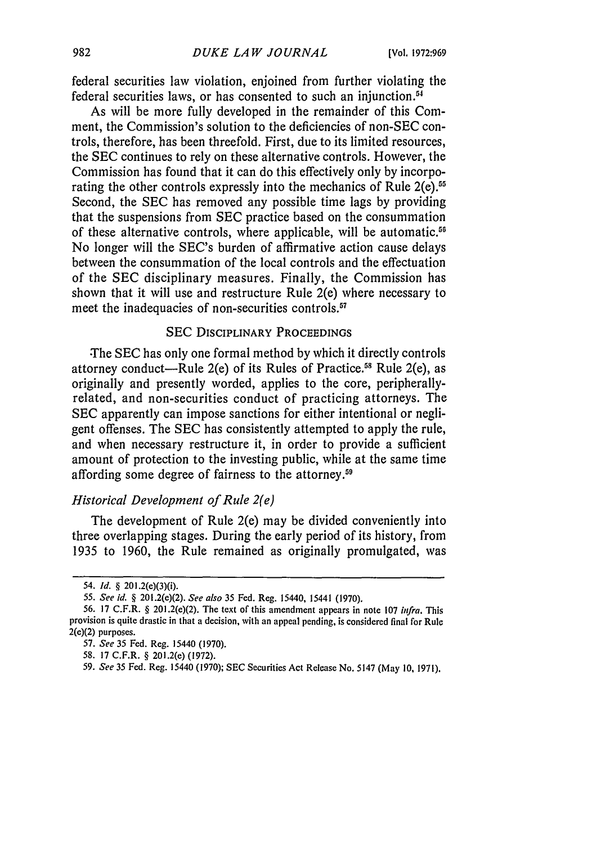federal securities law violation, enjoined from further violating the federal securities laws, or has consented to such an injunction.54

As will be more fully developed in the remainder of this Comment, the Commission's solution to the deficiencies of non-SEC controls, therefore, has been threefold. First, due to its limited resources, the SEC continues to rely on these alternative controls. However, the Commission has found that it can do this effectively only by incorporating the other controls expressly into the mechanics of Rule  $2(e)$ .<sup>55</sup> Second, the SEC has removed any possible time lags by providing that the suspensions from SEC practice based on the consummation of these alternative controls, where applicable, will be automatic.<sup>56</sup> No longer will the SEC's burden of affirmative action cause delays between the consummation of the local controls and the effectuation of the SEC disciplinary measures. Finally, the Commission has shown that it will use and restructure Rule 2(e) where necessary to meet the inadequacies of non-securities controls.<sup>57</sup>

### SEC DISCIPLINARY PROCEEDINGS

The SEC has only one formal method by which it directly controls attorney conduct—Rule  $2(e)$  of its Rules of Practice.<sup>58</sup> Rule  $2(e)$ , as originally and presently worded, applies to the core, peripherallyrelated, and non-securities conduct of practicing attorneys. The SEC apparently can impose sanctions for either intentional or negligent offenses. The SEC has consistently attempted to apply the rule, and when necessary restructure it, in order to provide a sufficient amount of protection to the investing public, while at the same time affording some degree of fairness to the attorney.<sup>59</sup>

### *Historical Development of Rule 2(e)*

The development of Rule 2(e) may be divided conveniently into three overlapping stages. During the early period of its history, from 1935 to 1960, the Rule remained as originally promulgated, was

*<sup>54.</sup> Id.* § 201.2(e)(3)(i).

*<sup>55.</sup> See id.* § 201.2(e)(2). *See also 35* Fed. Reg. 15440, 15441 (1970).

**<sup>56.</sup>** 17 C.F.R. § 201.2(e)(2). The text of this amendment appears in note 107 *infra.* This provision is quite drastic in that a decision, with an appeal pending, is considered final for Rule 2(e)(2) purposes.

*<sup>57.</sup> See 35* Fed. Reg. 15440 (1970).

<sup>58. 17</sup> C.F.R. § 201.2(e) (1972).

*<sup>59.</sup> See* 35 Fed. Reg. 15440 (1970); SEC Securities Act Release No. 5147 (May 10, 1971).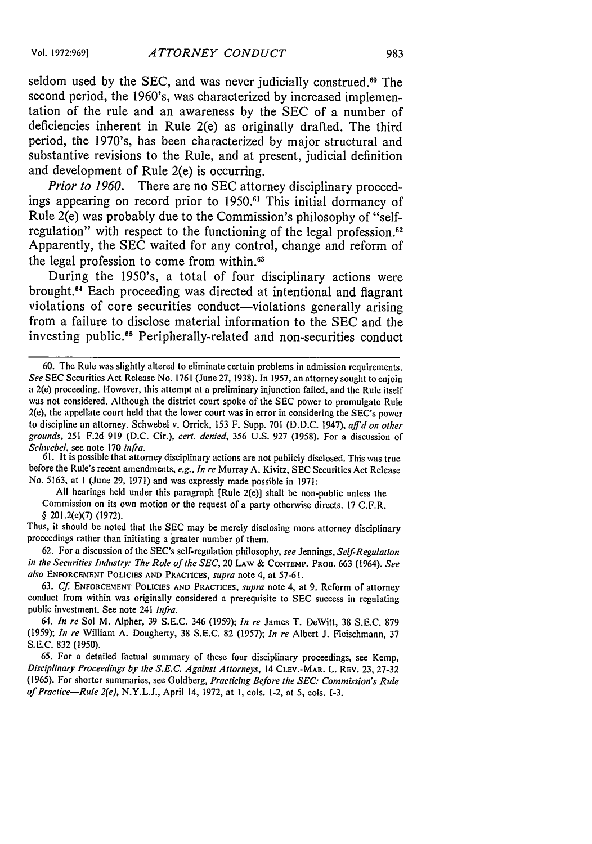983

seldom used by the SEC, and was never judicially construed.<sup>60</sup> The second period, the 1960's, was characterized **by** increased implementation of the rule and an awareness **by** the **SEC** of a number of deficiencies inherent in Rule 2(e) as originally drafted. The third period, the 1970's, has been characterized **by** major structural and substantive revisions to the Rule, and at present, judicial definition and development of Rule 2(e) is occurring.

*Prior to 1960.* There are no **SEC** attorney disciplinary proceedings appearing on record prior to **1950.61** This initial dormancy of Rule 2(e) was probably due to the Commission's philosophy of "selfregulation" with respect to the functioning of the legal profession.<sup>62</sup> Apparently, the **SEC** waited for any control, change and reform of the legal profession to come from within.<sup>63</sup>

During the 1950's, a total of four disciplinary actions were brought. 4 Each proceeding was directed at intentional and flagrant violations of core securities conduct—violations generally arising from a failure to disclose material information to the **SEC** and the investing public.65 Peripherally-related and non-securities conduct

61. It is possible that attorney disciplinary actions are not publicly disclosed. This was true before the Rule's recent amendments, *e.g., In re* Murray A. Kivitz, SEC Securities Act Release No. 5163, at I (June 29, 1971) and was expressly made possible in 1971:

All hearings held under this paragraph [Rule 2(e)] shall be non-public unless the Commission on its own motion or the request of a party otherwise directs. 17 C.F.R. § 201.2(e)(7) (1972).

Thus, it should be noted that the SEC may be merely disclosing more attorney disciplinary proceedings rather than initiating a greater number of them.

62. For a discussion of the SEC's self-regulation philosophy, *see* Jennings, *Self-Regulation in the Securities Industry: The Role of the SEC,* 20 LAW & **CONTEMP.** PROB. 663 (1964). *See also* **ENFORCEMENT POLICIES AND** PRACTICES, *supra* note 4, at 57-61.

63. *Cf.* **ENFORCEMENT POLICIES AND** PRACTICES, *supra* note 4, at 9. Reform of attorney conduct from within was originally considered a prerequisite to SEC success in regulating public investment. See note 241 *infra.*

*64. In re* Sol M. Alpher, 39 S.E.C. 346 **(1959);** *In re* James T. DeWitt, 38 S.E.C. 879 **(1959);** *In re* William A. Dougherty, 38 S.E.C. 82 (1957); *In re* Albert J. Fleischmann, 37 S.E.C. 832 (1950).

65. For a detailed factual summary of these four disciplinary proceedings, see Kemp, *Disciplinary Proceedings by the S.E.C. Against Attorneys,* 14 CLEV.-MAR. L. REv. 23, 27-32 (1965). For shorter summaries, see Goldberg, *Practicing Before the SEC: Commission's Rule of Practice-Rule 2(e),* N.Y.L.J., April 14, 1972, at **1,** cols. 1-2, at 5, cols. 1-3.

<sup>60.</sup> The Rule was slightly altered to eliminate certain problems in admission requirements. *See* SEC Securities Act Release No. 1761 (June **27,** 1938). In 1957, an attorney sought to enjoin a 2(e) proceeding. However, this attempt at a preliminary injunction failed, and the Rule itself was not considered. Although the district court spoke of the SEC power to promulgate Rule 2(e), the appellate court held that the lower court was in error in considering the SEC's power to discipline an attorney. Schwebel v. Orrick, 153 F. Supp. 701 (D.D.C. 1947), *aff d on other* grounds, 251 F.2d 919 (D.C. Cir.), *cert. denied,* 356 U.S. 927 (1958). For a discussion of Schwebel, see note 170 infra.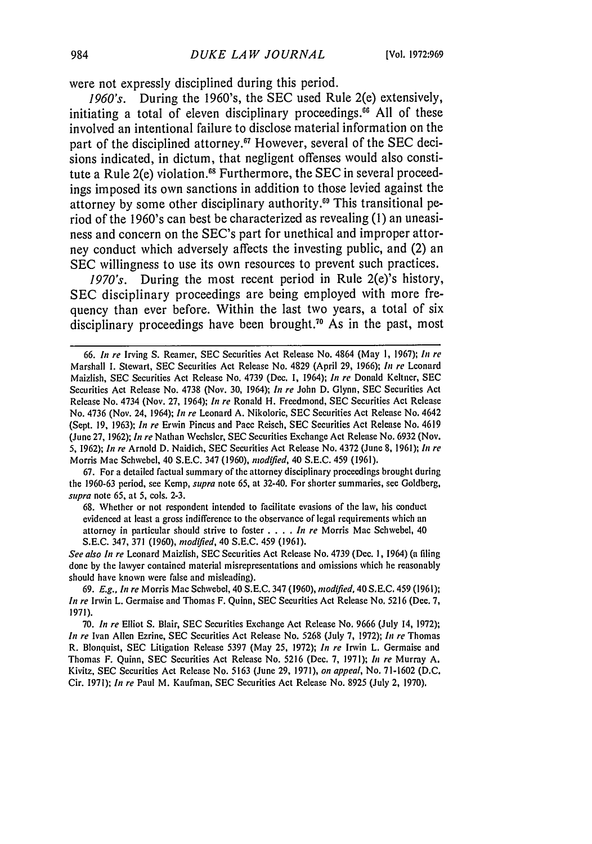were not expressly disciplined during this period.

*1960's.* During the 1960's, the **SEC** used Rule 2(e) extensively, initiating a total of eleven disciplinary proceedings.66 **All** of these involved an intentional failure to disclose material information on the part of the disciplined attorney.67 However, several of the **SEC** decisions indicated, in dictum, that negligent offenses would also constitute a Rule 2(e) violation.<sup>68</sup> Furthermore, the SEC in several proceedings imposed its own sanctions in addition to those levied against the attorney **by** some other disciplinary authority." This transitional period of the 1960's can best be characterized as revealing **(1)** an uneasiness and concern on the SEC's part for unethical and improper attorney conduct which adversely affects the investing public, and (2) an **SEC** willingness to use its own resources to prevent such practices.

*1970's.* During the most recent period in Rule 2(e)'s history, **SEC** disciplinary proceedings are being employed with more frequency than ever before. Within the last two years, a total of six disciplinary proceedings have been brought.<sup>70</sup> As in the past, most

67. For a detailed factual summary of the attorney disciplinary proceedings brought during the 1960-63 period, see Kemp, *supra* note 65, at 32-40. For shorter summaries, see Goldberg, *supra* note 65, at **5,** cols. 2-3.

68. Whether or not respondent intended to facilitate evasions of the law, his conduct evidenced at least a gross indifference to the observance of legal requirements which an attorney in particular should strive to foster . **. .** . *In re* Morris Mac Schwebel, 40 S.E.C. 347, 371 (1960), *modified,* 40 S.E.C. 459 (1961).

*See also In re* Leonard Maizlish, SEC Securities Act Release No. 4739 (Dec. **1,** 1964) (a filing done by the lawyer contained material misrepresentations and omissions which he reasonably should have known were false and misleading).

69. *E.g., In re* Morris Mac Schwebel, 40 S.E.C. 347 (1960), *modified,* 40 S.E.C. 459 (1961); *In re* Irwin L. Germaise and Thomas F. Quinn, SEC Securities Act Release No. 5216 (Dec. **7,** 1971).

70. *In re* Elliot S. Blair, SEC Securities Exchange Act Release No. 9666 (July 14, 1972); *In re* Ivan Allen Ezrine, SEC Securities Act Release No. 5268 (July 7, 1972); *In re* Thomas R. Blonquist, SEC Litigation Release 5397 (May 25, 1972); *In re* Irwin L. Germaise and Thomas F. Quinn, SEC Securities Act Release No. 5216 (Dec. 7, 1971); *In re* Murray A. Kivitz, SEC Securities Act Release No. 5163 (June 29, 1971), *on appeal,* No. 71-1602 (D.C. Cir. 1971); *In re* Paul M. Kaufman, SEC Securities Act Release No. 8925 (July 2, 1970).

<sup>66.</sup> *In re* Irving S. Reamer, SEC Securities Act Release No. 4864 (May **1,** 1967); *In re* Marshall I. Stewart, SEC Securities Act Release No. 4829 (April 29, 1966); *In re* Leonard Maizlish, SEC Securities Act Release No. 4739 (Dec. 1, 1964); *In re* Donald Keltner, SEC Securities Act Release No. 4738 (Nov. **30,** 1964); *In re* John D. Glynn, SEC Securities Act Release No. 4734 (Nov. 27, 1964); *In re* Ronald H. Freedmond, SEC Securities Act Release No. 4736 (Nov. 24, 1964); *In re* Leonard A. Nikoloric, SEC Securities Act Release No. 4642 (Sept. 19, 1963); *In re* Erwin Pincus and Pace Reisch, SEC Securities Act Release No. 4619 (June 27, 1962); *In re* Nathan Wechsler, SEC Securities Exchange Act Release No. 6932 (Nov. **5,** 1962); *In re* Arnold D. Naidich, SEC Securities Act Release No. 4372 (June 8, 1961); *In re* Morris Mac Schwebel, 40 S.E.C. 347 (1960), *modified,* 40 S.E.C. 459 (1961).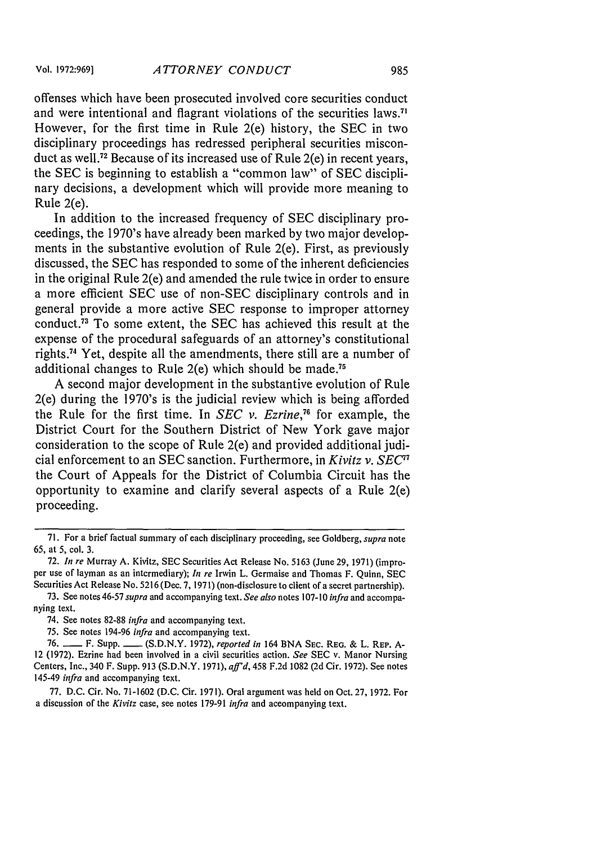Vol. **1972:9691**

offenses which have been prosecuted involved core securities conduct and were intentional and flagrant violations of the securities laws.<sup>71</sup> However, for the first time in Rule 2(e) history, the **SEC** in two disciplinary proceedings has redressed peripheral securities misconduct as well.72 Because of its increased use of Rule 2(e) in recent years, the **SEC** is beginning to establish a "common law" of **SEC** disciplinary decisions, a development which will provide more meaning to Rule 2(e).

In addition to the increased frequency of **SEC** disciplinary proceedings, the 1970's have already been marked **by** two major developments in the substantive evolution of Rule 2(e). First, as previously discussed, the **SEC** has responded to some of the inherent deficiencies in the original Rule 2(e) and amended the rule twice in order to ensure a more efficient **SEC** use of non-SEC disciplinary controls and in general provide a more active **SEC** response to improper attorney conduct.73 To some extent, the **SEC** has achieved this result at the expense of the procedural safeguards of an attorney's constitutional rights.<sup>74</sup> Yet, despite all the amendments, there still are a number of additional changes to Rule 2(e) which should be **made. 71**

**A** second major development in the substantive evolution of Rule 2(e) during the 1970's is the judicial review which is being afforded the Rule for the first time. In **SEC** *v. Ezrine,76* for example, the District Court for the Southern District of New York gave major consideration to the scope of Rule 2(e) and provided additional judicial enforcement to an **SEC** sanction. Furthermore, in *Kivitz v. SEC<sup>7</sup>* the Court of Appeals for the District of Columbia Circuit has the opportunity to examine and clarify several aspects of a Rule 2(e) proceeding.

<sup>71.</sup> For a brief factual summary of each disciplinary proceeding, see Goldberg, *supra* note **65,** at 5, col. 3.

<sup>72.</sup> *In re* Murray **A.** Kivitz, **SEC** Securities Act Release No. 5163 (June 29, 1971) (improper use of layman as an intermediary); *In re* Irwin L. Germaise and Thomas F. Quinn, **SEC** Securities Act Release No. 5216 (Dec. 7, 1971) (non-disclosure to client of a secret partnership).

<sup>73.</sup> See notes **46-57** *supra* and accompanying text. *See also* notes **107-10** *infra* and accompanying text.

<sup>74.</sup> See notes **82-88** *infra* and accompanying text.

**<sup>75.</sup>** See notes 194-96 *infra* and accompanying text.

<sup>76.</sup> **-** F. Supp. **-** (S.D.N.Y. 1972), *reported in* 164 BNA SEc. REG. & L. Rae. A-12 (1972). Ezrine had been involved in a civil securities action. *See* **SEC v,** Manor Nursing Centers, Inc., 340 F. Supp. 913 (S.D.N.Y. 1971), *aff'd,* 458 F.2d 1082 (2d Cir. 1972). See notes 145-49 *infra* and accompanying text.

<sup>77.</sup> D.C. Cir. No. 71-1602 (D.C. Cir. 1971). Oral argument was held on Oct. 27, 1972. For a discussion of the *Kivitz* case, see notes **179-91** *infra* and accompanying text.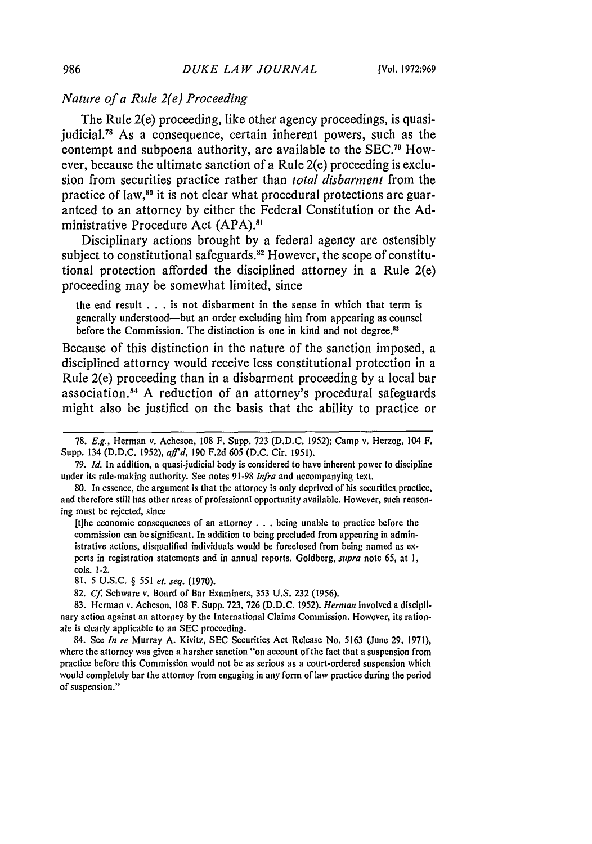### *Nature of a Rule 2(e) Proceeding*

The Rule 2(e) proceeding, like other agency proceedings, is quasijudicial.<sup>78</sup> As a consequence, certain inherent powers, such as the contempt and subpoena authority, are available to the **SEC.79** However, because the ultimate sanction of a Rule 2(e) proceeding is exclusion from securities practice rather than *total disbarment* from the practice of law, $^{80}$  it is not clear what procedural protections are guaranteed to an attorney **by** either the Federal Constitution or the **Ad**ministrative Procedure Act **(APA).8'**

Disciplinary actions brought **by** a federal agency are ostensibly subject to constitutional safeguards.<sup>82</sup> However, the scope of constitutional protection afforded the disciplined attorney in a Rule 2(e) proceeding may be somewhat limited, since

the end result **. . .** is not disbarment in the sense in which that term is generally understood-but an order excluding him from appearing as counsel before the Commission. The distinction is one in kind and not degree.<sup>83</sup>

Because of this distinction in the nature of the sanction imposed, a disciplined attorney would receive less constitutional protection in a Rule 2(e) proceeding than in a disbarment proceeding **by** a local bar association. <sup>4</sup>**A** reduction of an attorney's procedural safeguards might also **be** justified on the basis that the ability to practice or

79. *Id.* In addition, a quasi-judicial body is considered to have inherent power to discipline under its rule-making authority. See notes 91-98 *infra* and accompanying text,

80. In essence, the argument is that the attorney is only deprived of his securities practice, and therefore still has other areas of professional opportunity available, However, such reasoning must be rejected, since

[t]he economic consequences of an attorney . . . being unable to practice before the commission can be significant. In addition to being precluded from appearing in administrative actions, disqualified individuals would be foreclosed from being named as experts in registration statements and in annual reports. Goldberg, *supra* note 65, at 1, cols. 1-2.

81. 5 U.S.C. § 551 *et. seq.* (1970).

82. *Cf* Schware v. Board of Bar Examiners, 353 U.S. 232 (1956).

83. Herman v. Acheson, 108 F. Supp. 723, 726 (D.D.C. 1952). *Herman* involved a disciplinary action against an attorney by the International Claims Commission. However, its rationale is clearly applicable to an SEC proceeding.

84. See *In re* Murray A. Kivitz, SEC Securities Act Release No. 5163 (June 29, 1971), where the attorney was given a harsher sanction "on account of the fact that a suspension from practice before this Commission would not be as serious as a court-ordered suspension which would completely bar the attorney from engaging in any form of law practice during the period of suspension."

<sup>78.</sup> *E.g.,* Herman v. Acheson, 108 F. Supp. 723 (D.D.C. 1952); Camp v. Herzog, 104 F. Supp. 134 (D.D.C. **1952),** *af'd,* 190 F.2d 605 (D.C. Cir. 1951).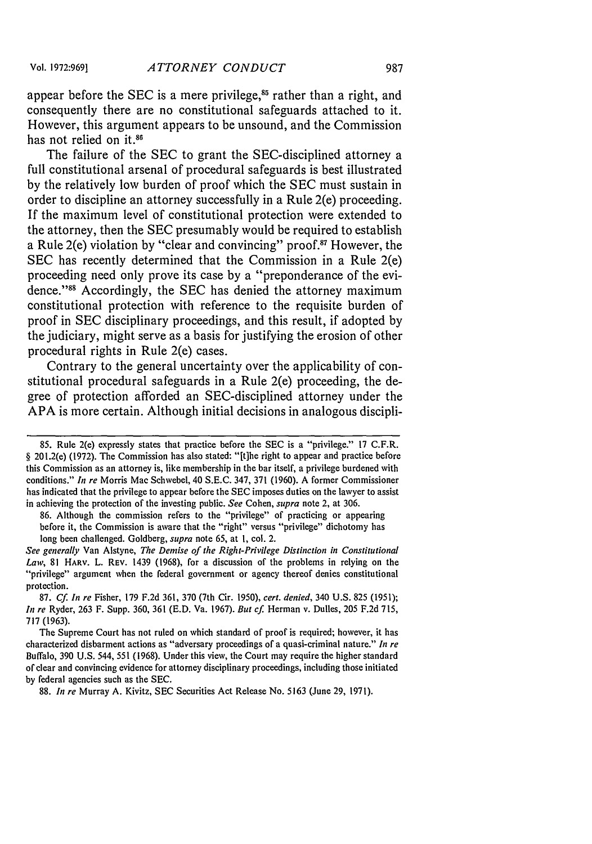**Vol. 1972:969]**

appear before the SEC is a mere privilege,<sup>85</sup> rather than a right, and consequently there are no constitutional safeguards attached to it. However, this argument appears to be unsound, and the Commission has not relied on it.<sup>86</sup>

The failure of the **SEC** to grant the SEC-disciplined attorney a full constitutional arsenal of procedural safeguards is best illustrated **by** the relatively low burden of proof which the **SEC** must sustain in order to discipline an attorney successfully in a Rule 2(e) proceeding. If the maximum level of constitutional protection were extended to the attorney, then the **SEC** presumably would be required to establish a Rule 2(e) violation **by** "clear and convincing" proof.87 However, the **SEC** has recently determined that the Commission in a Rule 2(e) proceeding need only prove its case **by** a "preponderance of the evidence."<sup>88</sup> Accordingly, the SEC has denied the attorney maximum constitutional protection with reference to the requisite burden of proof in **SEC** disciplinary proceedings, and this result, if adopted **by** the judiciary, might serve as a basis for justifying the erosion of other procedural rights in Rule 2(e) cases.

Contrary to the general uncertainty over the applicability of constitutional procedural safeguards in a Rule 2(e) proceeding, the degree of protection afforded an SEC-disciplined attorney under the **APA** is more certain. Although initial decisions in analogous discipli-

86. Although the commission refers to the "privilege" of practicing or appearing before it, the Commission is aware that the "right" versus "privilege" dichotomy has long been challenged. Goldberg, *supra* note 65, at **1,** col. 2.

*See generally* Van Alstyne, *The Demise of the Right-Privilege Distinction in Constitutional Law,* 81 HARv. L. REV. 1439 (1968), for a discussion of the problems in relying on the "privilege" argument when the federal government or agency thereof denies constitutional protection.

87. **Cf.** *In re* Fisher, 179 F.2d 361, 370 (7th Cir. 1950), *cert. denied,* 340 U.S. 825 **(1951);** *In re* Ryder, 263 F. Supp. 360, 361 (E.D. Va. 1967). *But* cf. Herman v. Dulles, 205 F.2d 715, 717 (1963).

The Supreme Court has not ruled on which standard of proof is required; however, it has characterized disbarment actions as "adversary proceedings of a quasi-criminal nature." *In re* Buffalo, 390 U.S. 544, 551 (1968). Under this view, the Court may require the higher standard of clear and convincing evidence for attorney disciplinary proceedings, including those initiated by federal agencies such as the SEC.

88. *In re* Murray A. Kivitz, SEC Securities Act Release No. 5163 (June 29, 1971).

**<sup>85.</sup>** Rule 2(e) expressly states that practice before the SEC is a "privilege." 17 C.F.R. § 201.2(e) (1972). The Commission has also stated: "[t]he right to appear and practice before this Commission as an attorney is, like membership in the bar itself, a privilege burdened with conditions." *In re* Morris Mac Schwebel, 40 S.E.C. 347, 371 (1960). A former Commissioner has indicated that the privilege to appear before the SEC imposes duties on the lawyer to assist in achieving the protection of the investing public. *See* Cohen, *supra* note 2, at 306.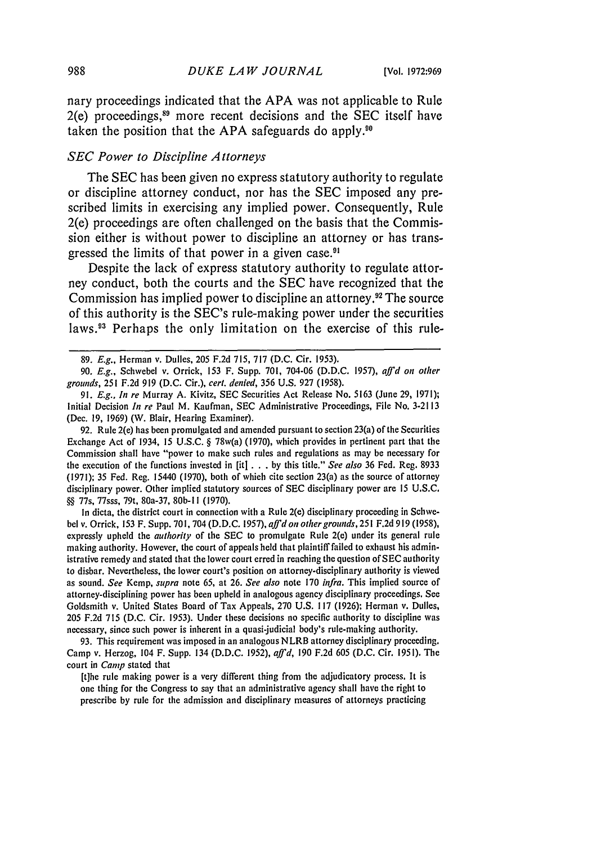nary proceedings indicated that the **APA** was not applicable to Rule 2(e) proceedings, 9 more recent decisions and the **SEC** itself have taken the position that the APA safeguards do apply.<sup>90</sup>

### *SEC Power to Discipline Attorneys*

The **SEC** has been given no express statutory authority to regulate or discipline attorney conduct, nor has the **SEC** imposed any prescribed limits in exercising any implied power. Consequently, Rule 2(e) proceedings are often challenged on the basis that the Commission either is without power to discipline an attorney or has transgressed the limits of that power in a given case.<sup>91</sup>

Despite the lack of express statutory authority to regulate attorney conduct, both the courts and the **SEC** have recognized that the Commission has implied power to discipline an attorney.92 The source of this authority is the SEC's rule-making power under the securities **laws.13** Perhaps the only limitation on the exercise of this rule-

92. Rule 2(e) has been promulgated and amended pursuant to section 23(a) of the Securities Exchange Act of 1934, 15 U.S.C. § 78w(a) (1970), which provides in pertinent part that the Commission shall have "power to make such rules and regulations as may be necessary for the execution of the functions invested in [it] **. .** . by this title." *See also* 36 Fed. Reg, 8933 (1971); 35 Fed. Reg. 15440 (1970), both of which cite section 23(a) as the source of attorney disciplinary power. Other implied statutory sources of SEC disciplinary power are 15 U.S.C. **§§** 77s, 77sss, 79t, 80a-37, 80b-I **1** (1970).

In dicta, the district court in connection with a Rule 2(e) disciplinary proceeding in Schwebel v. Orrick, 153 F. Supp. 701, 704 (D.D.C. 1957), *affdon other grounds,* 251 F.2d 919 (1958), expressly upheld the *authority* of the SEC to promulgate Rule 2(e) under its general rule making authority. However, the court of appeals held that plaintiff failed to exhaust his administrative remedy and stated that the lower court erred in reaching the question of SEC authority to disbar. Nevertheless, the lower court's position on attorney-disciplinary authority is viewed as sound. *See* Kemp, *supra* note 65, at 26. *See also* note 170 *infra.* This implied source of attorney-disciplining power has been upheld in analogous agency disciplinary proceedings. See Goldsmith v. United States Board of Tax Appeals, 270 U.S. 117 (1926); Herman v. Dulles, 205 F.2d 715 (D.C. Cir. 1953). Under these decisions no specific authority to discipline was necessary, since such power is inherent in a quasi-judicial body's rule-making authority.

93. This requirement was imposed in an analogous NLRB attorney disciplinary proceeding. Camp v. Herzog, 104 F. Supp. 134 (D.D.C. 1952), *affd,* 190 F.2d 605 (D.C. Cir. 1951). The court in *Camp* stated that

[tihe rule making power is a very different thing from the adjudicatory process. It is one thing for the Congress to say that an administrative agency shall have the right to prescribe by rule for the admission and disciplinary measures of attorneys practicing

**<sup>89.</sup>** *E.g.,* Herman v. Dulles, 205 F.2d 715, 717 (D.C. Cir. 1953).

<sup>90.</sup> *E.g.,* Schwebel v. Orrick, 153 F. Supp. 701, 704-06 (D.D.C. 1957), *affd* on *other grounds,* 251 F.2d 919 (D.C. Cir.), *cert. denied, 356* U.S. 927 (1958).

<sup>91.</sup> *E.g., In re* Murray A. Kivitz, SEC Securities Act Release No. 5163 (June 29, 1971); Initial Decision *In re* Paul M. Kaufman, SEC Administrative Proceedings, File No. 3-2113 (Dec. 19, 1969) (W. Blair, Hearing Examiner).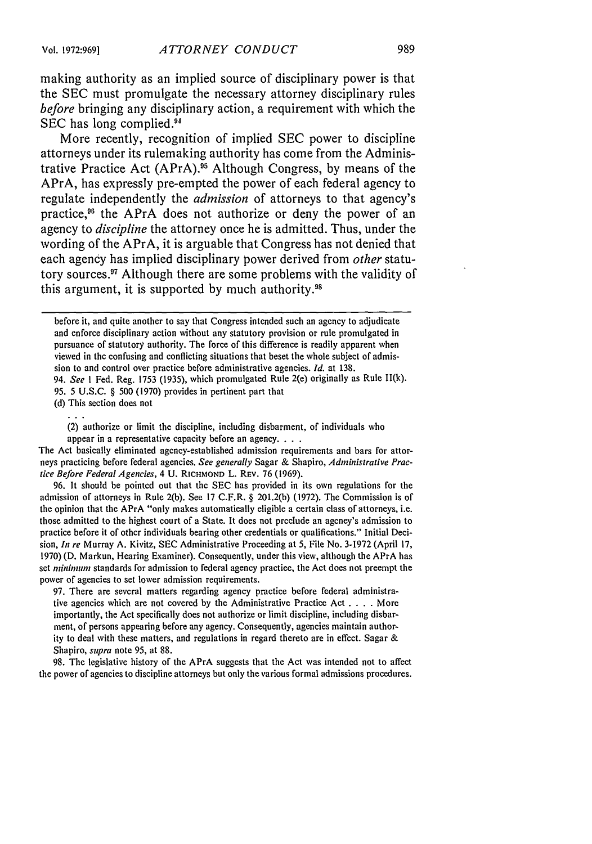making authority as an implied source of disciplinary power is that the SEC must promulgate the necessary attorney disciplinary rules before bringing any disciplinary action, a requirement with which the SEC has long complied.<sup>94</sup>

More recently, recognition of implied SEC power to discipline attorneys under its rulemaking authority has come from the Administrative Practice Act ( $APrA$ ).<sup>95</sup> Although Congress, by means of the APrA, has expressly pre-empted the power of each federal agency to regulate independently the *admission* of attorneys to that agency's practice,<sup>96</sup> the APrA does not authorize or deny the power of an agency to *discipline* the attorney once he is admitted. Thus, under the wording of the APrA, it is arguable that Congress has not denied that each agency has implied disciplinary power derived from *other* statutory sources." Although there are some problems with the validity of this argument, it is supported by much authority.<sup>98</sup>

before it, and quite another to say that Congress intended such an agency to adjudicate and enforce disciplinary action without any statutory provision or rule promulgated in pursuance of statutory authority. The force of this difference is readily apparent when viewed in the confusing and conflicting situations that beset the whole subject of admission to and control over practice before administrative agencies. *Id.* at 138.

94. *See* I Fed. Reg. 1753 (1935), which promulgated Rule 2(e) originally as Rule II(k). 95. **5** U.S.C. § 500 (1970) provides in pertinent part that

(d) This section does not

(2) authorize or limit the discipline, including disbarment, of individuals who appear in a representative capacity before an agency. . . .

The Act basically eliminated agency-established admission requirements and bars for attorneys practicing before federal agencies. *See generally* Sagar & Shapiro, *Administrative Practice Before Federal Agencies,* 4 U. RICHMOND L. **REV.** 76 (1969).

96. It should be pointed out that the SEC has provided in its own regulations for the admission of attorneys in Rule 2(b). See 17 C.F.R. § 201.2(b) (1972). The Commission is of the opinion that the APrA "only makes automatically eligible a certain class of attorneys, i.e. those admitted to the highest court of a State. It does not preclude an agency's admission to practice before it of other individuals bearing other credentials or qualifications." Initial Decision, *In re* Murray A. Kivitz, SEC Administrative Proceeding at 5, File No. 3-1972 (April 17, 1970) (D. Markun, Hearing Examiner). Consequently, under this view, although the APrA has set *nininum* standards for admission to federal agency practice, the Act does not preempt the power of agencies to set lower admission requirements.

97. There are several matters regarding agency practice before federal administrative agencies which are not covered by the Administrative Practice Act . **. .** . More importantly, the Act specifically does not authorize or limit discipline, including disbarment, of persons appearing before any agency. Consequently, agencies maintain authority to deal with these matters, and regulations in regard thereto are in effect. Sagar & Shapiro, *supra* note 95, at 88.

98. The legislative history of the APrA suggests that the Act was intended not to affect the power of agencies to discipline attorneys but only the various formal admissions procedures.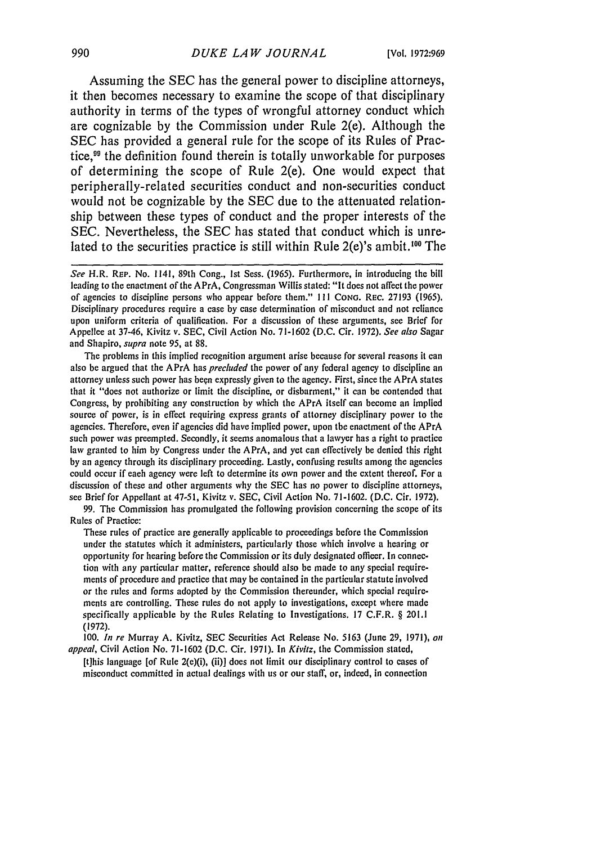Assuming the **SEC** has the general power to discipline attorneys, it then becomes necessary to examine the scope of that disciplinary authority in terms of the types of wrongful attorney conduct which are cognizable **by** the Commission under Rule 2(e). Although the **SEC** has provided a general rule for the scope of its Rules of Practice,<sup>99</sup> the definition found therein is totally unworkable for purposes of determining the scope of Rule 2(e). One would expect that peripherally-related securities conduct and non-securities conduct would not be cognizable **by** the **SEC** due to the attenuated relationship between these types of conduct and the proper interests of the **SEC.** Nevertheless, the **SEC** has stated that conduct which is unrelated to the securities practice is still within Rule  $2(e)$ 's ambit.<sup>100</sup> The

The problems in this implied recognition argument arise because for several reasons it can also be argued that the APrA has *precluded* the power of any federal agency to discipline an attorney unless such power has been expressly given to the agency. First, since the APrA states that it "does not authorize or limit the discipline, or disbarment," it can be contended that Congress, by prohibiting any construction by which the APrA itself can become an implied source of power, is in effect requiring express grants of attorney disciplinary power to the agencies. Therefore, even if agencies did have implied power, upon the enactment of the APrA such power was preempted. Secondly, it seems anomalous that a lawyer has a right to practice law granted to him by Congress under the APrA, and yet can effectively be denied this right by an agency through its disciplinary proceeding. Lastly, confusing results among the agencies could occur if each agency were left to determine its own power and the extent thereof. For a discussion of these and other arguments why the SEC has no power to discipline attorneys, see Brief for Appellant at 47-51, Kivitz v. SEC, Civil Action No. 71-1602. (D.C. Cir. 1972).

99. The Commission has promulgated the following provision concerning the scope of its Rules of Practice:

These rules of practice are generally applicable to proceedings before the Commission under the statutes which it administers, particularly those which involve a hearing or opportunity for hearing before the Commission or its duly designated officer. In connection with any particular matter, reference should also be made to any special requirements of procedure and practice that may be contained in the particular statute involved or the rules and forms adopted by the Commission thereunder, which special requirements are controlling. These rules do not apply to investigations, except where made specifically applicable by the Rules Relating to Investigations. 17 C.F.R. § 201.1 (1972).

100. *In re* Murray A. Kivitz, SEC Securities Act Release No. 5163 (June 29, 1971), *on appeal,* Civil Action No. 71-1602 (D.C. Cir. 1971). In *Kivitz,* the Commission stated,

[t]his language [of Rule 2(e)(i), (ii)] does not limit our disciplinary control to cases of misconduct committed in actual dealings with us or our staff, or, indeed, in connection

*See* H.R. REP. No. 1141, 89th Cong., 1st Sess. (1965). Furthermore, in introducing the bill leading to the enactment of the APrA, Congressman Willis stated: "It does not affect the power of agencies to discipline persons who appear before them." *11I CONG.* REc. 27193 (1965). Disciplinary procedures require a case by case determination of misconduct and not reliance upon uniform criteria of qualification. For a discussion of these arguments, see Brief for Appellee at 37-46, Kivitz v. SEC, Civil Action No. 71-1602 (D.C. Cir. 1972). *See also* Sagar and Shapiro, *supra* note 95, at 88.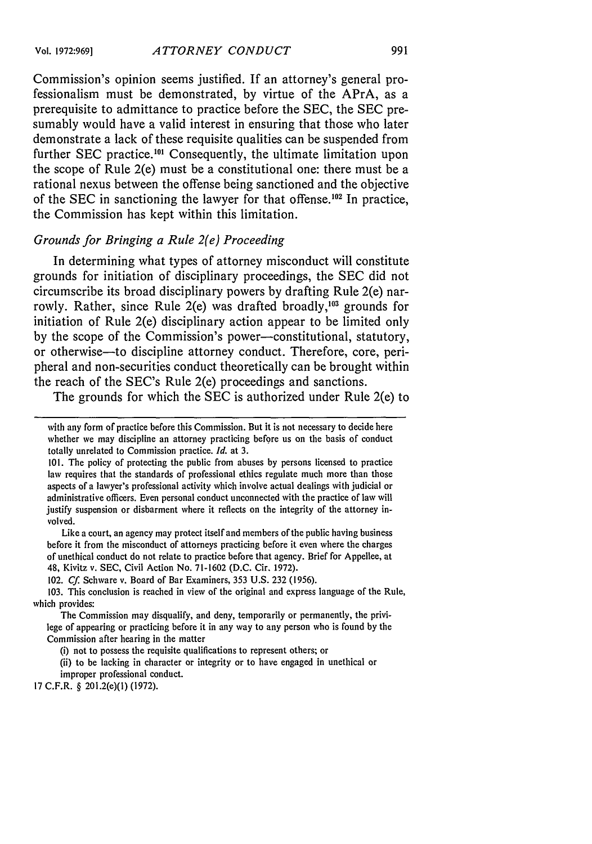Commission's opinion seems justified. If an attorney's general professionalism must be demonstrated, by virtue of the APrA, as a prerequisite to admittance to practice before the SEC, the SEC presumably would have a valid interest in ensuring that those who later demonstrate a lack of these requisite qualities can be suspended from further SEC practice.<sup>101</sup> Consequently, the ultimate limitation upon the scope of Rule 2(e) must be a constitutional one: there must be a rational nexus between the offense being sanctioned and the objective of the SEC in sanctioning the lawyer for that offense.<sup>102</sup> In practice, the Commission has kept within this limitation.

### *Grounds for Bringing a Rule 2(e) Proceeding*

In determining what types of attorney misconduct will constitute grounds for initiation of disciplinary proceedings, the SEC did not circumscribe its broad disciplinary powers by drafting Rule 2(e) narrowly. Rather, since Rule 2(e) was drafted broadly,<sup>103</sup> grounds for initiation of Rule 2(e) disciplinary action appear to be limited only by the scope of the Commission's power-constitutional, statutory, or otherwise-to discipline attorney conduct. Therefore, core, peripheral and non-securities conduct theoretically can be brought within the reach of the SEC's Rule 2(e) proceedings and sanctions.

The grounds for which the SEC is authorized under Rule 2(e) to

Like a court, an agency may protect itself and members of the public having business before it from the misconduct of attorneys practicing before it even where the charges of unethical conduct do not relate to practice before that agency. Brief for Appellee, at 48, Kivitz v. SEC, Civil Action No. **71-1602** (D.C. Cir. 1972).

102. **Cf** Schware v. Board of Bar Examiners, **353** U.S. **232** (1956).

**103.** This conclusion is reached in view of the original and express language of the Rule, which provides:

The Commission may disqualify, and deny, temporarily or permanently, the privilege of appearing or practicing before it in any way to any person who is found **by** the Commission after hearing in the matter

(i) not to possess the requisite qualifications to represent others; or

(ii) to be lacking in character or integrity or to have engaged in unethical or improper professional conduct.

**<sup>17</sup>**C.F.R. § 201.2(e)(1) **(1972).**

with any form of practice before this Commission. But it is not necessary to decide here whether we may discipline an attorney practicing before us on the basis of conduct totally unrelated to Commission practice. *Id.* at 3.

<sup>101.</sup> The policy of protecting the public from abuses by persons licensed to practice law requires that the standards of professional ethics regulate much more than those aspects of a lawyer's professional activity which involve actual dealings with judicial or administrative officers. Even personal conduct unconnected with the practice of law will justify suspension or disbarment where it reflects on the integrity of the attorney involved.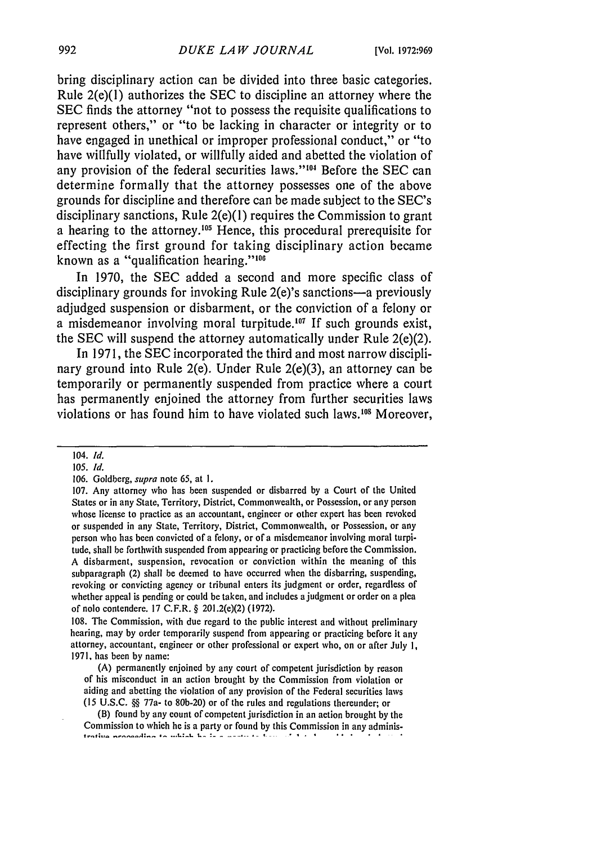bring disciplinary action can be divided into three basic categories. Rule 2(e)(1) authorizes the SEC to discipline an attorney where the SEC finds the attorney "not to possess the requisite qualifications to represent others," or "to be lacking in character or integrity or to have engaged in unethical or improper professional conduct," or "to have willfully violated, or willfully aided and abetted the violation of any provision of the federal securities laws."<sup>104</sup> Before the SEC can determine formally that the attorney possesses one of the above grounds for discipline and therefore can be made subject to the SEC's disciplinary sanctions, Rule 2(e)(1) requires the Commission to grant a hearing to the attorney.<sup>105</sup> Hence, this procedural prerequisite for effecting the first ground for taking disciplinary action became known as a "qualification hearing."<sup>106</sup>

In 1970, the SEC added a second and more specific class of disciplinary grounds for invoking Rule 2(e)'s sanctions-a previously adjudged suspension or disbarment, or the conviction of a felony or a misdemeanor involving moral turpitude.<sup>107</sup> If such grounds exist, the SEC will suspend the attorney automatically under Rule 2(e)(2).

In 1971, the SEC incorporated the third and most narrow disciplinary ground into Rule 2(e). Under Rule 2(e)(3), an attorney can be temporarily or permanently suspended from practice where a court has permanently enjoined the attorney from further securities laws violations or has found him to have violated such laws.<sup>108</sup> Moreover,

108. The Commission, with due regard to the public interest and without preliminary hearing, may by order temporarily suspend from appearing or practicing before it any attorney, accountant, engineer or other professional or expert who, on or after July **I,** 1971, has been by name:

(A) permanently enjoined by any court of competent jurisdiction by reason of his misconduct in an action brought by the Commission from violation or aiding and abetting the violation of any provision of the Federal securities laws (15 U.S.C. **§§** 77a- to 80b-20) or of the rules and regulations thereunder; or

(B) found by any count of competent jurisdiction in an action brought by the Commission to which he is a party or found by this Commission in any adminis-<br>trative proceeding to which he is a party to have that the state of the state of the state of the state of the state of the state of the state o

<sup>104.</sup> *Id.*

*<sup>105.</sup> Id.*

<sup>106.</sup> Goldberg, supra note 65, at **I.**

<sup>107.</sup> Any attorney who has been suspended or disbarred by a Court of the United States or in any State, Territory, District, Commonwealth, or Possession, or any person whose license to practice as an accountant, engineer or other expert has been revoked or suspended in any State, Territory, District, Commonwealth, or Possession, or any person who has been convicted of a felony, or of a misdemeanor involving moral turpitude, shall be forthwith suspended from appearing or practicing before the Commission. A disbarment, suspension, revocation or conviction within the meaning of this subparagraph (2) shall be deemed to have occurred when the disbarring, suspending, revoking or convicting agency or tribunal enters its judgment or order, regardless of whether appeal is pending or could be taken, and includes a judgment or order on a plea of nolo contendere. 17 C.F.R. § 201.2(e)(2) (1972).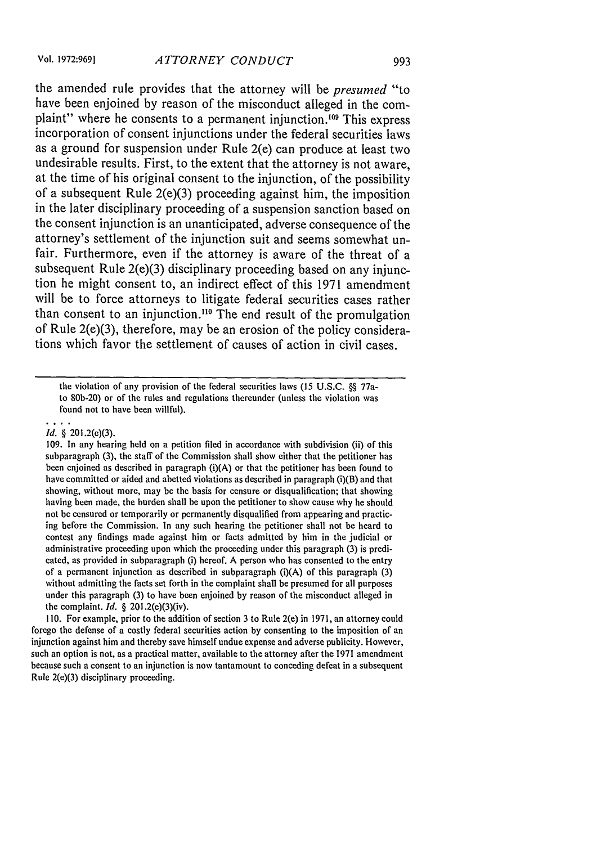the amended rule provides that the attorney will be *presumed* "to have been enjoined by reason of the misconduct alleged in the complaint" where he consents to a permanent injunction.<sup>109</sup> This express incorporation of consent injunctions under the federal securities laws as a ground for suspension under Rule 2(e) can produce at least two undesirable results. First, to the extent that the attorney is not aware, at the time of his original consent to the injunction, of the possibility of a subsequent Rule 2(e)(3) proceeding against him, the imposition in the later disciplinary proceeding of a suspension sanction based on the consent injunction is an unanticipated, adverse consequence of the attorney's settlement of the injunction suit and seems somewhat unfair. Furthermore, even if the attorney is aware of the threat of a subsequent Rule 2(e)(3) disciplinary proceeding based on any injunction he might consent to, an indirect effect of this 1971 amendment will be to force attorneys to litigate federal securities cases rather than consent to an injunction.<sup>110</sup> The end result of the promulgation of Rule 2(e)(3), therefore, may be an erosion of the policy considerations which favor the settlement of causes of action in civil cases.

the violation of any provision of the federal securities laws (15 U.S.C. *§§* 77ato 80b-20) or of the rules and regulations thereunder (unless the violation was found not to have been willful).

#### *Id. §* 201.2(e)(3).

110. For example, prior to the addition of section 3 to Rule 2(e) in 1971, an attorney could forego the defense of a costly federal securities action by consenting to the imposition of an injunction against him and thereby save himself undue expense and adverse publicity. However, such an option is not, as a practical matter, available to the attorney after the 1971 amendment because such a consent to an injunction is now tantamount to conceding defeat in a subsequent Rule 2(e)(3) disciplinary proceeding.

<sup>109.</sup> In any hearing held on a petition filed in accordance with subdivision (ii) of this subparagraph (3), the staff of the Commission shall show either that the petitioner has been enjoined as described in paragraph (i)(A) or that the petitioner has been found to have committed or aided and abetted violations as described in paragraph (i)(B) and that showing, without more, may be the basis for censure or disqualification; that showing having been made, the burden shall be upon the petitioner to show cause why he should not be censured or temporarily or permanently disqualified from appearing and practicing before the Commission. In any such hearing the petitioner shall not be heard to contest any findings made against him or facts admitted by him in the judicial or administrative proceeding upon which the proceeding under this paragraph (3) is predicated, as provided in subparagraph (i) hereof. A person who has consented to the entry of a permanent injunction as described in subparagraph  $(i)(A)$  of this paragraph  $(3)$ without admitting the facts set forth in the complaint shall be presumed for all purposes under this paragraph (3) to have been enjoined by reason of the misconduct alleged in the complaint. *Id. §* 201.2(e)(3)(iv).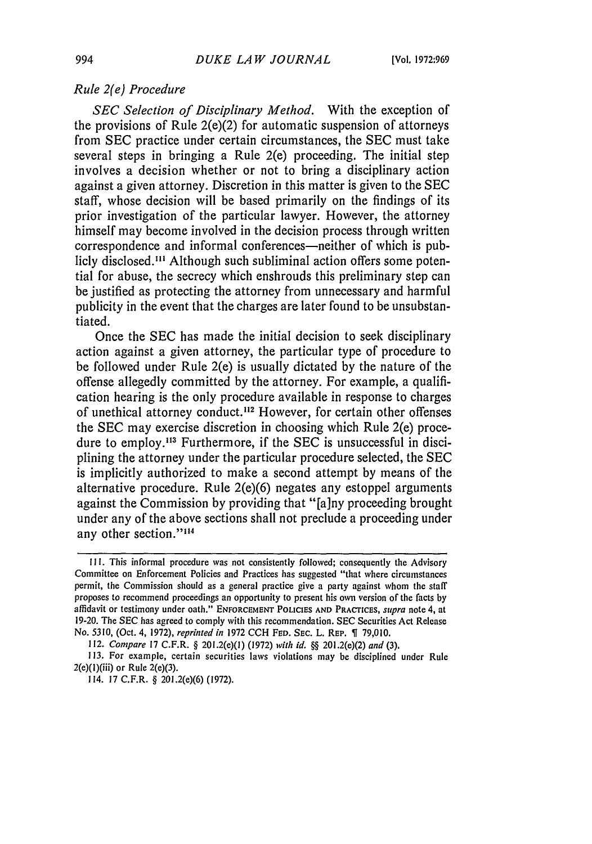### *Rule 2(e) Procedure*

*SEC Selection of Disciplinary Method.* With the exception of the provisions of Rule 2(e)(2) for automatic suspension of attorneys from SEC practice under certain circumstances, the SEC must take several steps in bringing a Rule 2(e) proceeding. The initial step involves a decision whether or not to bring a disciplinary action against a given attorney. Discretion in this matter is given to the SEC staff, whose decision will be based primarily on the findings of its prior investigation of the particular lawyer. However, the attorney himself may become involved in the decision process through written correspondence and informal conferences—neither of which is publicly disclosed.<sup>111</sup> Although such subliminal action offers some potential for abuse, the secrecy which enshrouds this preliminary step can be justified as protecting the attorney from unnecessary and harmful publicity in the event that the charges are later found to be unsubstantiated.

Once the SEC has made the initial decision to seek disciplinary action against a given attorney, the particular type of procedure to be followed under Rule 2(e) is usually dictated by the nature of the offense allegedly committed by the attorney. For example, a qualification hearing is the only procedure available in response to charges of unethical attorney conduct.<sup>112</sup> However, for certain other offenses the SEC may exercise discretion in choosing which Rule 2(e) procedure to employ.<sup>113</sup> Furthermore, if the SEC is unsuccessful in disciplining the attorney under the particular procedure selected, the SEC is implicitly authorized to make a second attempt by means of the alternative procedure. Rule 2(e)(6) negates any estoppel arguments against the Commission by providing that "[a]ny proceeding brought under any of the above sections shall not preclude a proceeding under any other section."<sup>114</sup>

**Ill.** This informal procedure was not consistently followed; consequently the Advisory Committee on Enforcement Policies and Practices has suggested "that where circumstances permit, the Commission should as a general practice give a party against whom the staff proposes to recommend proceedings an opportunity to present his own version of the facts by affidavit or testimony under oath." **ENFORCEMENT** POLICIES **AND** PRACTICES, *supra* note 4, at 19-20. The SEC has agreed to comply with this recommendation. SEC Securities Act Release No. *5310,* (Oct. 4, 1972), *reprinted in* 1972 CCH **FED.** SEC. L. REP. 79,010,

<sup>112.</sup> *Compare* 17 C.F.R. § 201.2(e)(1) (1972) *with id. §§* 201.2(c)(2) *and* (3).

<sup>113.</sup> For example, certain securities laws violations may be disciplined under Rule 2(e)(l)(iii) or Rule 2(e)(3).

<sup>114. 17</sup> C.F.R. § 201.2(e)(6) **(1972).**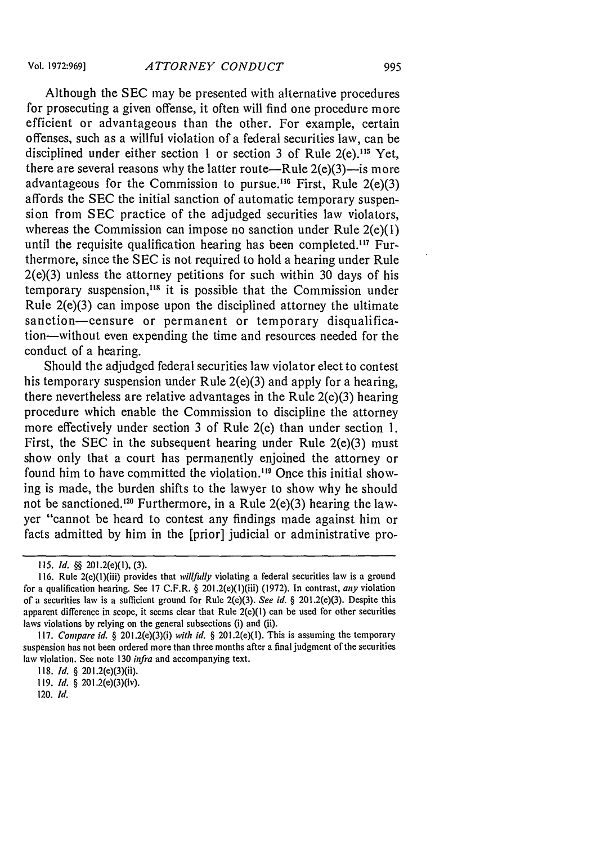Vol. **1972:9691**

Although the SEC may be presented with alternative procedures for prosecuting a given offense, it often will find one procedure more efficient or advantageous than the other. For example, certain offenses, such as a willful violation of a federal securities law, can be disciplined under either section 1 or section 3 of Rule  $2(e)$ .<sup>115</sup> Yet, there are several reasons why the latter route—Rule  $2(e)(3)$ —is more advantageous for the Commission to pursue.<sup>116</sup> First, Rule  $2(e)(3)$ affords the SEC the initial sanction of automatic temporary suspension from SEC practice of the adjudged securities law violators, whereas the Commission can impose no sanction under Rule 2(e)(1) until the requisite qualification hearing has been completed.<sup>117</sup> Furthermore, since the SEC is not required to hold a hearing under Rule  $2(e)(3)$  unless the attorney petitions for such within 30 days of his temporary suspension,<sup>118</sup> it is possible that the Commission under Rule 2(e)(3) can impose upon the disciplined attorney the ultimate sanction-censure or permanent or temporary disqualification-without even expending the time and resources needed for the conduct of a hearing.

Should the adjudged federal securities law violator elect to contest his temporary suspension under Rule 2(e)(3) and apply for a hearing, there nevertheless are relative advantages in the Rule 2(e)(3) hearing procedure which enable the Commission to discipline the attorney more effectively under section 3 of Rule 2(e) than under section 1. First, the SEC in the subsequent hearing under Rule 2(e)(3) must show only that a court has permanently enjoined the attorney or found him to have committed the violation.<sup>119</sup> Once this initial showing is made, the burden shifts to the lawyer to show why he should not be sanctioned.<sup>120</sup> Furthermore, in a Rule  $2(e)(3)$  hearing the lawyer "cannot be heard to contest any findings made against him or facts admitted by him in the [prior] judicial or administrative pro-

<sup>115.</sup> *Id. §§* 201.2(e)(1), (3).

<sup>116.</sup> Rule 2(e)(l)(iii) provides that *willfully* violating a federal securities law is a ground for a qualification hearing. See 17 C.F.R. **§** 201.2(e)(l)(iii) (1972). In contrast, *any* violation of a securities law is a sufficient ground for Rule 2(e)(3). *See id. §* 201.2(e)(3). Despite this apparent difference in scope, it seems clear that Rule 2(e)(1) can be used for other securities laws violations by relying on the general subsections (i) and (ii).

**<sup>117.</sup>** *Compare id. §* 201.2(e)(3)(i) *with id. §* 201.2(e)(1). This is assuming the temporary suspension has not been ordered more than three months after a final judgment of the securities law violation. See note 130 *infra* and accompanying text.

**<sup>118.</sup>** *Id. §* 201.2(e)(3)(ii).

**<sup>119.</sup>** *Id. §* 201.2(e)(3)(iv).

<sup>120.</sup> *Id.*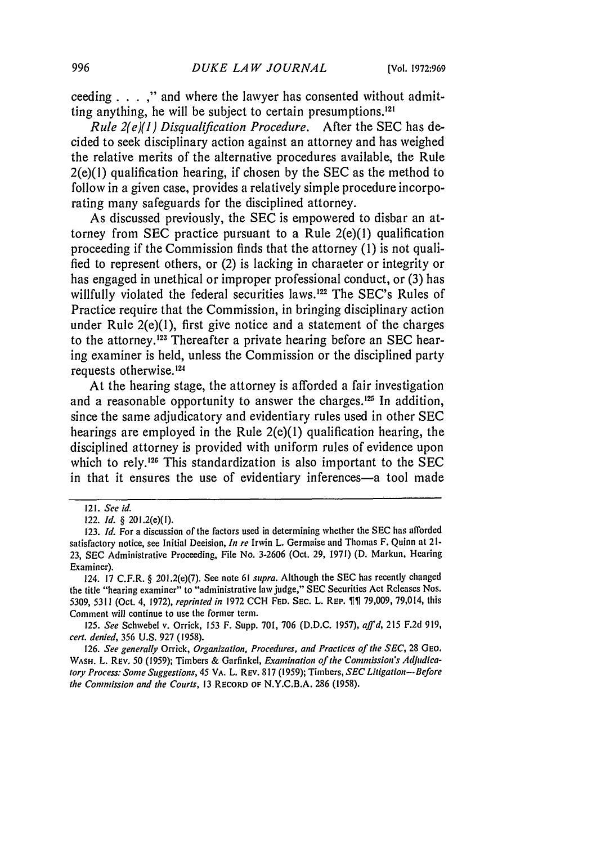ceeding . **.** . **."** and where the lawyer has consented without admitting anything, he will be subject to certain presumptions.<sup>121</sup>

*Rule 2(e)(1) Disqualification Procedure.* After the SEC has decided to seek disciplinary action against an attorney and has weighed the relative merits of the alternative procedures available, the Rule 2(e)(l) qualification hearing, if chosen by the SEC as the method to follow in a given case, provides a relatively simple procedure incorporating many safeguards for the disciplined attorney.

As discussed previously, the SEC is empowered to disbar an attorney from SEC practice pursuant to a Rule 2(e)(1) qualification proceeding if the Commission finds that the attorney (1) is not qualified to represent others, or (2) is lacking in character or integrity or has engaged in unethical or improper professional conduct, or (3) has willfully violated the federal securities laws.<sup>122</sup> The SEC's Rules of Practice require that the Commission, in bringing disciplinary action under Rule 2(e)(1), first give notice and a statement of the charges to the attorney.<sup>123</sup> Thereafter a private hearing before an SEC hearing examiner is held, unless the Commission or the disciplined party requests otherwise.<sup>124</sup>

At the hearing stage, the attorney is afforded a fair investigation and a reasonable opportunity to answer the charges.<sup>125</sup> In addition, since the same adjudicatory and evidentiary rules used in other SEC hearings are employed in the Rule 2(e)(1) qualification hearing, the disciplined attorney is provided with uniform rules of evidence upon which to rely.<sup>126</sup> This standardization is also important to the SEC in that it ensures the use of evidentiary inferences—a tool made

<sup>121.</sup> *See id.*

<sup>122.</sup> *Id.* § 201.2(e)(1).

**<sup>123.</sup>** *Id.* For a discussion of the factors used in determining whether the **SEC** has afforded satisfactory notice, see Initial Decision, *In re* Irwin L. Germaise and Thomas F. Quinn at 21- 23, SEC Administrative Proceeding, File No. **3-2606** (Oct. **29, 1971)** (D. Markun, Hearing Examiner).

<sup>124.</sup> **17** C.F.R. § 201.2(e)(7). See note **61** *supra.* Although the SEC has recently changed the title "hearing examiner" to "administrative law judge," SEC Securities Act Releases Nos. 5309, 5311 (Oct. 4, 1972), *reprinted in* 1972 CCH **FED.** SEc. L. REP. 79,009, 79,014, this Comment will continue to use the former term.

<sup>125.</sup> *See* Schwebel v. Orrick, 153 F. Supp. 701, 706 (D.D.C. 1957), *affd,* 215 F.2d 919, *cert. denied,* 356 U.S. 927 (1958).

<sup>126.</sup> See generally Orrick, Organization, Procedures, and Practices of the SEC, 28 GEO. WAsH. L. REv. 50 **(1959);** Timbers & Garfinkel, *Examination* of the Commission's Adjudicatory Process: Some Suggestions, 45 VA. L. REV. 817 (1959); Timbers, SEC Litigation-Before the Commission and the Courts, **13** RECORD OF **N.Y.C.B.A.** 286 **(1958).**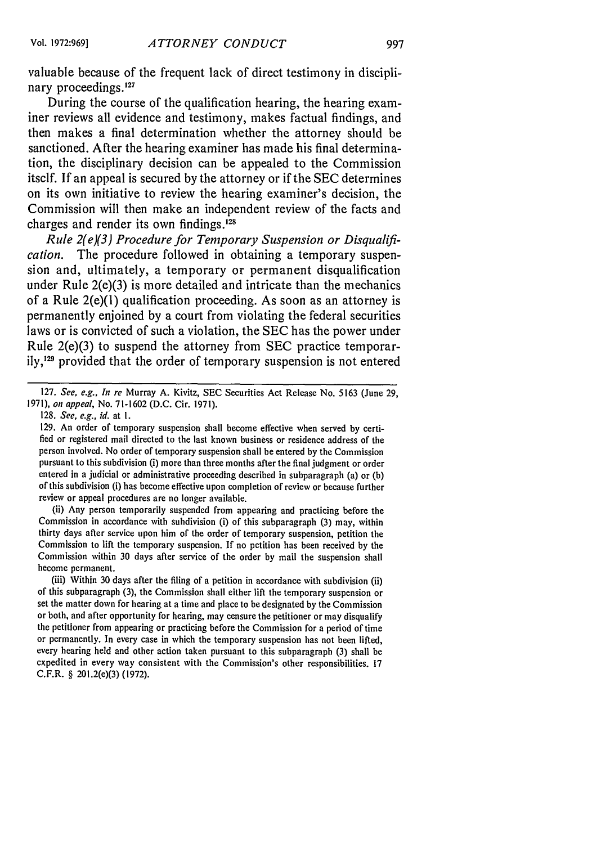valuable because of the frequent lack of direct testimony in disciplinary proceedings.<sup>127</sup>

During the course of the qualification hearing, the hearing examiner reviews all evidence and testimony, makes factual findings, and then makes a final determination whether the attorney should be sanctioned. After the hearing examiner has made his final determination, the disciplinary decision can be appealed to the Commission itself. **If** an appeal is secured **by** the attorney or if the **SEC** determines on its own initiative to review the hearing examiner's decision, the Commission will then make an independent review of the facts and charges and render its own findings.<sup>128</sup>

*Rule 2(e)(3) Procedure for Temporary Suspension or Disqualification.* The procedure followed in obtaining a temporary suspension and, ultimately, a temporary or permanent disqualification under Rule 2(e)(3) is more detailed and intricate than the mechanics of a Rule 2(e)(l) qualification proceeding. As soon as an attorney is permanently enjoined **by** a court from violating the federal securities laws or is convicted of such a violation, the **SEC** has the power under Rule 2(e)(3) to suspend the attorney from **SEC** practice temporarily,<sup>129</sup> provided that the order of temporary suspension is not entered

128. *See, e.g., id.* at I.

(ii) Any person temporarily suspended from appearing and practicing before the Commission in accordance with subdivision (i) of this subparagraph (3) may, within thirty days after service upon him of the order of temporary suspension, petition the Commission to lift the temporary suspension. If no petition has been received by the Commission within 30 days after service of the order by mail the suspension shall become permanent.

(iii) Within **30** days after the filing of a petition in accordance with subdivision (ii) of this subparagraph (3), the Commission shall either lift the temporary suspension or set the matter down for hearing at a time and place to be designated by the Commission or both, and after opportunity for hearing, may censure the petitioner or may disqualify the petitioner from appearing or practicing before the Commission for a period of time or permanently. In every case in which the temporary suspension has not been lifted, every hearing held and other action taken pursuant to this subparagraph (3) shall be expedited in every way consistent with the Commission's other responsibilities. 17 C.F.R. § 201.2(e)(3) (1972).

<sup>127.</sup> *See, e.g., In re* Murray A. Kivitz, SEC Securities Act Release No. 5163 (June 29, 1971), *on appeal,* No. 71-1602 (D.C. Cir. 1971).

<sup>129.</sup> An order of temporary suspension shall become effective when served by certified or registered mail directed to the last known business or residence address of the person involved. No order of temporary suspension shall be entered by the Commission pursuant to this subdivision (i) more than three months after the final judgment or order entered in a judicial or administrative proceeding described in subparagraph (a) or (b) of this subdivision (i) has become effective upon completion of review or because further review or appeal procedures are no longer available.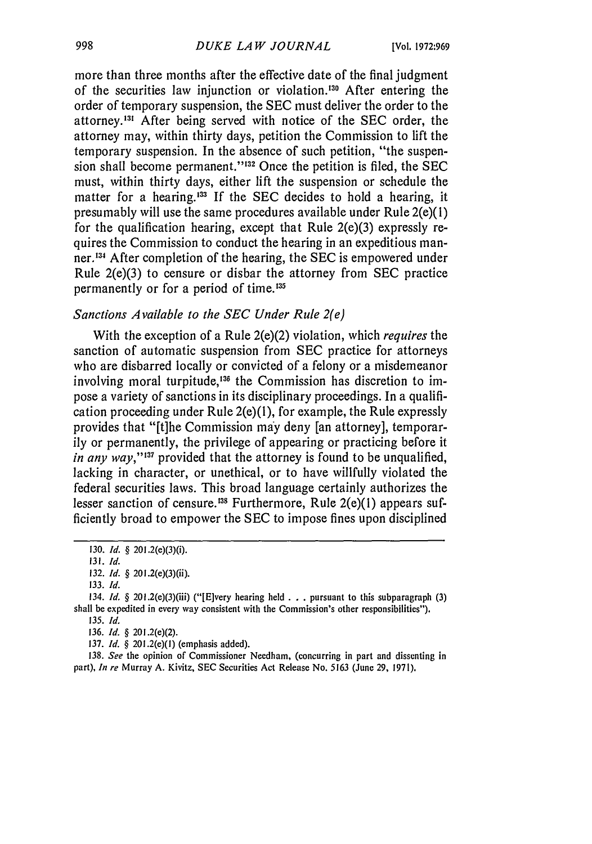more than three months after the effective date of the final judgment of the securities law injunction or violation.<sup>130</sup> After entering the order of temporary suspension, the SEC must deliver the order to the attorney.<sup>131</sup> After being served with notice of the SEC order, the attorney may, within thirty days, petition the Commission to lift the temporary suspension. In the absence of such petition, "the suspension shall become permanent."<sup>132</sup> Once the petition is filed, the SEC must, within thirty days, either lift the suspension or schedule the matter for a hearing.<sup>133</sup> If the SEC decides to hold a hearing, it presumably will use the same procedures available under Rule 2(e)(1) for the qualification hearing, except that Rule  $2(e)(3)$  expressly requires the Commission to conduct the hearing in an expeditious manner.<sup>134</sup> After completion of the hearing, the SEC is empowered under Rule 2(e)(3) to censure or disbar the attorney from SEC practice permanently or for a period of time.<sup>135</sup>

### *Sanctions Available to the SEC Under Rule 2(e)*

With the exception of a Rule 2(e)(2) violation, which *requires* the sanction of automatic suspension from SEC practice for attorneys who are disbarred locally or convicted of a felony or a misdemeanor involving moral turpitude,<sup>136</sup> the Commission has discretion to impose a variety of sanctions in its disciplinary proceedings. In a qualification proceeding under Rule 2(e)(1), for example, the Rule expressly provides that "[tlhe Commission may deny [an attorney], temporarily or permanently, the privilege of appearing or practicing before it *in any way*,"<sup>137</sup> provided that the attorney is found to be unqualified, lacking in character, or unethical, or to have willfully violated the federal securities laws. This broad language certainly authorizes the lesser sanction of censure.<sup>138</sup> Furthermore, Rule  $2(e)(1)$  appears sufficiently broad to empower the SEC to impose fines upon disciplined

137. *Id. §* 201.2(e)(1) (emphasis added).

138. *See* the opinion of Commissioner Needham, (concurring in part and dissenting in part), *In re* Murray A. Kivitz, SEC Securities Act Release No. 5163 (June **29,** 1971).

<sup>130.</sup> *Id. §* 201.2(e)(3)(i).

<sup>131.</sup> *Id.* 132. *Id. §* 201.2(e)(3)(ii).

<sup>133.</sup> *Id.*

<sup>134.</sup> *Id. §* 201.2(e)(3)(iii) ("[E]very hearing held . . . pursuant to this subparagraph (3) shall be expedited in every way consistent with the Commission's other responsibilities").

*<sup>135.</sup> Id.*

<sup>136.</sup> *Id. §* 201.2(e)(2).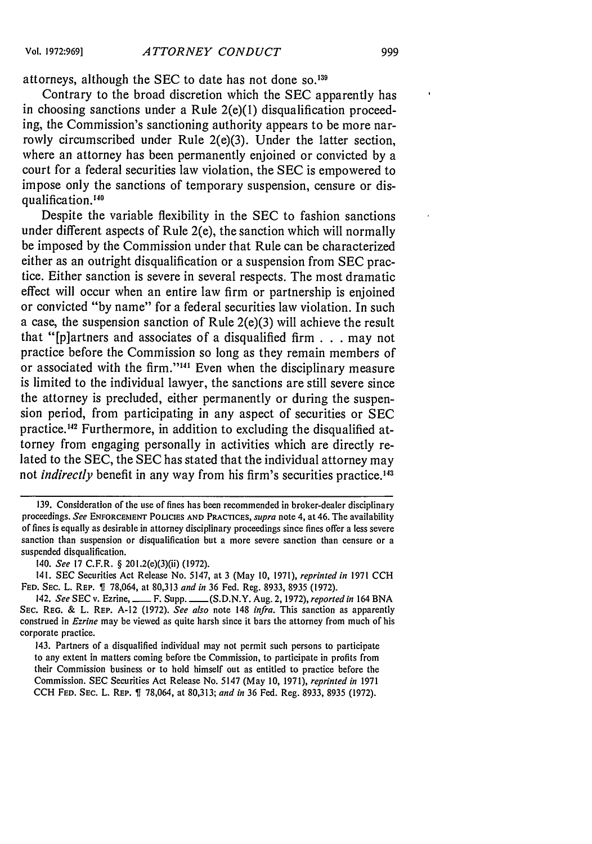attorneys, although the SEC to date has not done so.'

Contrary to the broad discretion which the SEC apparently has in choosing sanctions under a Rule 2(e)(1) disqualification proceeding, the Commission's sanctioning authority appears to be more narrowly circumscribed under Rule 2(e)(3). Under the latter section, where an attorney has been permanently enjoined or convicted by a court for a federal securities law violation, the SEC is empowered to impose only the sanctions of temporary suspension, censure or disqualification. <sup>40</sup>

Despite the variable flexibility in the SEC to fashion sanctions under different aspects of Rule 2(e), the sanction which will normally be imposed by the Commission under that Rule can be characterized either as an outright disqualification or a suspension from SEC practice. Either sanction is severe in several respects. The most dramatic effect will occur when an entire law firm or partnership is enjoined or convicted "by name" for a federal securities law violation. In such a case, the suspension sanction of Rule 2(e)(3) will achieve the result that "[p]artners and associates of a disqualified firm . ..may not practice before the Commission so long as they remain members of or associated with the firm."<sup>141</sup> Even when the disciplinary measure is limited to the individual lawyer, the sanctions are still severe since the attorney is precluded, either permanently or during the suspension period, from participating in any aspect of securities or SEC practice.<sup>142</sup> Furthermore, in addition to excluding the disqualified attorney from engaging personally in activities which are directly related to the SEC, the SEC has stated that the individual attorney may not *indirectly* benefit in any way from his firm's securities practice.<sup>143</sup>

<sup>139.</sup> Consideration of the use of fines has been recommended in broker-dealer disciplinary proceedings. *See* **ENFORCEMENT POLICIES AND PRACTICES,** *supra* note 4, at 46. The availability of fines is equally as desirable in attorney disciplinary proceedings since fines offer a less severe sanction than suspension or disqualification but a more severe sanction than censure or a suspended disqualification.

<sup>140.</sup> *See* 17 C.F.R. § 201.2(e)(3)(ii) (1972).

<sup>141.</sup> SEC Securities Act Release No. 5147, at 3 (May **10,** 1971), *reprinted in* 1971 CCH FED. SEC. L. REP. 78,064, at 80,313 *and in* 36 Fed. Reg. 8933, 8935 (1972).

<sup>142.</sup> *See* SEC v. Ezrine, **-** F. Supp. (S.D.N.Y. Aug. 2, 1972), *reported in* 164 BNA SEC. REG. & L. REP. A-12 (1972). *See also* note 148 *infra.* This sanction as apparently construed in *Ezrine* may be viewed as quite harsh since it bars the attorney from much of his corporate practice.

<sup>143.</sup> Partners of a disqualified individual may not permit such persons to participate to any extent in matters coming before the Commission, to participate in profits from their Commission business or to hold himself out as entitled to practice before the Commission. SEC Securities Act Release No. 5147 (May **10,** 1971), *reprinted in* 1971 CCH **FED.** SEC. L. REP. 78,064, at 80,313; *and in* 36 Fed. Reg. 8933, 8935 (1972).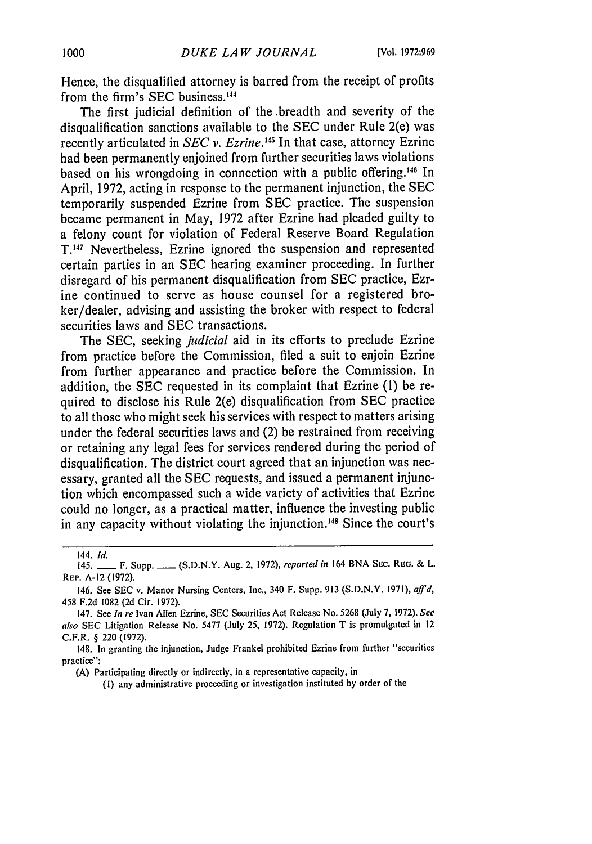Hence, the disqualified attorney is barred from the receipt of profits from the firm's SEC business.<sup>144</sup>

The first judicial definition of the .breadth and severity of the disqualification sanctions available to the SEC under Rule 2(e) was recently articulated in *SEC v. Ezrine*.<sup>145</sup> In that case, attorney Ezrine had been permanently enjoined from further securities laws violations based on his wrongdoing in connection with a public offering.<sup>146</sup> In April, 1972, acting in response to the permanent injunction, the SEC temporarily suspended Ezrine from SEC practice. The suspension became permanent in May, 1972 after Ezrine had pleaded guilty to a felony count for violation of Federal Reserve Board Regulation T. 47 Nevertheless, Ezrine ignored the suspension and represented certain parties in an SEC hearing examiner proceeding. In further disregard of his permanent disqualification from SEC practice, Ezrine continued to serve as house counsel for a registered broker/dealer, advising and assisting the broker with respect to federal securities laws and SEC transactions.

The SEC, seeking *judicial* aid in its efforts to preclude Ezrine from practice before the Commission, filed a suit to enjoin Ezrine from further appearance and practice before the Commission. In addition, the SEC requested in its complaint that Ezrine **(1)** be required to disclose his Rule 2(e) disqualification from SEC practice to all those who might seek his services with respect to matters arising under the federal securities laws and (2) be restrained from receiving or retaining any legal fees for services rendered during the period of disqualification. The district court agreed that an injunction was necessary, granted all the SEC requests, and issued a permanent injunction which encompassed such a wide variety of activities that Ezrine could no longer, as a practical matter, influence the investing public in any capacity without violating the injunction.<sup>148</sup> Since the court's

(A) Participating directly or indirectly, in a representative capacity, in

(I) any administrative proceeding or investigation instituted by order of the

<sup>144.</sup> *Id.*

<sup>145.</sup> **-** F. Supp. **-** (S.D.N.Y. Aug. 2, 1972), *reported in* 164 BNA SEc. Ruo. & L. REP. A-12 (1972).

<sup>146.</sup> See SEC v. Manor Nursing Centers, Inc., 340 F. Supp. 913 (S.D.N.Y. 1971), *affd,* 458 F.2d 1082 (2d Cir. 1972).

<sup>147.</sup> See *In re* Ivan Allen Ezrine, SEC Securities Act Release No. 5268 (July 7, 1972). See *also* SEC Litigation Release No. 5477 (July 25, 1972). Regulation T is promulgated in 12 C.F.R. § 220 (1972).

<sup>148.</sup> In granting the injunction, Judge Frankel prohibited Ezrine from further "securities practice":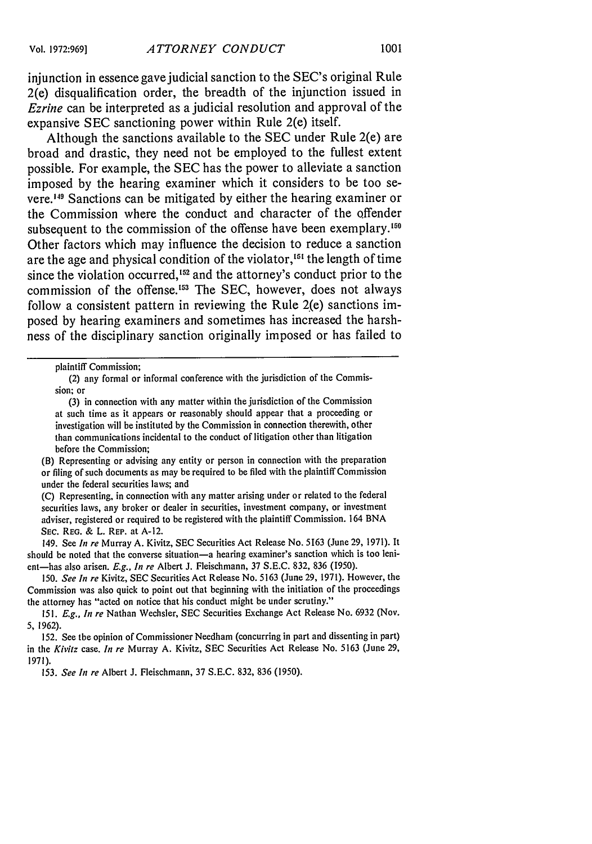injunction in essence gave judicial sanction to the SEC's original Rule 2(e) disqualification order, the breadth of the injunction issued in *Ezrine* can be interpreted as a judicial resolution and approval of the expansive SEC sanctioning power within Rule 2(e) itself.

Although the sanctions available to the SEC under Rule 2(e) are broad and drastic, they need not be employed to the fullest extent possible. For example, the SEC has the power to alleviate a sanction imposed by the hearing examiner which it considers to be too severe.<sup>149</sup> Sanctions can be mitigated by either the hearing examiner or the Commission where the conduct and character of the offender subsequent to the commission of the offense have been exemplary.<sup>150</sup> Other factors which may influence the decision to reduce a sanction are the age and physical condition of the violator,  $<sup>151</sup>$  the length of time</sup> since the violation occurred,<sup>152</sup> and the attorney's conduct prior to the commission of the offense.<sup>153</sup> The SEC, however, does not always follow a consistent pattern in reviewing the Rule 2(e) sanctions imposed by hearing examiners and sometimes has increased the harshness of the disciplinary sanction originally imposed or has failed to

(2) any formal or informal conference with the jurisdiction of the Commission; or

(B) Representing or advising any entity or person in connection with the preparation or filing of such documents as may be required to be filed with the plaintiff Commission under the federal securities laws; and

(C) Representing, in connection with any matter arising under or related to the federal securities laws, any broker or dealer in securities, investment company, or investment adviser, registered or required to be registered with the plaintiff Commission. 164 BNA SEc. REG. & L. **REP.** at **A-12.**

149. See *In re* Murray A. Kivitz, SEC Securities Act Release No. 5163 (June 29, 1971). It should be noted that the converse situation-a hearing examiner's sanction which is too lenient-has also arisen. *E.g., In re* Albert **J.** Fleischmann, 37 S.E.C. 832, 836 (1950).

150. *See In re* Kivitz, SEC Securities Act Release No. 5163 (June 29, 1971). However, the Commission was also quick to point out that beginning with the initiation of the proceedings the attorney has "acted on notice that his conduct might be under scrutiny."

151. *E.g., In re* Nathan Wechsler, SEC Securities Exchange Act Release No. 6932 (Nov. 5, 1962).

152. See the opinion of Commissioner Needham (concurring in part and dissenting in part) in the *Kivitz* case. *In re* Murray A. Kivitz, SEC Securities Act Release No. 5163 (June 29, 1971).

153. *See In re* Albert J. Fleischmann, 37 S.E.C. 832, 836 (1950).

plaintiff Commission;

<sup>(3)</sup> in connection with any matter within the jurisdiction of the Commission at such time as it appears or reasonably should appear that a proceeding or investigation will be instituted by the Commission in connection therewith, other than communications incidental to the conduct of litigation other than litigation before the Commission;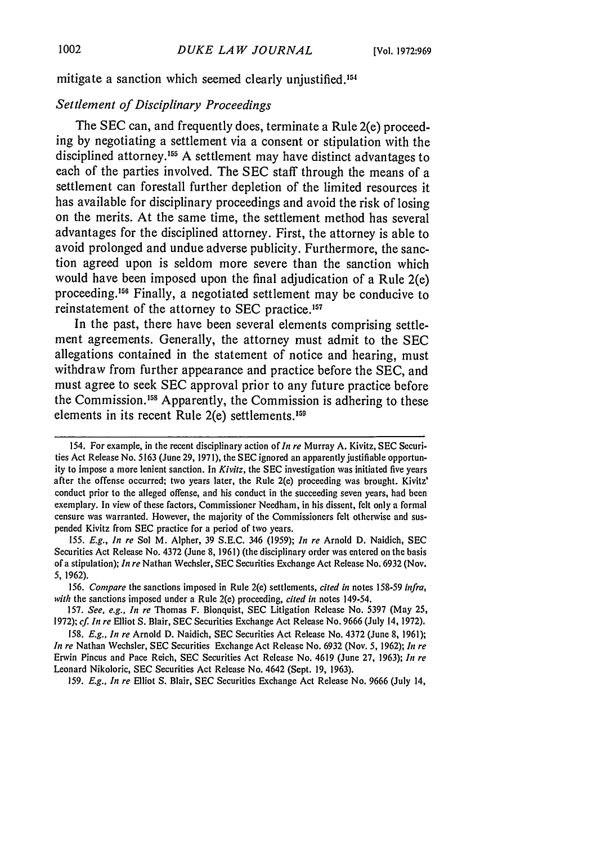mitigate a sanction which seemed clearly unjustified.<sup>154</sup>

### *Settlement of Disciplinary Proceedings*

The **SEC** can, and frequently does, terminate a Rule 2(e) proceeding **by** negotiating a settlement via a consent or stipulation with the disciplined attorney.<sup>155</sup> A settlement may have distinct advantages to each of the parties involved. The **SEC** staff through the means of a settlement can forestall further depletion of the limited resources it has available for disciplinary proceedings and avoid the risk of losing on the merits. At the same time, the settlement method has several advantages for the disciplined attorney. First, the attorney is able to avoid prolonged and undue adverse publicity. Furthermore, the sanction agreed upon is seldom more severe than the sanction which would have been imposed upon the final adjudication of a Rule 2(e) proceeding.<sup>156</sup> Finally, a negotiated settlement may be conducive to reinstatement of the attorney to **SEC** practice.'<sup>57</sup>

In the past, there have been several elements comprising settlement agreements. Generally, the attorney must admit to the **SEC** allegations contained in the statement of notice and hearing, must withdraw from further appearance and practice before the **SEC,** and must agree to seek **SEC** approval prior to any future practice before the Commission.<sup>158</sup> Apparently, the Commission is adhering to these elements in its recent Rule 2(e) settlements.'

*155. E.g., In re* Sol M. Alpher, 39 S.E.C. 346 **(1959);** *In re* Arnold D. Naidich, SEC Securities Act Release No.4372 (June 8, 1961) (the disciplinary order was entered on the basis of a stipulation); *In re* Nathan Wechsler, SEC Securities Exchange Act Release No. 6932 (Nov. **5,** 1962).

156. *Compare* the sanctions imposed in Rule 2(e) settlements, *cited in* notes 158-59 *hlifra, with* the sanctions imposed under a Rule 2(e) proceeding, *cited in* notes 149-54.

157. *See. e.g., In re* Thomas F. Blonquist, SEC Litigation Release No. 5397 (May 25, 1972); *cf. In re* Elliot S. Blair, SEC Securities Exchange Act Release No. 9666 (July 14, 1972).

*158. E.g., In re* Arnold D. Naidich, SEC Securities Act Release No. 4372 (June 8, 1961); *In re* Nathan Wechsler, SEC Securities Exchange Act Release No. 6932 (Nov. **5,** 1962); *In re* Erwin Pincus and Pace Reich, SEC Securities Act Release No. 4619 (June 27, 1963); *In re* Leonard Nikoloric, SEC Securities Act Release No. 4642 (Sept. 19, 1963).

159. *E.g., In re* Elliot S. Blair, SEC Securities Exchange Act Release No. 9666 (July 14,

<sup>154.</sup> For example, in the recent disciplinary action of *In re* Murray A. Kivitz, SEC Securities Act Release No. 5163 (June 29, 1971), the SEC ignored an apparently justifiable opportunity to impose a more lenient sanction. In *Kivitz,* the SEC investigation was initiated five years after the offense occurred; two years later, the Rule 2(e) proceeding was brought. Kivitz' conduct prior to the alleged offense, and his conduct in the succeeding seven years, had been exemplary. In view of these factors, Commissioner Needham, in his dissent, felt only a formal censure was warranted. However, the majority of the Commissioners felt otherwise and suspended Kivitz from SEC practice for a period of two years.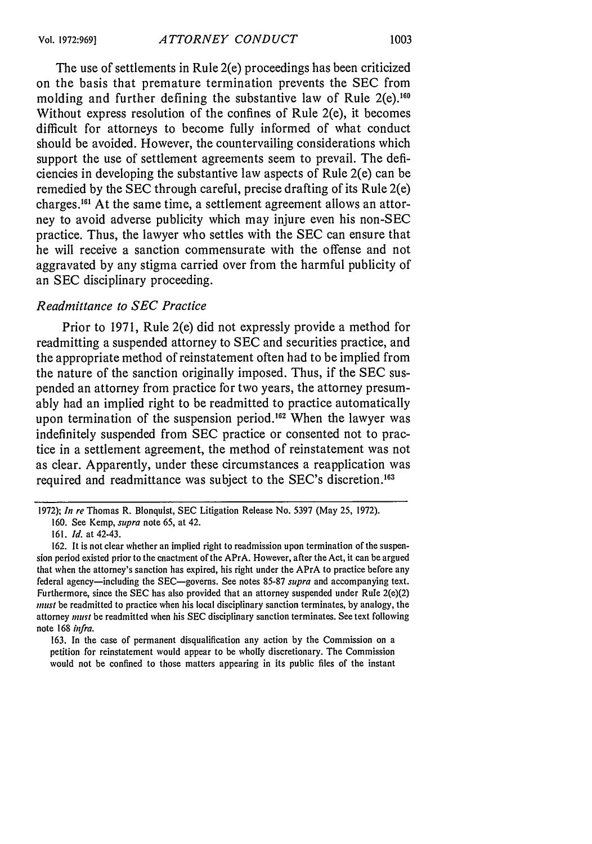The use of settlements in Rule 2(e) proceedings has been criticized on the basis that premature termination prevents the **SEC** from molding and further defining the substantive law of Rule 2(e).160 Without express resolution of the confines of Rule 2(e), it becomes difficult for attorneys to become fully informed of what conduct should be avoided. However, the countervailing considerations which support the use of settlement agreements seem to prevail. The deficiencies in developing the substantive law aspects of Rule 2(e) can be remedied **by** the **SEC** through careful, precise drafting of its Rule 2(e) charges.<sup>161</sup> At the same time, a settlement agreement allows an attorney to avoid adverse publicity which may injure even his non-SEC practice. Thus, the lawyer who settles with the **SEC** can ensure that he will receive a sanction commensurate with the offense and not aggravated **by** any stigma carried over from the harmful publicity of an **SEC** disciplinary proceeding.

### *Readmittance to SEC Practice*

Prior to **1971,** Rule 2(e) did not expressly provide a method for readmitting a suspended attorney to **SEC** and securities practice, and the appropriate method of reinstatement often had to be implied from the nature of the sanction originally imposed. Thus, if the **SEC** suspended an attorney from practice for two years, the attorney presumably had an implied right to be readmitted to practice automatically upon termination of the suspension period.<sup>162</sup> When the lawyer was indefinitely suspended from **SEC** practice or consented not to practice in a settlement agreement, the method of reinstatement was not as clear. Apparently, under these circumstances a reapplication was required and readmittance was subject to the SEC's discretion.<sup>163</sup>

163. In the case of permanent disqualification any action **by** the Commission on a petition for reinstatement would appear to be wholly discretionary. The Commission would not be confined to those matters appearing in its public files of the instant

<sup>1972);</sup> *In re* Thomas R. Blonquist, **SEC** Litigation Release No. 5397 (May 25, 1972).

<sup>160.</sup> See Kemp, *supra* note **65,** at 42.

<sup>161.</sup> *Id.* at 42-43.

<sup>162.</sup> It is not clear whether an implied right to readmission upon termination of the suspension period existed prior to the enactment of the APrA. However, after the Act, it can be argued that when the attorney's sanction has expired, his right under the APrA to practice before any federal agency-including the SEC-governs. See notes **85-87** *supra* and accompanying text. Furthermore, since the **SEC** has also provided that an attorney suspended under Rule 2(e)(2) *must* be readmitted to practice when his local disciplinary sanction terminates, **by** analogy, the attorney must be readmitted when his SEC disciplinary sanction terminates. See text following note 168 *infra.*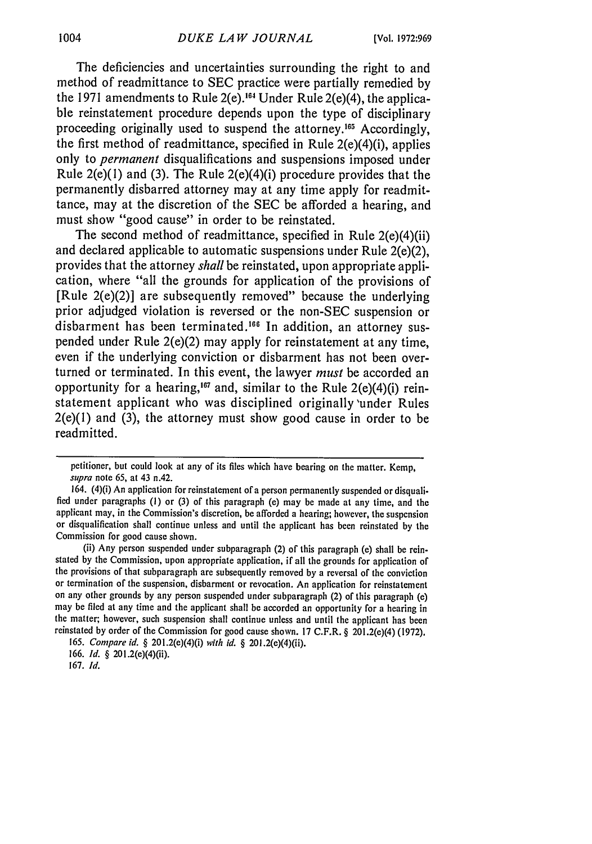The deficiencies and uncertainties surrounding the right to and method of readmittance to SEC practice were partially remedied by the 1971 amendments to Rule  $2(e)$ .<sup>164</sup> Under Rule  $2(e)(4)$ , the applicable reinstatement procedure depends upon the type of disciplinary proceeding originally used to suspend the attorney.'65 Accordingly, the first method of readmittance, specified in Rule 2(e)(4)(i), applies only to *permanent* disqualifications and suspensions imposed under Rule  $2(e)(1)$  and (3). The Rule  $2(e)(4)(i)$  procedure provides that the permanently disbarred attorney may at any time apply for readmittance, may at the discretion of the SEC be afforded a hearing, and must show "good cause" in order to be reinstated.

The second method of readmittance, specified in Rule 2(e)(4)(ii) and declared applicable to automatic suspensions under Rule 2(e)(2), provides that the attorney *shall* be reinstated, upon appropriate application, where "all the grounds for application of the provisions of [Rule 2(e)(2)] are subsequently removed" because the underlying prior adjudged violation is reversed or the non-SEC suspension or disbarment has been terminated.<sup>166</sup> In addition, an attorney suspended under Rule 2(e)(2) may apply for reinstatement at any time, even if the underlying conviction or disbarment has not been overturned or terminated. In this event, the lawyer *must* be accorded an opportunity for a hearing,<sup>167</sup> and, similar to the Rule  $2(e)(4)(i)$  reinstatement applicant who was disciplined originally 'under Rules  $2(e)(1)$  and (3), the attorney must show good cause in order to be readmitted.

(ii) Any person suspended under subparagraph (2) of this paragraph (e) shall be reinstated by the Commission, upon appropriate application, if all the grounds for application of the provisions of that subparagraph are subsequently removed by a reversal of the conviction or termination of the suspension, disbarment or revocation. An application for reinstatement on any other grounds by any person suspended under subparagraph (2) of this paragraph (e) may be filed at any time and the applicant shall be accorded an opportunity for a hearing in the matter; however, such suspension shall continue unless and until the applicant has been reinstated by order of the Commission for good cause shown. 17 C.F.R. § 201.2(e)(4) (1972).

petitioner, but could look at any of its files which have bearing on the matter. Kemp, *supra* note 65, at 43 n.42.

<sup>164. (4)(</sup>i) An application for reinstatement of a person permanently suspended or disqualified under paragraphs **(1)** or (3) of this paragraph (e) may be made at any time, and the applicant may, in the Commission's discretion, be afforded a hearing; however, the suspension or disqualification shall continue unless and until the applicant has been reinstated by the Commission for good cause shown.

**<sup>165.</sup>** *Compare id.* § 201.2(e)(4)(i) *with id.* § 201.2(e)(4)(ii).

<sup>166.</sup> *Id.* § 201.2(e)(4)(ii).

<sup>167.</sup> *Id.*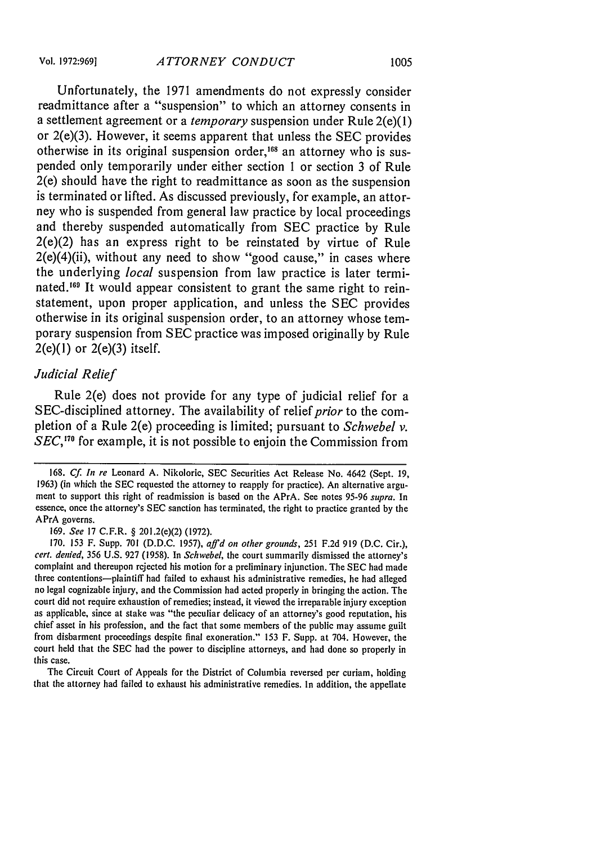Unfortunately, the 1971 amendments do not expressly consider readmittance after a "suspension" to which an attorney consents in a settlement agreement or a *temporary* suspension under Rule 2(e)(1) or 2(e)(3). However, it seems apparent that unless the SEC provides otherwise in its original suspension order,<sup>168</sup> an attorney who is suspended only temporarily under either section 1 or section 3 of Rule 2(e) should have the right to readmittance as soon as the suspension is terminated or lifted. As discussed previously, for example, an attorney who is suspended from general law practice by local proceedings and thereby suspended automatically from SEC practice by Rule 2(e)(2) has an express right to be reinstated by virtue of Rule  $2(e)(4)(ii)$ , without any need to show "good cause," in cases where the underlying *local* suspension from law practice is later terminated.<sup>169</sup> It would appear consistent to grant the same right to reinstatement, upon proper application, and unless the SEC provides otherwise in its original suspension order, to an attorney whose temporary suspension from SEC practice was imposed originally by Rule  $2(e)(1)$  or  $2(e)(3)$  itself.

### *Judicial Relief*

Rule 2(e) does not provide for any type of judicial relief for a SEC-disciplined attorney. The availability of relief *prior* to the completion of a Rule 2(e) proceeding is limited; pursuant to *Schwebel v.* SEC,<sup>170</sup> for example, it is not possible to enjoin the Commission from

169. *See* 17 C.F.R. § 201.2(e)(2) (1972).

170. 153 F. Supp. 701 (D.D.C. 1957), *aff'd on other grounds,* 251 F.2d 919 (D.C. Cir.), *cert. denied,* 356 U.S. 927 (1958). In Schvebel, the court summarily dismissed the attorney's complaint and thereupon rejected his motion for a preliminary injunction. The SEC had made three contentions-plaintiff had failed to exhaust his administrative remedies, he had alleged no legal cognizable injury, and the Commission had acted properly in bringing the action. The court did not require exhaustion of remedies; instead, it viewed the irreparable injury exception as applicable, since at stake was "the peculiar delicacy of an attorney's good reputation, his chief asset in his profession, and the fact that some members of the public may assume guilt from disbarment proceedings despite final exoneration." 153 F. Supp. at 704. However, the court held that the SEC had the power to discipline attorneys, and had done so properly in this case.

The Circuit Court of Appeals for the District of Columbia reversed per curiam, holding that the attorney had failed to exhaust his administrative remedies. In addition, the appellate

<sup>168.</sup> *Cf In re* Leonard A. Nikoloric, SEC Securities Act Release No. 4642 (Sept. 19, 1963) (in which the SEC requested the attorney to reapply for practice). An alternative argument to support this right of readmission is based on the APrA. See notes 95-96 *supra.* In essence, once the attorney's SEC sanction has terminated, the right to practice granted by the APrA governs.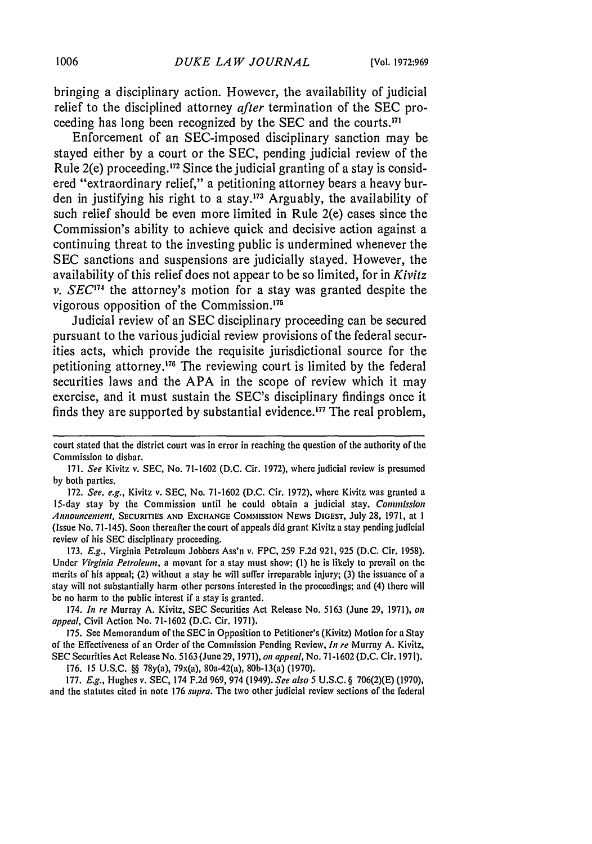bringing a disciplinary action. However, the availability of judicial relief to the disciplined attorney *after* termination of the **SEC** proceeding has long been recognized **by** the **SEC** and the courts.'

Enforcement of an SEC-imposed disciplinary sanction may be stayed either **by** a court or the **SEC,** pending judicial review of the Rule  $2(e)$  proceeding.<sup>172</sup> Since the judicial granting of a stay is considered "extraordinary relief," a petitioning attorney bears a heavy burden in justifying his right to a stay.<sup>173</sup> Arguably, the availability of such relief should be even more limited in Rule 2(e) cases since the Commission's ability to achieve quick and decisive action against a continuing threat to the investing public is undermined whenever the **SEC** sanctions and suspensions are judicially stayed. However, the availability of this relief does not appear to be so limited, for in *Kivitz* v. **SEC <sup>7</sup>** *1* the attorney's motion for a stay was granted despite the vigorous opposition of the Commission.<sup>175</sup>

Judicial review of an **SEC** disciplinary proceeding can be secured pursuant to the various judicial review provisions of the federal securities acts, which provide the requisite jurisdictional source for the petitioning attorney. **' <sup>7</sup>**The reviewing court is limited **by** the federal securities laws and the **APA** in the scope of review which it may exercise, and it must sustain the SEC's disciplinary findings once it finds they are supported by substantial evidence.<sup>177</sup> The real problem,

173. *E.g.,* Virginia Petroleum Jobbers Ass'n v. FPC, 259 F.2d 921, 925 **(D.C.** Cir. 1958). Under *Virginia Petroleum,* **a movant for a stay must show: (1)** he is likely to prevail on the merits of his appeal; (2) without a stay he will suffer irreparable injury; **(3)** the issuance of a stay will not substantially harm other persons interested in the proceedings; and (4) there will **be** no harm to the public interest if a stay is granted.

174. *In re* Murray **A.** Kivitz, **SEC** Securities Act Release No. 5163 (June 29, 1971), *on appeal,* Civil Action No. 71-1602 (D.C. Cir. 1971).

175. See Memorandum of the **SEC** in Opposition to Petitioner's (Kivitz) Motion for a Stay of the Effectiveness of an Order of the Commission Pending Review, *In re* Murray **A.** Kivitz, SEC Securities Act Release No. 5163 (June 29, 1971), *on appeal,* No. 71-1602 (D.C. Cir. **197 1).**

176. 15 U.S.C. **§§** 78y(a), 79x(a), 80a-42(a), 80b-13(a) (1970).

177. *E.g.,* Hughes v. SEC, 174 F.2d 969, 974 (1949). *See also* 5 U.S.C. § 706(2)(E) (1970), and the statutes cited in note **176** *supra.* The two other judicial review sections of the federal

court stated that the district court was in error in reaching the question of the authority of the Commission to disbar.

<sup>171.</sup> See Kivitz v. SEC, No. 71-1602 (D.C. Cir. 1972), where judicial review is presumed **by** both parties.

<sup>172.</sup> See, e.g., Kivitz v. SEC, No. 71-1602 (D.C. Cir. 1972), where Kivitz was granted a 15-day stay **by** the Commission until he could obtain a judicial stay. Commission *Announcement,* **SECURITIES AND** EXCHANGE **COMMISSION** NEWS DIGEST, July **28, 1971,** at **I** (Issue No. 71-145). Soon thereafter the court of appeals did grant Kivitz a stay pending judicial review of his **SEC** disciplinary proceeding.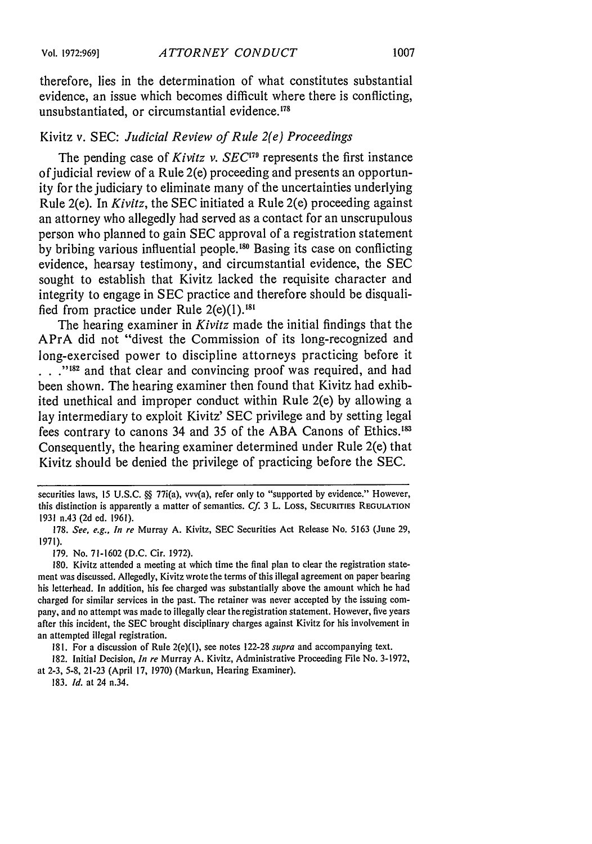therefore, lies in the determination of what constitutes substantial evidence, an issue which becomes difficult where there is conflicting, unsubstantiated, or circumstantial evidence.<sup>178</sup>

### Kivitz v. SEC: *Judicial Review of Rule 2(e) Proceedings*

The pending case of *Kivitz v. SEC179* represents the first instance of judicial review of a Rule  $2(e)$  proceeding and presents an opportunity for the judiciary to eliminate many of the uncertainties underlying Rule 2(e). In *Kivitz,* the SEC initiated a Rule 2(e) proceeding against an attorney who allegedly had served as a contact for an unscrupulous person who planned to gain SEC approval of a registration statement by bribing various influential people.<sup>180</sup> Basing its case on conflicting evidence, hearsay testimony, and circumstantial evidence, the SEC sought to establish that Kivitz lacked the requisite character and integrity to engage in SEC practice and therefore should be disqualified from practice under Rule 2(e)(1).<sup>181</sup>

The hearing examiner in *Kivitz* made the initial findings that the APrA did not "divest the Commission of its long-recognized and long-exercised power to discipline attorneys practicing before it **...**<sup>"182</sup> and that clear and convincing proof was required, and had been shown. The hearing examiner then found that Kivitz had exhibited unethical and improper conduct within Rule 2(e) by allowing a lay intermediary to exploit Kivitz' SEC privilege and by setting legal fees contrary to canons 34 and 35 of the ABA Canons of Ethics.<sup>183</sup> Consequently, the hearing examiner determined under Rule 2(e) that Kivitz should be denied the privilege of practicing before the SEC.

179. No. 71-1602 (D.C. Cir. 1972).

180. Kivitz attended a meeting at which time the final plan to clear the registration statement was discussed. Allegedly, Kivitz wrote the terms of this illegal agreement on paper bearing his letterhead. In addition, his fee charged was substantially above the amount which he had charged for similar services in the past. The retainer was never accepted by the issuing company, and no attempt was made to illegally clear the registration statement. However, five years after this incident, the SEC brought disciplinary charges against Kivitz for his involvement in an attempted illegal registration.

181. For a discussion of Rule 2(e)(l), see notes 122-28 *supra* and accompanying text.

182. Initial Decision, *In re* Murray A. Kivitz, Administrative Proceeding File No. 3-1972, at 2-3, **5-8,** 21-23 (April 17, 1970) (Markun, Hearing Examiner).

183. *Id.* at 24 n.34.

securities laws, 15 U.S.C. *§§* 77i(a), vvv(a), refer only to "supported by evidence." However, this distinction is apparently a matter of semantics. *Cf.* 3 L. Loss, SECURITIES **REGULATION** 1931 n.43 (2d ed. 1961).

<sup>178.</sup> *See, e.g., In re* Murray A. Kivitz, SEC Securities Act Release No. 5163 (June 29, 1971).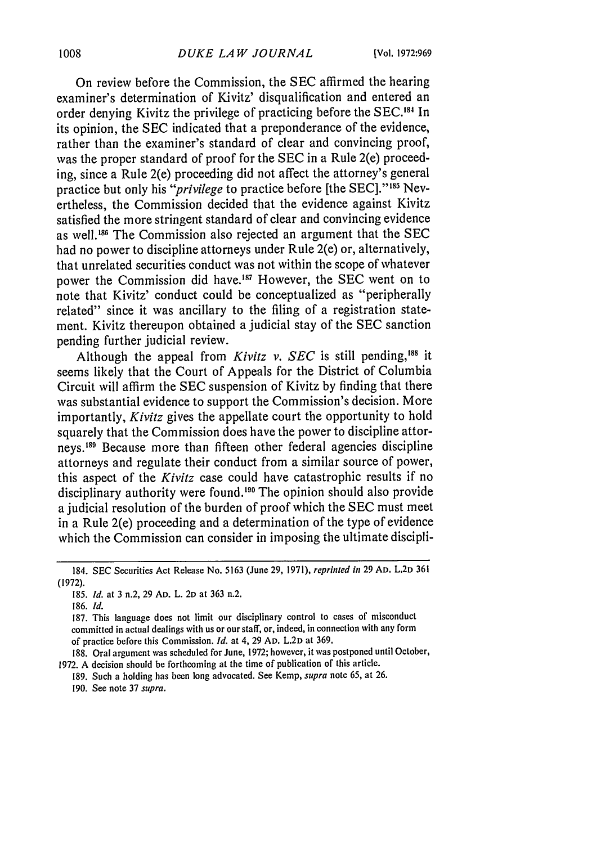On review before the Commission, the SEC affirmed the hearing examiner's determination of Kivitz' disqualification and entered an order denying Kivitz the privilege of practicing before the SEC.<sup>184</sup> In its opinion, the SEC indicated that a preponderance of the evidence, rather than the examiner's standard of clear and convincing proof, was the proper standard of proof for the SEC in a Rule 2(e) proceeding, since a Rule 2(e) proceeding did not affect the attorney's general practice but only his *"privilege* to practice before [the SEC]."'85 Nevertheless, the Commission decided that the evidence against Kivitz satisfied the more stringent standard of clear and convincing evidence as well.<sup>186</sup> The Commission also rejected an argument that the SEC had no power to discipline attorneys under Rule 2(e) or, alternatively, that unrelated securities conduct was not within the scope of whatever power the Commission did have.<sup>187</sup> However, the SEC went on to note that Kivitz' conduct could be conceptualized as "peripherally related" since it was ancillary to the filing of a registration statement. Kivitz thereupon obtained a judicial stay of the SEC sanction pending further judicial review.

Although the appeal from *Kivitz v. SEC* is still pending,<sup>188</sup> it seems likely that the Court of Appeals for the District of Columbia Circuit will affirm the SEC suspension of Kivitz by finding that there was substantial evidence to support the Commission's decision. More importantly, *Kivitz* gives the appellate court the opportunity to hold squarely that the Commission does have the power to discipline attorneys.<sup>189</sup> Because more than fifteen other federal agencies discipline attorneys and regulate their conduct from a similar source of power, this aspect of the *Kivitz* case could have catastrophic results if no disciplinary authority were found.<sup>190</sup> The opinion should also provide a judicial resolution of the burden of proof which the SEC must meet in a Rule 2(e) proceeding and a determination of the type of evidence which the Commission can consider in imposing the ultimate discipli-

<sup>184.</sup> SEC Securities Act Release No. 5163 (June 29, 1971), *reprinted in* 29 AD. L.2D 361 (1972).

<sup>185.</sup> *Id.* at 3 n.2, 29 **AD.** L. **2D** at 363 n.2.

<sup>186.</sup> *Id.*

<sup>187.</sup> This language does not limit our disciplinary control to cases of misconduct committed in actual dealings with us or our staff, or, indeed, in connection with any form of practice before this Commission. *Id.* at 4, 29 **AD.** L.2D at 369.

<sup>188.</sup> Oral argument was scheduled for June, 1972; however, it was postponed until October, 1972. A decision should be forthcoming at the time of publication of this article.

<sup>189.</sup> Such a holding has been long advocated. See Kemp, supra note 65, at 26. 190. See note 37 *supra.*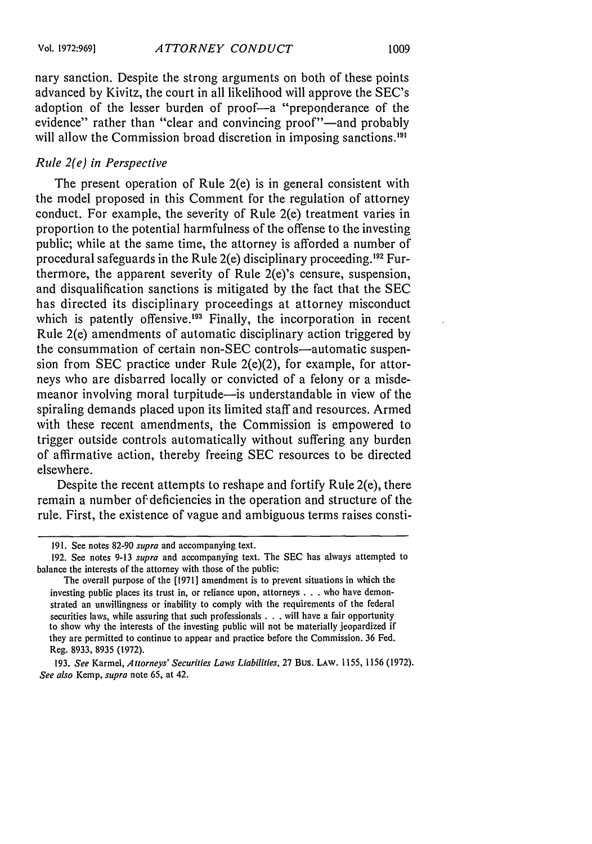nary sanction. Despite the strong arguments on both of these points advanced by Kivitz, the court in all likelihood will approve the SEC's adoption of the lesser burden of proof—a "preponderance of the evidence" rather than "clear and convincing proof"—and probably will allow the Commission broad discretion in imposing sanctions.<sup>191</sup>

### *Rule 2(e) in Perspective*

The present operation of Rule 2(e) is in general consistent with the model proposed in this Comment for the regulation of attorney conduct. For example, the severity of Rule 2(e) treatment varies in proportion to the potential harmfulness of the offense to the investing public; while at the same time, the attorney is afforded a number of procedural safeguards in the Rule 2(e) disciplinary proceeding.'92 Furthermore, the apparent severity of Rule 2(e)'s censure, suspension, and disqualification sanctions is mitigated by the fact that the SEC has directed its disciplinary proceedings at attorney misconduct which is patently offensive.<sup>193</sup> Finally, the incorporation in recent Rule 2(e) amendments of automatic disciplinary action triggered by the consummation of certain non-SEC controls-automatic suspension from SEC practice under Rule 2(e)(2), for example, for attorneys who are disbarred locally or convicted of a felony or a misdemeanor involving moral turpitude—is understandable in view of the spiraling demands placed upon its limited staff and resources. Armed with these recent amendments, the Commission is empowered to trigger outside controls automatically without suffering any burden of affirmative action, thereby freeing SEC resources to be directed elsewhere.

Despite the recent attempts to reshape and fortify Rule 2(e), there remain a number of-deficiencies in the operation and structure of the rule. First, the existence of vague and ambiguous terms raises consti-

<sup>191.</sup> See notes 82-90 *supra* and accompanying text.

<sup>192.</sup> See notes 9-13 *supra* and accompanying text. The SEC has always attempted to balance the interests of the attorney with those of the public:

The overall purpose of the [1971] amendment is to prevent situations in which the investing public places its trust in, or reliance upon, attorneys **. . .** who have demonstrated an unwillingness or inability to comply with the requirements of the federal securities laws, while assuring that such professionals **. . .** will have a fair opportunity to show why the interests of the investing public will not be materially jeopardized if they are permitted to continue to appear and practice before the Commission. 36 Fed. Reg. 8933, 8935 (1972).

<sup>193.</sup> *See* Karmel, *Attorneys' Securities Laws Liabilities,* 27 Bus. LAW. 1155, 1156 (1972). *See also* Kemp, *supra* note **65,** at 42.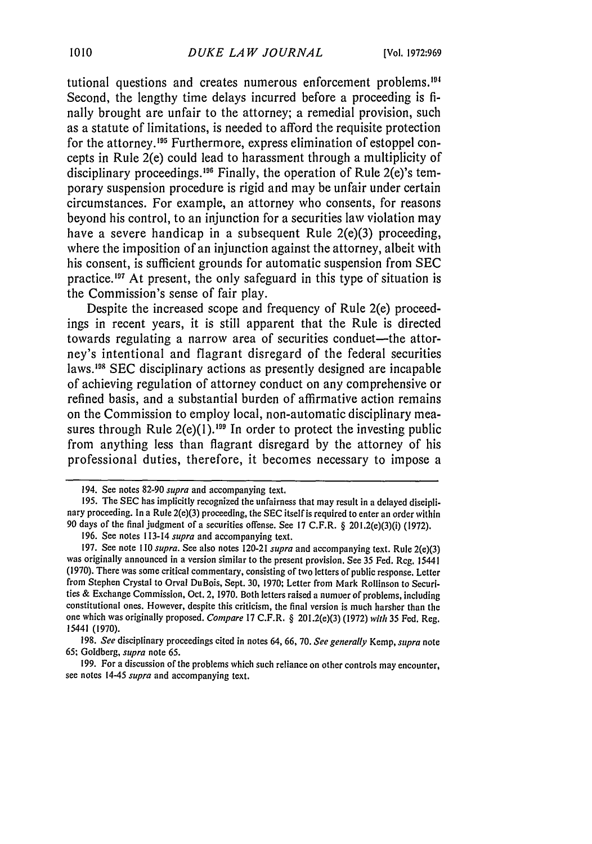tutional questions and creates numerous enforcement problems.<sup>194</sup> Second, the lengthy time delays incurred before a proceeding is finally brought are unfair to the attorney; a remedial provision, such as a statute of limitations, is needed to afford the requisite protection for the attorney.'95 Furthermore, express elimination of estoppel concepts in Rule 2(e) could lead to harassment through a multiplicity of disciplinary proceedings.<sup>196</sup> Finally, the operation of Rule 2(e)'s temporary suspension procedure is rigid and may be unfair under certain circumstances. For example, an attorney who consents, for reasons beyond his control, to an injunction for a securities law violation may have a severe handicap in a subsequent Rule 2(e)(3) proceeding, where the imposition of an injunction against the attorney, albeit with his consent, is sufficient grounds for automatic suspension from SEC practice.'97 At present, the only safeguard in this type of situation is the Commission's sense of fair play.

Despite the increased scope and frequency of Rule 2(e) proceedings in recent years, it is still apparent that the Rule is directed towards regulating a narrow area of securities conduet—the attorney's intentional and flagrant disregard of the federal securities laws.<sup>198</sup> SEC disciplinary actions as presently designed are incapable of achieving regulation of attorney conduct on any comprehensive or refined basis, and a substantial burden of affirmative action remains on the Commission to employ local, non-automatic disciplinary measures through Rule  $2(e)(1)$ .<sup>199</sup> In order to protect the investing public from anything less than flagrant disregard by the attorney of his professional duties, therefore, it becomes necessary to impose a

<sup>194.</sup> See notes 82-90 *supra* and accompanying text.

<sup>195.</sup> The SEC has implicitly recognized the unfairness that may result in a delayed disciplinary proceeding. In a Rule 2(e)(3) proceeding, the SEC itself is required to enter an order within 90 days of the final judgment of a securities offense. See 17 C.F.R. § 201.2(e)(3)(i) (1972).

<sup>196.</sup> See notes 113-14 *supra* and accompanying text.

<sup>197.</sup> See note 110 *supra.* See also notes 120-21 *supra* and accompanying text. Rule 2(e)(3) was originally announced in a version similar to the present provision. See 35 Fed. Reg. 15441 (1970). There was some critical commentary, consisting of two letters of public response. Letter from Stephen Crystal to Orval DuBois, Sept. 30, 1970; Letter from Mark Rollinson to Securities & Exchange Commission, Oct. 2, 1970. Both letters raised a numuer of problems, including constitutional ones. However, despite this criticism, the final version is much harsher than the one which was originally proposed. *Compare* 17 C.F.R. § 201.2(e)(3) (1972) *with* 35 Fed. Reg. 15441 (1970).

<sup>198.</sup> *See* disciplinary proceedings cited in notes 64, 66, 70. *See generally* Kemp, *supra* note 65; Goldberg, *supra* note 65.

<sup>199.</sup> For a discussion of the problems which such reliance on other controls may encounter, see notes 14-45 *supra* and accompanying text.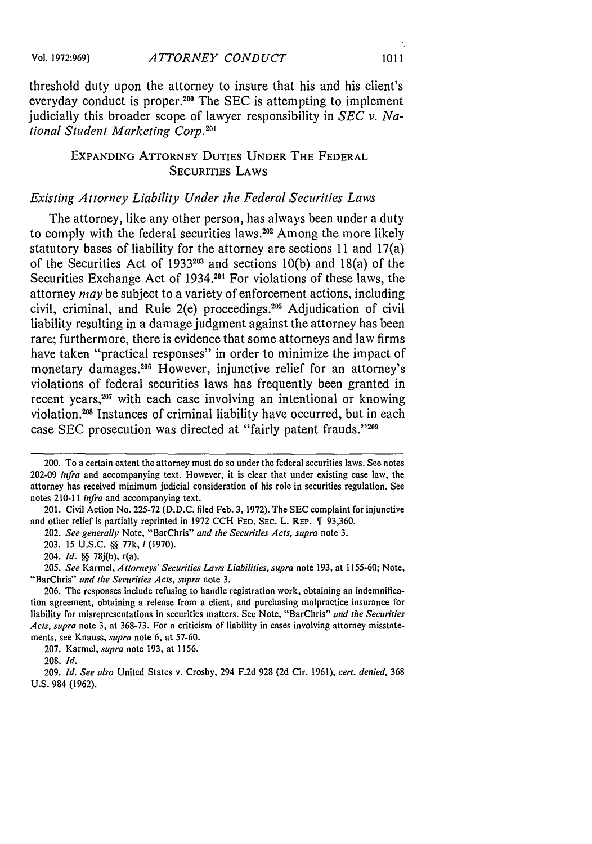**Vol. 1972:969]**

threshold duty upon the attorney to insure that his and his client's everyday conduct is proper.<sup>200</sup> The SEC is attempting to implement judicially this broader scope of lawyer responsibility in *SEC v. National Student Marketing Corp."'*

### EXPANDING ATTORNEY DUTIES UNDER THE FEDERAL SECURITIES LAWS

### *Existing Attorney Liability Under the Federal Securities Laws*

The attorney, like any other person, has always been under a duty to comply with the federal securities laws.<sup>202</sup> Among the more likely statutory bases of liability for the attorney are sections 11 and 17(a) of the Securities Act of 1933203 and sections 10(b) and 18(a) of the Securities Exchange Act of 1934.<sup>204</sup> For violations of these laws, the attorney *may* be subject to a variety of enforcement actions, including civil, criminal, and Rule 2(e) proceedings.<sup>205</sup> Adjudication of civil liability resulting in a damage judgment against the attorney has been rare; furthermore, there is evidence that some attorneys and law firms have taken "practical responses" in order to minimize the impact of monetary damages.<sup>206</sup> However, injunctive relief for an attorney's violations of federal securities laws has frequently been granted in recent years,<sup>207</sup> with each case involving an intentional or knowing violation.<sup>208</sup> Instances of criminal liability have occurred, but in each case SEC prosecution was directed at "fairly patent frauds."<sup>209</sup>

203. 15 U.S.C. *§§* 77k, **1** (1970).

207. Karmel, *supra* note 193, at 1156.

209. *Id. See also* United States v. Crosby, 294 F.2d 928 (2d Cir. 1961), *cert. denied,* 368 U.S. 984 (1962).

<sup>200.</sup> To a certain extent the attorney must do so under the federal securities laws. See notes 202-09 infra and accompanying text. However, it is clear that under existing case law, the attorney has received minimum judicial consideration of his role in securities regulation. See notes 210-11 *infra* and accompanying text.

<sup>201.</sup> Civil Action No. 225-72 (D.D.C. filed Feb. 3, 1972). The SEC complaint for injunctive and other relief is partially reprinted in 1972 CCH **FED.** SEc. L. REP. 93,360.

<sup>202.</sup> *See generally* Note, "BarChris" *and the Securities Acts, supra* note 3.

<sup>204.</sup> *Id. §§* 78j(b), r(a).

<sup>205.</sup> *See* Karmel, *Attorneys' Securities Laws Liabilities, supra* note 193, at 1155-60; Note, "BarChris" *and the Securities Acts, supra* note 3.

<sup>206.</sup> The responses include refusing to handle registration work, obtaining an indemnification agreement, obtaining a release from a client, and purchasing malpractice insurance for liability for misrepresentations in securities matters. See Note, "BarChris" *and the Securities Acts, supra* note 3, at 368-73. For a criticism of liability in cases involving attorney misstatements, see Knauss, *supra* note 6, at 57-60.

<sup>208.</sup> *Id.*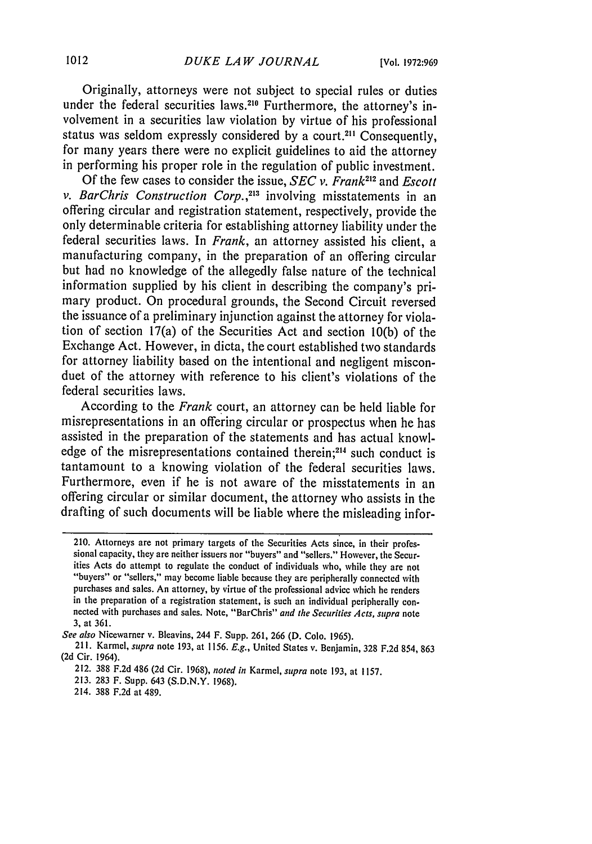Originally, attorneys were not subject to special rules or duties under the federal securities laws.210 Furthermore, the attorney's involvement in a securities law violation by virtue of his professional status was seldom expressly considered by a court.<sup>211</sup> Consequently, for many years there were no explicit guidelines to aid the attorney in performing his proper role in the regulation of public investment.

Of the few cases to consider the issue, *SEC v. Frank*<sup>212</sup> and *Escott v. BarChris Construction Corp.,21 <sup>3</sup>*involving misstatements in an offering circular and registration statement, respectively, provide the only determinable criteria for establishing attorney liability under the federal securities laws. In *Frank,* an attorney assisted his client, a manufacturing company, in the preparation of an offering circular but had no knowledge of the allegedly false nature of the technical information supplied by his client in describing the company's primary product. On procedural grounds, the Second Circuit reversed the issuance of a preliminary injunction against the attorney for violation of section 17(a) of the Securities Act and section 10(b) of the Exchange Act. However, in dicta, the court established two standards for attorney liability based on the intentional and negligent misconduct of the attorney with reference to his client's violations of the federal securities laws.

According to the *Frank* court, an attorney can be held liable for misrepresentations in an offering circular or prospectus when he has assisted in the preparation of the statements and has actual knowledge of the misrepresentations contained therein;<sup>214</sup> such conduct is tantamount to a knowing violation of the federal securities laws. Furthermore, even if he is not aware of the misstatements in an offering circular or similar document, the attorney who assists in the drafting of such documents will be liable where the misleading infor-

<sup>210.</sup> Attorneys are not primary targets of the Securities Acts since, in their profes- sional capacity, they are neither issuers nor "buyers" and "sellers." However, the Securities Acts do attempt to regulate the conduct of individuals who, while they are not "buyers" or "sellers," may become liable because they are peripherally connected with purchases and sales. An attorney, by virtue of the professional advice which he renders in the preparation of a registration statement, is such an individual peripherally connected with purchases and sales. Note, "BarChris" *and the Securities Acts, supra* note 3, at 361.

*See also* Nicewarner v. Bleavins, 244 F. Supp. 261, 266 (D. Colo. 1965). 211. Karmel, *supra* note 193, at 1156. *E.g.,* United States v. Benjamin, 328 F.2d 854, 863 (2d Cir. 1964).

<sup>212. 388</sup> F.2d 486 (2d Cir. 1968), *noted in* Karmel, *supra* note 193, at 1157.

<sup>213. 283</sup> F. Supp. 643 (S.D.N.Y. 1968).

<sup>214. 388</sup> F.2d at 489.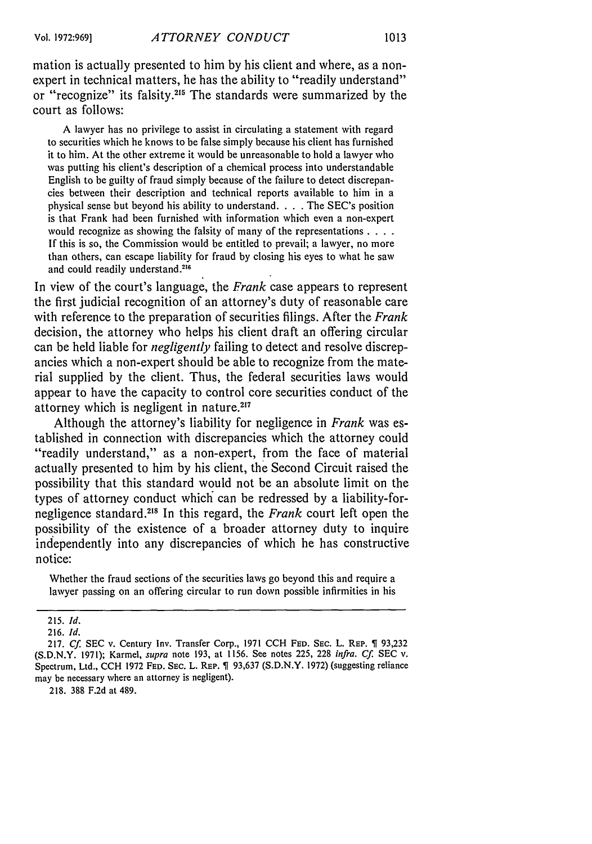mation is actually presented to him by his client and where, as a nonexpert in technical matters, he has the ability to "readily understand" or "recognize" its falsity. 215 The standards were summarized by the court as follows:

A lawyer has no privilege to assist in circulating a statement with regard to securities which he knows to be false simply because his client has furnished it to him. At the other extreme it would be unreasonable to hold a lawyer who was putting his client's description of a chemical process into understandable English to be guilty of fraud simply because of the failure to detect discrepancies between their description and technical reports available to him in a physical sense but beyond his ability to understand. . **.** .The SEC's position is that Frank had been furnished with information which even a non-expert would recognize as showing the falsity of many of the representations **....** If this is so, the Commission would be entitled to prevail; a lawyer, no more than others, can escape liability for fraud by closing his eyes to what he saw and could readily understand.<sup>216</sup>

In view of the court's language, the *Frank* case appears to represent the first judicial recognition of an attorney's duty of reasonable care with reference to the preparation of securities filings. After the *Frank* decision, the attorney who helps his client draft an offering circular can be held liable for *negligently* failing to detect and resolve discrepancies which a non-expert should be able to recognize from the material supplied by the client. Thus, the federal securities laws would appear to have the capacity to control core securities conduct of the attorney which is negligent in nature.<sup>217</sup>

Although the attorney's liability for negligence in *Frank* was established in connection with discrepancies which the attorney could "readily understand," as a non-expert, from the face of material actually presented to him by his client, the Second Circuit raised the possibility that this standard would not be an absolute limit on the types of attorney conduct which can be redressed by a liability-fornegligence standard.218 In this regard, the *Frank* court left open the possibility of the existence of a broader attorney duty to inquire independently into any discrepancies of which he has constructive notice:

Whether the fraud sections of the securities laws go beyond this and require a lawyer passing on an offering circular to run down possible infirmities in his

218. 388 F.2d at 489.

<sup>215.</sup> *Id.*

<sup>216.</sup> *Id.*

<sup>217.</sup> *Cf* SEC v. Century Inv. Transfer Corp., 1971 CCH **FED.** SEc. L. REP. 93,232 (S.D.N.Y. 1971); Karmel, *supra* note 193, at 1156. See notes 225, 228 *infra. Cf* SEC v. Spectrum, Ltd., CCH 1972 **FED.** SEC. L. REP. 93,637 (S.D.N.Y. 1972) (suggesting reliance may be necessary where an attorney is negligent).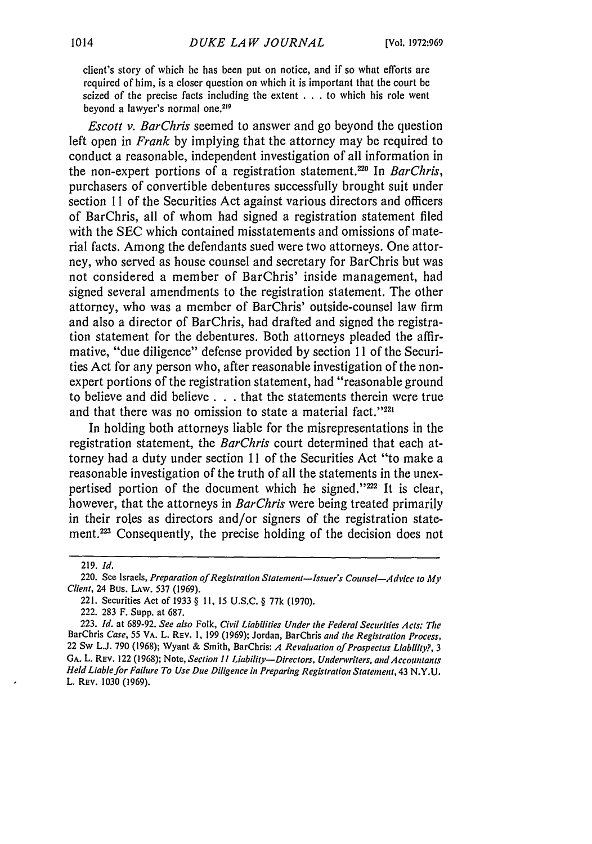client's story of which he has been put on notice, and if so what efforts are required of him, is a closer question on which it is important that the court be seized of the precise facts including the extent . . . to which his role went beyond a lawyer's normal one.<sup>219</sup>

*Escott v. BarChris* seemed to answer and go beyond the question left open in *Frank* by implying that the attorney may be required to conduct a reasonable, independent investigation of all information in the non-expert portions of a registration statement.<sup>220</sup> In *BarChris*, purchasers of convertible debentures successfully brought suit under section **II** of the Securities Act against various directors and officers of BarChris, all of whom had signed a registration statement filed with the SEC which contained misstatements and omissions of material facts. Among the defendants sued were two attorneys. One attorney, who served as house counsel and secretary for BarChris but was not considered a member of BarChris' inside management, had signed several amendments to the registration statement. The other attorney, who was a member of BarChris' outside-counsel law firm and also a director of BarChris, had drafted and signed the registration statement for the debentures. Both attorneys pleaded the affirmative, "due diligence" defense provided by section 11 of the Securities Act for any person who, after reasonable investigation of the nonexpert portions of the registration statement, had "reasonable ground to believe and did believe **. . .** that the statements therein were true and that there was no omission to state a material fact."<sup>221</sup>

In holding both attorneys liable for the misrepresentations in the registration statement, the *BarChris* court determined that each attorney had a duty under section 11 of the Securities Act "to make a reasonable investigation of the truth of all the statements in the unexpertised portion of the document which he signed."<sup>222</sup> It is clear, however, that the attorneys in *BarChris* were being treated primarily in their roles as directors and/or signers of the registration statement.23 Consequently, the precise holding of the decision does not

219. *Id.*

222. **283** F. Supp. at 687.

**223.** *Id.* at 689-92. *See also* Folk, *Civil Liabilities Under the Federal Securities Acts: The* BarChris *Case, 55* **VA.** L. **REV.** 1, 199 (1969); Jordan, BarChris *and the Registration Process,* 22 Sw L.J. 790 (1968); Wyant & Smith, BarChris: *A Revaluation of Prospectus Liability?, 3* GA. L. REV. 122 (1968); Note, *Section 11 Liability-Directors*, Underwriters, and Accountants *Held Liable for Failure To Use Due Diligence in Preparing Registration Statement,* 43 N.Y.U. L. **REV. 1030 (1969).**

<sup>220.</sup> See Israels, *Preparation of Registration Statement-Issuer's Counsel-Advice to My Client,* 24 Bus. LAW. 537 (1969).

**<sup>221.</sup>** Securities Act of **1933** § **If,** 15 U.S.C. § 77k (1970).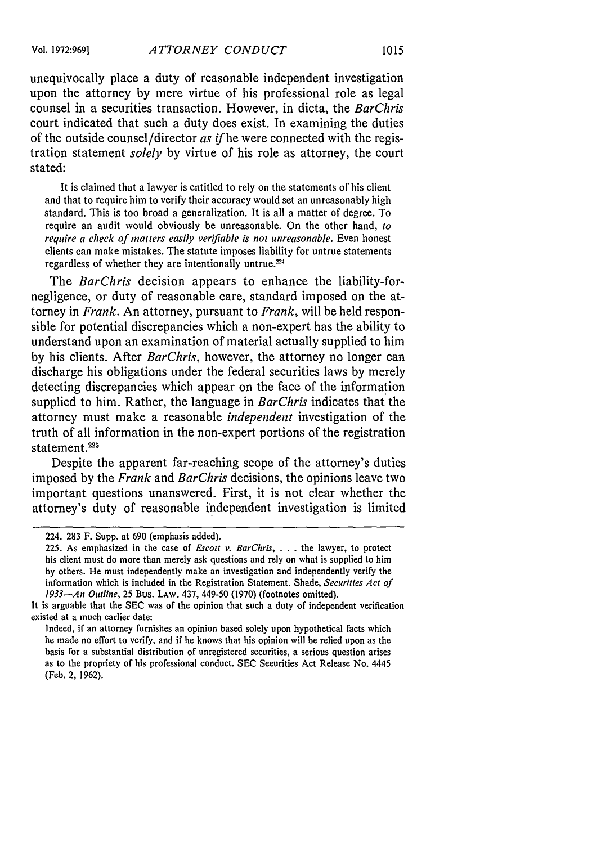unequivocally place a duty of reasonable independent investigation upon the attorney **by** mere virtue of his professional role as legal counsel in a securities transaction. However, in dicta, the *BarChris* court indicated that such a duty does exist. In examining the duties of the outside counsel/director *as if* he were connected with the registration statement *solely* **by** virtue of his role as attorney, the court stated:

It is claimed that a lawyer is entitled to rely on the statements of his client and that to require him to verify their accuracy would set an unreasonably high standard. This is too broad a generalization. It is all a matter of degree. To require an audit would obviously be unreasonable. On the other hand, *to* require a check *of matters easily verifiable is not unreasonable.* Even honest clients can make mistakes. The statute imposes liability for untrue statements regardless of whether they are intentionally untrue.<sup>224</sup>

The *BarChris* decision appears to enhance the liability-fornegligence, or duty of reasonable care, standard imposed on the attorney in *Frank.* An attorney, pursuant to *Frank,* will be held responsible for potential discrepancies which a non-expert has the ability to understand upon an examination of material actually supplied to him **by** his clients. After *BarChris,* however, the attorney no longer can discharge his obligations under the federal securities laws **by** merely detecting discrepancies which appear on the face of the information supplied to him. Rather, the language in *BarChris* indicates that the attorney must make a reasonable *independent* investigation of the truth of all information in the non-expert portions of the registration statement.<sup>225</sup>

Despite the apparent far-reaching scope of the attorney's duties imposed **by** the *Frank* and *BarChris* decisions, the opinions leave two important questions unanswered. First, it is not clear whether the attorney's duty of reasonable independent investigation is limited

<sup>224. 283</sup> F. Supp. at 690 (emphasis added).

<sup>225.</sup> As emphasized in the case of *Escott v. BarChris, ...* the lawyer, to protect his client must do more than merely ask questions and rely on what is supplied to him by others. He must independently make an investigation and independently verify the information which is included in the Registration Statement. Shade, *Securities Act of* 1933-An Outline, 25 Bus. LAW. 437, 449-50 (1970) (footnotes omitted).

It is arguable that the SEC was of the opinion that such a duty of independent verification existed at a much earlier date:

Indeed, if an attorney furnishes an opinion based solely upon hypothetical facts which he made no effort to verify, and if he knows that his opinion will be relied upon as the basis for a substantial distribution of unregistered securities, a serious question arises as to the propriety of his professional conduct. **SEC** Securities Act Release No. 4445 (Feb. 2, 1962).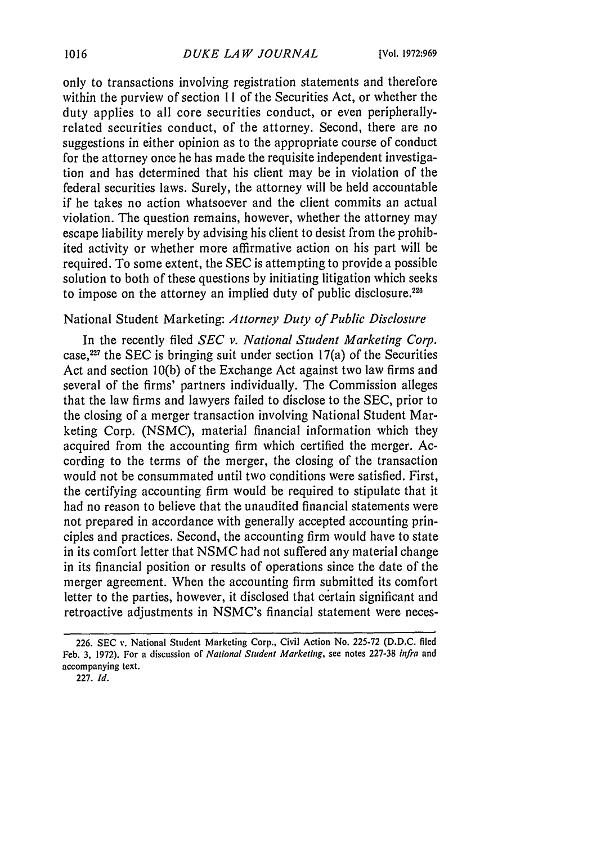only to transactions involving registration statements and therefore within the purview of section 11 of the Securities Act, or whether the duty applies to all core securities conduct, or even peripherallyrelated securities conduct, of the attorney. Second, there are no suggestions in either opinion as to the appropriate course of conduct for the attorney once he has made the requisite independent investigation and has determined that his client may be in violation of the federal securities laws. Surely, the attorney will be held accountable if he takes no action whatsoever and the client commits an actual violation. The question remains, however, whether the attorney may escape liability merely by advising his client to desist from the prohibited activity or whether more affirmative action on his part will be required. To some extent, the SEC is attempting to provide a possible solution to both of these questions by initiating litigation which seeks to impose on the attorney an implied duty of public disclosure.<sup>226</sup>

### National Student Marketing: *Attorney Duty of Public Disclosure*

In the recently filed *SEC v. National Student Marketing Corp.* case,<sup>227</sup> the SEC is bringing suit under section  $17(a)$  of the Securities Act and section 10(b) of the Exchange Act against two law firms and several of the firms' partners individually. The Commission alleges that the law firms and lawyers failed to disclose to the SEC, prior to the closing of a merger transaction involving National Student Marketing Corp. (NSMC), material financial information which they acquired from the accounting firm which certified the merger. According to the terms of the merger, the closing of the transaction would not be consummated until two conditions were satisfied. First, the certifying accounting firm would be required to stipulate that it had no reason to believe that the unaudited financial statements were not prepared in accordance with generally accepted accounting principles and practices. Second, the accounting firm would have to state in its comfort letter that NSMC had not suffered any material change in its financial position or results of operations since the date of the merger agreement. When the accounting firm submitted its comfort letter to the parties, however, it disclosed that certain significant and retroactive adjustments in NSMC's financial statement were neces-

**<sup>226.</sup> SEC** v. National Student Marketing Corp,, Civil Action No. **225-72 (D.D.C,** filed Feb. **3, 1972).** For a discussion of National Student Marketing, see notes **227-38** infra and accompanying text.

**<sup>227.</sup>** *Id.*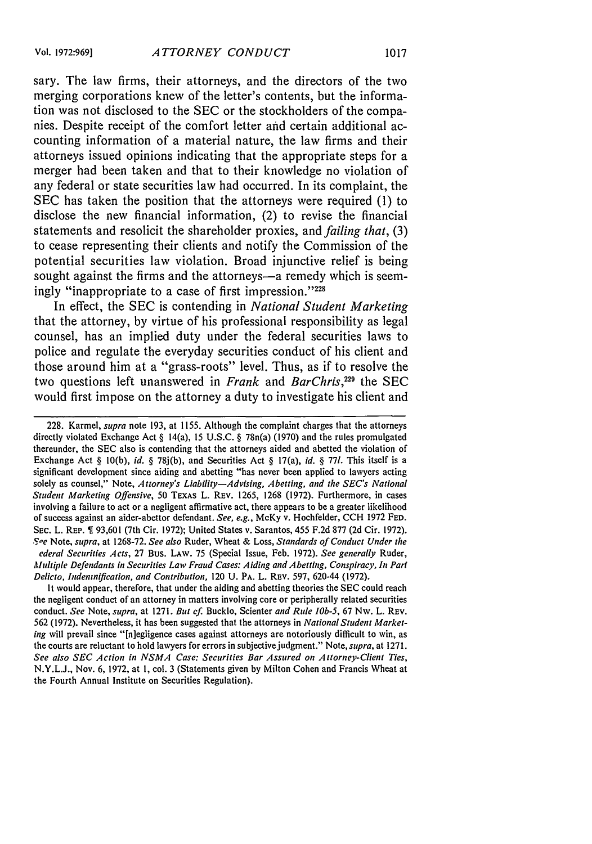sary. The law firms, their attorneys, and the directors of the two merging corporations knew of the letter's contents, but the information was not disclosed to the SEC or the stockholders of the companies. Despite receipt of the comfort letter and certain additional accounting information of a material nature, the law firms and their attorneys issued opinions indicating that the appropriate steps for a merger had been taken and that to their knowledge no violation of any federal or state securities law had occurred. In its complaint, the SEC has taken the position that the attorneys were required (1) to disclose the new financial information, (2) to revise the financial statements and resolicit the shareholder proxies, and *failing that,* (3) to cease representing their clients and notify the Commission of the potential securities law violation. Broad injunctive relief is being sought against the firms and the attorneys-a remedy which is seemingly "inappropriate to a case of first impression."<sup>228</sup>

In effect, the SEC is contending in *National Student Marketing* that the attorney, by virtue of his professional responsibility as legal counsel, has an implied duty under the federal securities laws to police and regulate the everyday securities conduct of his client and those around him at a "grass-roots" level. Thus, as if to resolve the two questions left unanswered in *Frank* and *BarChris*<sup>229</sup>, the SEC would first impose on the attorney a duty to investigate his client and

228. Karmel, *supra* note 193, at 1155. Although the complaint charges that the attorneys directly violated Exchange Act § 14(a), 15 U.S.C. § 78n(a) (1970) and the rules promulgated thereunder, the SEC also is contending that the attorneys aided and abetted the violation of Exchange Act § 10(b), *id. §* 78j(b), and Securities Act § 17(a), *id. §* **771.** This itself is a significant development since aiding and abetting "has never been applied to lawyers acting solely as counsel," Note, *Attorney's Liability-Advising, Abetting, and the SEC's National Student Marketing Offensive,* 50 TEXAS L. REV. 1265, 1268 (1972). Furthermore, in cases involving a failure to act or a negligent affirmative act, there appears to be a greater likelihood of success against an aider-abettor defendant. *See, e.g.,* McKy v. Hochfelder, CCH 1972 **FED.** SEC. L. REP. ¶ 93,601 (7th Cir. 1972); United States v. Sarantos, 455 F.2d 877 (2d Cir. 1972). .Fe Note, *supra,* at 1268-72. *See also* Ruder, Wheat & Loss, *Standards of Conduct Under the ederal Securities Acts,* 27 Bus. LAW. 75 (Special Issue, Feb. 1972). *See generally* Ruder, *Multiple Defendants in Securities Law Fraud Cases: Aiding and Abetting, Conspiracy, In Pari* 

*Delicto, Indemnification, and Contribution,* 120 U. PA. L. REv. 597, 620-44 (1972).

It would appear, therefore, that under the aiding and abetting theories the SEC could reach the negligent conduct of an attorney in matters involving core or peripherally related securities conduct. *See* Note, *supra,* at 1271. *But cf* Bucklo, Scienter *and Rule lOb-5,* 67 Nw. L. REV. 562 (1972). Nevertheless, it has been suggested that the attorneys in *National Student Market*ing will prevail since "[n]egligence cases against attorneys are notoriously difficult to win, as the courts are reluctant to hold lawyers for errors in subjective judgment." Note, *supra,* at 1271. *See also SEC Action in NSMA Case: Securities Bar Assured on Attorney-Client Ties,* N.Y.L.J., Nov. 6, 1972, at **1,** col. 3 (Statements given by Milton Cohen and Francis Wheat at the Fourth Annual Institute on Securities Regulation).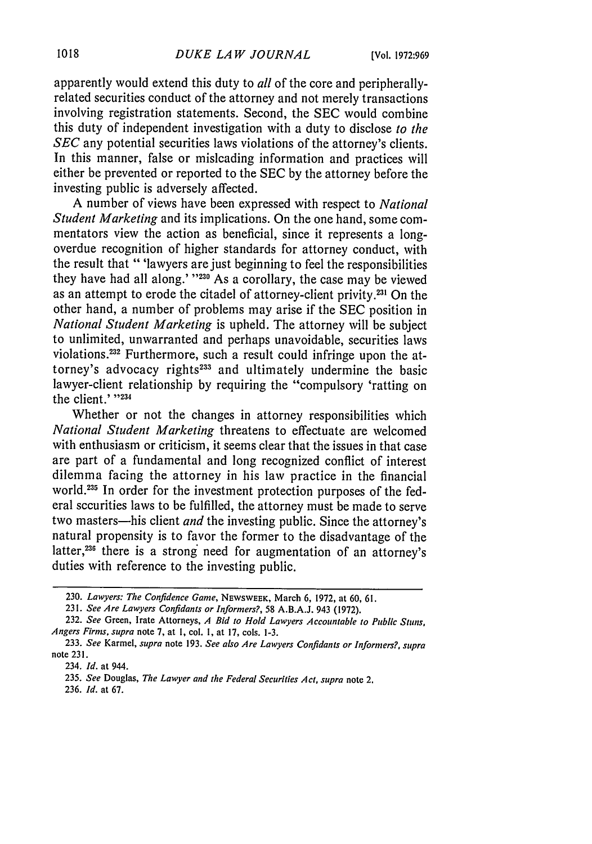apparently would extend this duty to *all* of the core and peripherally- related securities conduct of the attorney and not merely transactions involving registration statements. Second, the SEC would combine this duty of independent investigation with a duty to disclose *to the SEC* any potential securities laws violations of the attorney's clients. In this manner, false or misleading information and practices will either be prevented or reported to the SEC by the attorney before the investing public is adversely affected.

A number of views have been expressed with respect to *National Student Marketing* and its implications. On the one hand, some commentators view the action as beneficial, since it represents a longoverdue recognition of higher standards for attorney conduct, with the result that "'lawyers are just beginning to feel the responsibilities they have had all along.' **"230** As a corollary, the case may be viewed as an attempt to erode the citadel of attorney-client privity. 31 On the other hand, a number of problems may arise if the SEC position in *National Student Marketing* is upheld. The attorney will be subject to unlimited, unwarranted and perhaps unavoidable, securities laws violations.<sup>232</sup> Furthermore, such a result could infringe upon the attorney's advocacy rights<sup>233</sup> and ultimately undermine the basic lawyer-client relationship by requiring the "compulsory 'ratting on the client.' "234

Whether or not the changes in attorney responsibilities which *National Student Marketing* threatens to effectuate are welcomed with enthusiasm or criticism, it seems clear that the issues in that case are part of a fundamental and long recognized conflict of interest dilemma facing the attorney in his law practice in the financial world.235 In order for the investment protection purposes of the federal securities laws to be fulfilled, the attorney must be made to serve two masters-his client *and* the investing public. Since the attorney's natural propensity is to favor the former to the disadvantage of the latter, $^{236}$  there is a strong need for augmentation of an attorney's duties with reference to the investing public.

<sup>230.</sup> *Lawyers: The Confidence Game,* NEWSWEEK, March 6, 1972, at 60, 61.

<sup>231.</sup> *See Are Lawyers Confidants or Informers?,* 58 A.B.A.J. 943 (1972).

<sup>232.</sup> *See* Green, Irate Attorneys, *A Bid to Hold Lawyers Accountable to Public Stuns, Angers Firms, supra* note 7, at 1, col. I, at 17, cols. 1-3.

<sup>233.</sup> *See* Karmel, *supra* note 193. *See also Are Lawyers Confidants or Informers?, supra* note **231.**

<sup>234.</sup> *Id.* at 944.

**<sup>235.</sup>** *See* Douglas, *The Lawyer and the Federal Securities Act, supra* note 2.

<sup>236.</sup> *Id.* at 67.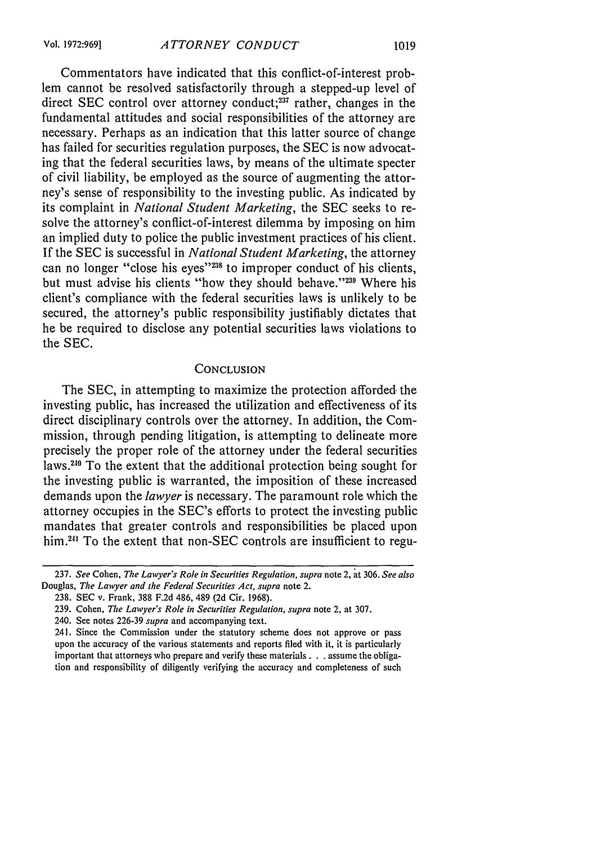Commentators have indicated that this conflict-of-interest problem cannot be resolved satisfactorily through a stepped-up level of direct SEC control over attorney conduct;<sup>237</sup> rather, changes in the fundamental attitudes and social responsibilities of the attorney are necessary. Perhaps as an indication that this latter source of change has failed for securities regulation purposes, the SEC is now advocating that the federal securities laws, by means of the ultimate specter of civil liability, be employed as the source of augmenting the attorney's sense of responsibility to the investing public. As indicated by its complaint in *National Student Marketing,* the SEC seeks to resolve the attorney's conflict-of-interest dilemma by imposing on him an implied duty to police the public investment practices of his client. If the SEC is successful in *National Student Marketing,* the attorney can no longer "close his eyes"<sup>238</sup> to improper conduct of his clients, but must advise his clients "how they should behave."<sup>239</sup> Where his client's compliance with the federal securities laws is unlikely to be secured, the attorney's public responsibility justifiably dictates that he be required to disclose any potential securities laws violations to the SEC.

### **CONCLUSION**

The SEC, in attempting to maximize the protection afforded the investing public, has increased the utilization and effectiveness of its direct disciplinary controls over the attorney. In addition, the Commission, through pending litigation, is attempting to delineate more precisely the proper role of the attorney under the federal securities laws.<sup>240</sup> To the extent that the additional protection being sought for the investing public is warranted, the imposition of these increased demands upon the *lawyer* is necessary. The paramount role which the attorney occupies in the SEC's efforts to protect the investing public mandates that greater controls and responsibilities be placed upon him.<sup>241</sup> To the extent that non-SEC controls are insufficient to regu-

<sup>237.</sup> *See* Cohen, *The Lawyer's Role in Securities Regulation, supra* note 2, at 306. *See also* Douglas, *The Lawyer and the Federal Securities Act, supra* note 2.

<sup>238.</sup> SEC v. Frank, 388 F.2d 486, 489 (2d Cir. 1968).

<sup>239.</sup> Cohen, *The Lawyer's Role in Securities Regulation, supra* note 2, at 307.

<sup>240.</sup> See notes 226-39 *supra* and accompanying text.

<sup>241.</sup> Since the Commission under the statutory scheme does not approve or pass upon the accuracy of the various statements and reports filed with it, it is particularly important that attorneys who prepare and verify these materials. **. .** assume the obligation and responsibility of diligently verifying the accuracy and completeness of such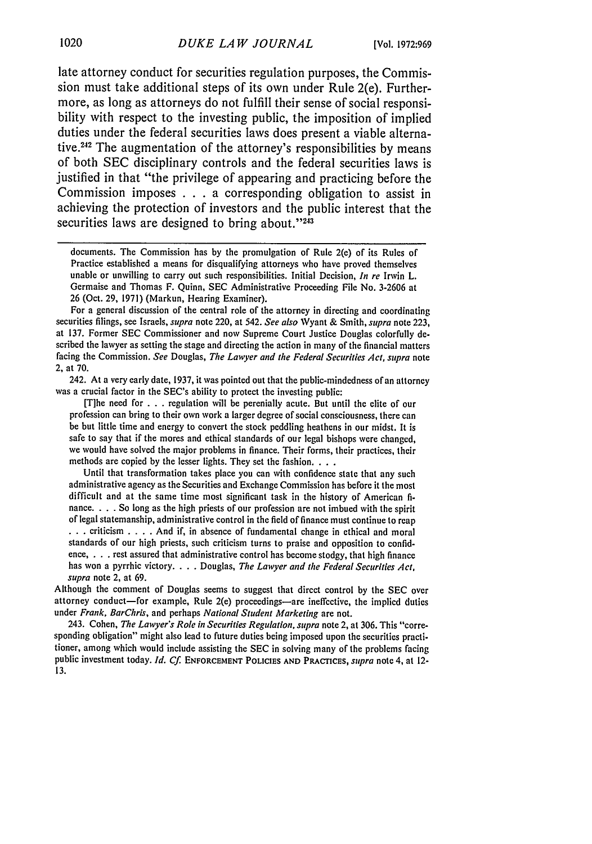late attorney conduct for securities regulation purposes, the Commission must take additional steps of its own under Rule 2(e). Furthermore, as long as attorneys do not fulfill their sense of social responsibility with respect to the investing public, the imposition of implied duties under the federal securities laws does present a viable alternative.<sup>242</sup> The augmentation of the attorney's responsibilities by means of both SEC disciplinary controls and the federal securities laws is justified in that "the privilege of appearing and practicing before the Commission imposes . . . a corresponding obligation to assist in achieving the protection of investors and the public interest that the securities laws are designed to bring about."<sup>243</sup>

documents. The Commission has by the promulgation of Rule 2(e) of its Rules of Practice established a means for disqualifying attorneys who have proved themselves unable or unwilling to carry out such responsibilities. Initial Decision, *In re* Irwin L. Germaise and Thomas F. Quinn, SEC Administrative Proceeding File No. 3-2606 at 26 (Oct. 29, 1971) (Markun, Hearing Examiner).

For a general discussion of the central role of the attorney in directing and coordinating securities filings, see Israels, supra note 220, at 542. *See also* Wyant & Smith, *supra* note 223, at 137. Former SEC Commissioner and now Supreme Court Justice Douglas colorfully described the lawyer as setting the stage and directing the action in many of the financial matters facing the Commission. *See* Douglas, *The Lawyer and the Federal Securities Act, supra* note 2, at 70.

242. At a very early date, 1937, it was pointed out that the public-mindedness of an attorney was a crucial factor in the SEC's ability to protect the investing public:

[T]he need for . . . regulation will be perenially acute. But until the elite of our profession can bring to their own work a larger degree of social consciousness, there can be but little time and energy to convert the stock peddling heathens in our midst. It is safe to say that if the mores and ethical standards of our legal bishops were changed, we would have solved the major problems in finance. Their forms, their practices, their methods are copied by the lesser lights. They set the fashion. . . .

Until that transformation takes place you can with confidence state that any such administrative agency as the Securities and Exchange Commission has before it the most difficult and at the same time most significant task in the history of American finance. . . So long as the high priests of our profession are not imbued with the spirit of legal statemanship, administrative control in the field of finance must continue to reap **• ..**criticism .**. .** .And if, in absence of fundamental change in ethical and moral standards of our high priests, such criticism turns to praise and opposition to confidence, . **.** .rest assured that administrative control has become stodgy, that high finance has won a pyrrhic victory. . **.** .Douglas, *The Lawyer and the Federal Securities Act, supra* note 2, at 69.

Although the comment of Douglas seems to suggest that direct control by the SEC over attorney conduct-for example, Rule 2(e) proceedings-are ineffective, the implied duties under *Frank, BarChris,* and perhaps *National Student Marketing* are not.

243. Cohen, *The Lawyer's Role in Securities Regulation, supra* note 2, at 306. This "corresponding obligation" might also lead to future duties being imposed upon the securities practitioner, among which would include assisting the SEC in solving many of the problems facing public investment today. *Id. Cf* **ENFORCEMENT POLICIES AND PRACTICES,** *supra* note 4, at 12- 13.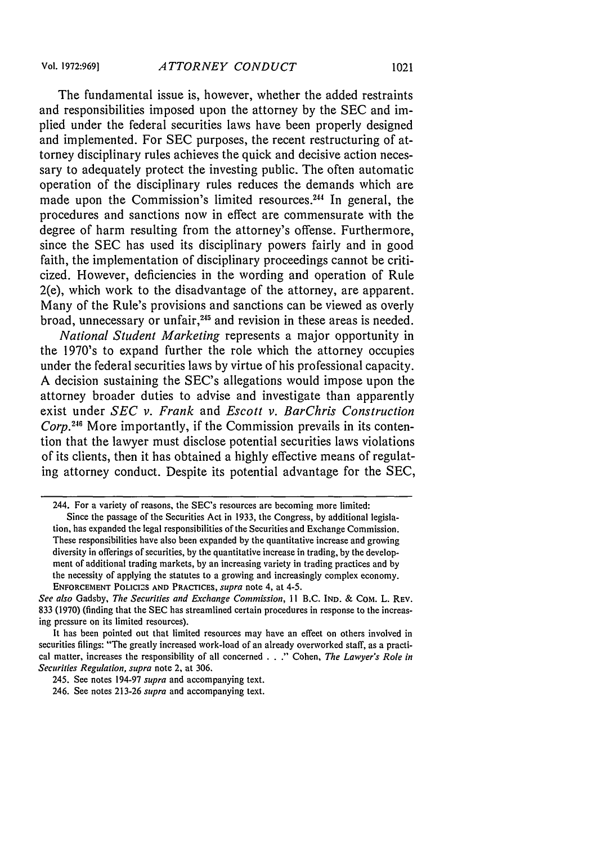The fundamental issue is, however, whether the added restraints and responsibilities imposed upon the attorney by the SEC and implied under the federal securities laws have been properly designed and implemented. For SEC purposes, the recent restructuring of attorney disciplinary rules achieves the quick and decisive action necessary to adequately protect the investing public. The often automatic operation of the disciplinary rules reduces the demands which are made upon the Commission's limited resources.<sup>244</sup> In general, the procedures and sanctions now in effect are commensurate with the degree of harm resulting from the attorney's offense. Furthermore, since the SEC has used its disciplinary powers fairly and in good faith, the implementation of disciplinary proceedings cannot be criticized. However, deficiencies in the wording and operation of Rule 2(e), which work to the disadvantage of the attorney, are apparent. Many of the Rule's provisions and sanctions can be viewed as overly broad, unnecessary or unfair, 245 and revision in these areas is needed.

*National Student Marketing* represents a major opportunity in the 1970's to expand further the role which the attorney occupies under the federal securities laws by virtue of his professional capacity. A decision sustaining the SEC's allegations would impose upon the attorney broader duties to advise and investigate than apparently exist under *SEC v. Frank* and *Escott v. BarChris Construction Corp.246* More importantly, if the Commission prevails in its contention that the lawyer must disclose potential securities laws violations of its clients, then it has obtained a **highly** effective means of regulating attorney conduct. Despite its potential advantage for the SEC,

<sup>244.</sup> For a variety of reasons, the SEC's resources are becoming more limited:

Since the passage of the Securities Act in 1933, the Congress, by additional legislation, has expanded the legal responsibilities of the Securities and Exchange Commission. These responsibilities have also been expanded by the quantitative increase and growing diversity in offerings of securities, by the quantitative increase in trading, by the development of additional trading markets, by an increasing variety in trading practices and by the necessity of applying the statutes to a growing and increasingly complex economy. **ENFORCEMENT POLICIES AND PRACTICES,** *supra* note 4, at 4-5.

*See also* Gadsby, *The Securities and Exchange Commission, I* **1** B.C. **IND. &** Co, . L. REv. **833 (1970)** (finding that the **SEC** has streamlined certain procedures in response to the increasing pressure on its limited resources).

It has been pointed out that limited resources may have an effect on others involved in securities filings: "The greatly increased work-load of an already overworked staff, as a practical matter, increases the responsibility of all concerned **.** Cohen, *The Lawyer's Role in* Securities *Regulation. supra* note 2, at 306.

<sup>245.</sup> See notes 194-97 supra and accompanying text.

<sup>246.</sup> See notes 213-26 *supra* and accompanying text.